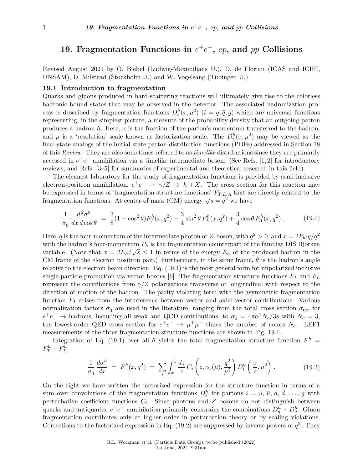# **19. Fragmentation Functions in**  $e^+e^-$ ,  $ep$ , and  $pp$  Collisions

Revised August 2021 by O. Biebel (Ludwig-Maximilians U.), D. de Florian (ICAS and ICIFI, UNSAM), D. Milstead (Stockholm U.) and W. Vogelsang (Tübingen U.).

### **19.1 Introduction to fragmentation**

Quarks and gluons produced in hard-scattering reactions will ultimately give rise to the colorless hadronic bound states that may be observed in the detector. The associated hadronization process is described by fragmentation functions  $D_i^h(x, \mu^2)$   $(i = q, \bar{q}, g)$  which are universal functions representing, in the simplest picture, a measure of the probability density that an outgoing parton produces a hadron *h*. Here, *x* is the fraction of the parton's momentum transferred to the hadron, and  $\mu$  is a 'resolution' scale known as factorization scale. The  $D_i^h(x,\mu^2)$  may be viewed as the final-state analogs of the initial-state parton distribution functions (PDFs) addressed in Section 18 of this *Review*. They are also sometimes referred to as *timelike* distributions since they are primarily accessed in  $e^+e^-$  annihilation via a timelike intermediate boson. (See Refs. [\[1,](#page-22-0) [2\]](#page-22-1) for introductory reviews, and Refs. [\[3](#page-22-2)[–5\]](#page-22-3) for summaries of experimental and theoretical research in this field).

The cleanest laboratory for the study of fragmentation functions is provided by semi-inclusive electron-positron annihilation,  $e^+e^- \rightarrow \gamma/Z \rightarrow h+X$ . The cross section for this reaction may be expressed in terms of 'fragmentation structure functions' *FT,L,A* that are directly related to the be expressed in terms of inaginemation structure functions  $T_{T,L,A}^{T,L,A}$  that an fragmentation functions. At center-of-mass (CM) energy  $\sqrt{s} = q^2$  we have

$$
\frac{1}{\sigma_0} \frac{d^2 \sigma^h}{dx \, d\cos\theta} = \frac{3}{8} (1 + \cos^2 \theta) F_T^h(x, q^2) + \frac{3}{4} \sin^2 \theta F_L^h(x, q^2) + \frac{3}{4} \cos \theta F_A^h(x, q^2) \,. \tag{19.1}
$$

Here, *q* is the four-momentum of the intermediate photon or *Z*-boson, with  $q^2 > 0$ , and  $x = 2P_h \cdot q/q^2$ with the hadron's four-momentum  $P_h$  is the fragmentation counterpart of the familiar DIS Bjorken variable. (Note that  $x = 2E_h/\sqrt{s} \le 1$  in terms of the energy  $E_h$  of the produced hadron in the CM frame of the electron positron pair.) Furthermore, in the same frame, *θ* is the hadron's angle relative to the electron beam direction. Eq. (19.1) is the most general form for unpolarized inclusive single-particle production via vector bosons [\[6\]](#page-22-4). The fragmentation structure functions *F<sup>T</sup>* and *F<sup>L</sup>* represent the contributions from  $\gamma/Z$  polarizations transverse or longitudinal with respect to the direction of motion of the hadron. The parity-violating term with the asymmetric fragmentation function *F<sup>A</sup>* arises from the interference between vector and axial-vector contributions. Various normalization factors  $\sigma_0$  are used in the literature, ranging from the total cross section  $\sigma_{\text{tot}}$  for  $e^+e^- \to$  hadrons, including all weak and QCD contributions, to  $\sigma_0 = 4\pi\alpha^2 N_c/3s$  with  $N_c = 3$ , the lowest-order QED cross section for  $e^+e^- \rightarrow \mu^+\mu^-$  times the number of colors  $N_c$ . LEP1 measurements of the three fragmentation structure functions are shown in Fig. 19.1.

Integration of Eq. (19.1) over all  $\theta$  yields the total fragmentation structure function  $F^h$  $F_T^h + F_L^h$ 

$$
\frac{1}{\sigma_0} \frac{d\sigma^h}{dx} = F^h(x, q^2) = \sum_i \int_x^1 \frac{dz}{z} C_i \left( z, \alpha_s(\mu), \frac{q^2}{\mu^2} \right) D_i^h \left( \frac{x}{z}, \mu^2 \right). \tag{19.2}
$$

On the right we have written the factorized expression for the structure function in terms of a sum over convolutions of the fragmentation functions  $D_i^h$  for partons  $i = u, \bar{u}, d, \bar{d}, \ldots, g$  with perturbative coefficient functions *C<sup>i</sup>* . Since photons and *Z* bosons do not distinguish between quarks and antiquarks,  $e^+e^-$  annihilation primarily constrains the combinations  $D_q^h + D_{\bar{q}}^h$ . Gluon fragmentation contributes only at higher order in perturbation theory or by scaling violations. Corrections to the factorized expression in Eq.  $(19.2)$  are suppressed by inverse powers of  $q^2$ . They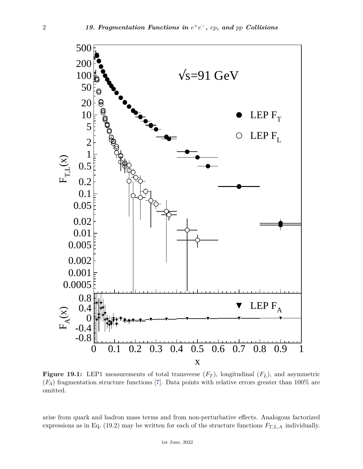

**Figure 19.1:** LEP1 measurements of total transverse  $(F_T)$ , longitudinal  $(F_L)$ , and asymmetric (*FA*) fragmentation structure functions [\[7\]](#page-22-5). Data points with relative errors greater than 100% are omitted.

arise from quark and hadron mass terms and from non-perturbative effects. Analogous factorized expressions as in Eq. (19.2) may be written for each of the structure functions  $F_{T,L,A}$  individually.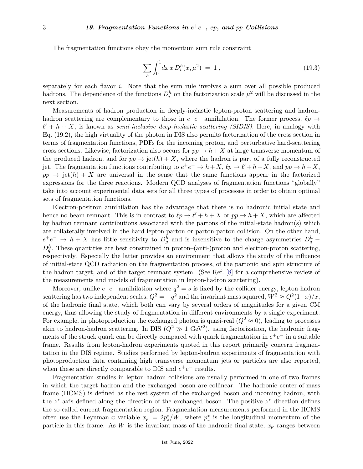The fragmentation functions obey the momentum sum rule constraint

$$
\sum_{h} \int_{0}^{1} dx \, x \, D_{i}^{h}(x, \mu^{2}) = 1 , \qquad (19.3)
$$

separately for each flavor *i*. Note that the sum rule involves a sum over all possible produced hadrons. The dependence of the functions  $D_i^h$  on the factorization scale  $\mu^2$  will be discussed in the next section.

Measurements of hadron production in deeply-inelastic lepton-proton scattering and hadronhadron scattering are complementary to those in  $e^+e^-$  annihilation. The former process,  $\ell p \to$  $\ell' + h + X$ , is known as *semi-inclusive deep-inelastic scattering (SIDIS)*. Here, in analogy with Eq. (19.2), the high virtuality of the photon in DIS also permits factorization of the cross section in terms of fragmentation functions, PDFs for the incoming proton, and perturbative hard-scattering cross sections. Likewise, factorization also occurs for  $pp \to h + X$  at large transverse momentum of the produced hadron, and for  $pp \rightarrow jet(h) + X$ , where the hadron is part of a fully reconstructed jet. The fragmentation functions contributing to  $e^+e^- \to h+X$ ,  $\ell p \to \ell'+h+X$ , and  $pp \to h+X$ ,  $pp \rightarrow jet(h) + X$  are universal in the sense that the same functions appear in the factorized expressions for the three reactions. Modern QCD analyses of fragmentation functions "globally" take into account experimental data sets for all three types of processes in order to obtain optimal sets of fragmentation functions.

Electron-positron annihilation has the advantage that there is no hadronic initial state and hence no beam remnant. This is in contrast to  $\ell p \to \ell' + h + X$  or  $pp \to h + X$ , which are affected by hadron remnant contributions associated with the partons of the initial-state hadron(s) which are collaterally involved in the hard lepton-parton or parton-parton collision. On the other hand,  $e^+e^- \rightarrow h+X$  has little sensitivity to  $D_g^h$  and is insensitive to the charge asymmetries  $D_q^h$  –  $D_{\bar{q}}^h$ . These quantities are best constrained in proton–(anti-)proton and electron-proton scattering, respectively. Especially the latter provides an environment that allows the study of the influence of initial-state QCD radiation on the fragmentation process, of the partonic and spin structure of the hadron target, and of the target remnant system. (See Ref. [\[8\]](#page-22-6) for a comprehensive review of the measurements and models of fragmentation in lepton-hadron scattering).

Moreover, unlike  $e^+e^-$  annihilation where  $q^2 = s$  is fixed by the collider energy, lepton-hadron scattering has two independent scales,  $Q^2 = -q^2$  and the invariant mass squared,  $W^2 \approx Q^2(1-x)/x$ , of the hadronic final state, which both can vary by several orders of magnitudes for a given CM energy, thus allowing the study of fragmentation in different environments by a single experiment. For example, in photoproduction the exchanged photon is quasi-real  $(Q^2 \approx 0)$ , leading to processes akin to hadron-hadron scattering. In DIS  $(Q^2 \gg 1 \text{ GeV}^2)$ , using factorization, the hadronic fragments of the struck quark can be directly compared with quark fragmentation in  $e^+e^-$  in a suitable frame. Results from lepton-hadron experiments quoted in this report primarily concern fragmentation in the DIS regime. Studies performed by lepton-hadron experiments of fragmentation with photoproduction data containing high transverse momentum jets or particles are also reported, when these are directly comparable to DIS and  $e^+e^-$  results.

Fragmentation studies in lepton-hadron collisions are usually performed in one of two frames in which the target hadron and the exchanged boson are collinear. The hadronic center-of-mass frame (HCMS) is defined as the rest system of the exchanged boson and incoming hadron, with the *z* ∗ -axis defined along the direction of the exchanged boson. The positive *z* <sup>∗</sup> direction defines the so-called current fragmentation region. Fragmentation measurements performed in the HCMS often use the Feynman-*x* variable  $x_F = 2p_z^*/W$ , where  $p_z^*$  is the longitudinal momentum of the particle in this frame. As *W* is the invariant mass of the hadronic final state,  $x_F$  ranges between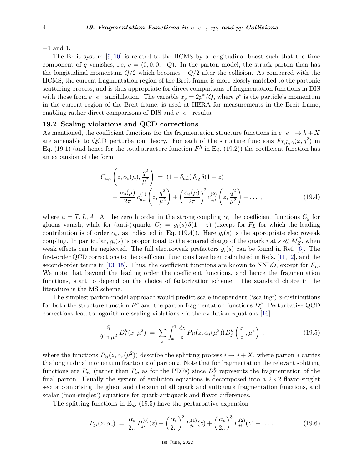−1 and 1.

The Breit system [\[9,](#page-22-7) [10\]](#page-22-8) is related to the HCMS by a longitudinal boost such that the time component of *q* vanishes, i.e,  $q = (0, 0, 0, -Q)$ . In the parton model, the struck parton then has the longitudinal momentum  $Q/2$  which becomes  $-Q/2$  after the collision. As compared with the HCMS, the current fragmentation region of the Breit frame is more closely matched to the partonic scattering process, and is thus appropriate for direct comparisons of fragmentation functions in DIS with those from  $e^+e^-$  annihilation. The variable  $x_p = 2p^*/Q$ , where  $p^*$  is the particle's momentum in the current region of the Breit frame, is used at HERA for measurements in the Breit frame, enabling rather direct comparisons of DIS and  $e^+e^-$  results.

# **19.2 Scaling violations and QCD corrections**

As mentioned, the coefficient functions for the fragmentation structure functions in  $e^+e^- \to h+X$ are amenable to QCD perturbation theory. For each of the structure functions  $F_{T,L,A}(x,q^2)$  in Eq. (19.1) (and hence for the total structure function  $F<sup>h</sup>$  in Eq. (19.2)) the coefficient function has an expansion of the form

$$
C_{a,i}\left(z,\alpha_s(\mu),\frac{q^2}{\mu^2}\right) = (1-\delta_{aL})\,\delta_{iq}\,\delta(1-z) + \frac{\alpha_s(\mu)}{2\pi}c_{a,i}^{(1)}\left(z,\frac{q^2}{\mu^2}\right) + \left(\frac{\alpha_s(\mu)}{2\pi}\right)^2c_{a,i}^{(2)}\left(z,\frac{q^2}{\mu^2}\right) + \dots ,
$$
\n(19.4)

where  $a = T, L, A$ . At the zeroth order in the strong coupling  $\alpha_s$  the coefficient functions  $C_g$  for gluons vanish, while for (anti-) quarks  $C_i = g_i(s) \delta(1-z)$  (except for  $F_L$  for which the leading contribution is of order  $\alpha_s$ , as indicated in Eq. (19.4)). Here  $g_i(s)$  is the appropriate electroweak coupling. In particular,  $g_i(s)$  is proportional to the squared charge of the quark *i* at  $s \ll M_Z^2$ , when weak effects can be neglected. The full electroweak prefactors  $g_i(s)$  can be found in Ref. [\[6\]](#page-22-4). The first-order QCD corrections to the coefficient functions have been calculated in Refs. [\[11,](#page-22-9)[12\]](#page-22-10), and the second-order terms in [\[13](#page-22-11)[–15\]](#page-22-12). Thus, the coefficient functions are known to NNLO, except for  $F_L$ . We note that beyond the leading order the coefficient functions, and hence the fragmentation functions, start to depend on the choice of factorization scheme. The standard choice in the literature is the MS scheme.

The simplest parton-model approach would predict scale-independent ('scaling') *x*-distributions for both the structure function  $F^h$  and the parton fragmentation functions  $D_i^h$ . Perturbative QCD corrections lead to logarithmic scaling violations via the evolution equations [\[16\]](#page-22-13)

$$
\frac{\partial}{\partial \ln \mu^2} D_i^h(x, \mu^2) = \sum_j \int_x^1 \frac{dz}{z} P_{ji}(z, \alpha_s(\mu^2)) D_j^h\left(\frac{x}{z}, \mu^2\right) , \qquad (19.5)
$$

where the functions  $P_{ij}(z, \alpha_s(\mu^2))$  describe the splitting process  $i \to j + X$ , where parton *j* carries the longitudinal momentum fraction *z* of parton *i*. Note that for fragmentation the relevant splitting functions are  $P_{ji}$  (rather than  $P_{ij}$  as for the PDFs) since  $D_j^h$  represents the fragmentation of the final parton. Usually the system of evolution equations is decomposed into a  $2\times 2$  flavor-singlet sector comprising the gluon and the sum of all quark and antiquark fragmentation functions, and scalar ('non-singlet') equations for quark-antiquark and flavor differences.

The splitting functions in Eq. (19.5) have the perturbative expansion

$$
P_{ji}(z,\alpha_s) = \frac{\alpha_s}{2\pi} P_{ji}^{(0)}(z) + \left(\frac{\alpha_s}{2\pi}\right)^2 P_{ji}^{(1)}(z) + \left(\frac{\alpha_s}{2\pi}\right)^3 P_{ji}^{(2)}(z) + \dots, \tag{19.6}
$$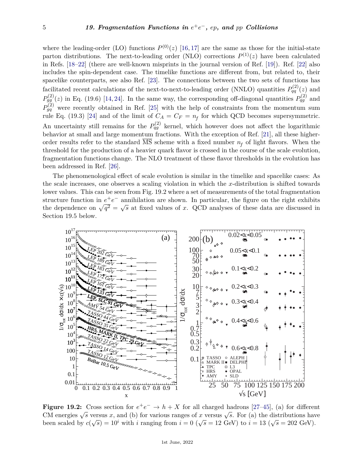where the leading-order (LO) functions  $P^{(0)}(z)$  [\[16,](#page-22-13) [17\]](#page-22-14) are the same as those for the initial-state parton distributions. The next-to-leading order (NLO) corrections  $P^{(1)}(z)$  have been calculated in Refs. [\[18](#page-22-15)[–22\]](#page-22-16) (there are well-known misprints in the journal version of Ref. [\[19\]](#page-22-17)). Ref. [\[22\]](#page-22-16) also includes the spin-dependent case. The timelike functions are different from, but related to, their spacelike counterparts, see also Ref. [\[23\]](#page-22-18). The connections between the two sets of functions has facilitated recent calculations of the next-to-next-to-leading order (NNLO) quantities  $P_{qq}^{(2)}(z)$  and  $P_{gg}^{(2)}(z)$  in Eq. (19.6) [\[14,](#page-22-19) [24\]](#page-22-20). In the same way, the corresponding off-diagonal quantities  $P_{qg}^{(2)}$  and  $P_{gq}^{(2)}$  were recently obtained in Ref. [\[25\]](#page-22-21) with the help of constraints from the momentum sum rule Eq. (19.3) [\[24\]](#page-22-20) and of the limit of  $C_A = C_F = n_f$  for which QCD becomes supersymmetric. An uncertainty still remains for the  $P_{qg}^{(2)}$  kernel, which however does not affect the logarithmic behavior at small and large momentum fractions. With the exception of Ref. [\[21\]](#page-22-22), all these higherorder results refer to the standard MS scheme with a fixed number  $n_f$  of light flavors. When the threshold for the production of a heavier quark flavor is crossed in the course of the scale evolution, fragmentation functions change. The NLO treatment of these flavor thresholds in the evolution has been addressed in Ref. [\[26\]](#page-22-23).

The phenomenological effect of scale evolution is similar in the timelike and spacelike cases: As the scale increases, one observes a scaling violation in which the *x*-distribution is shifted towards lower values. This can be seen from Fig. 19.2 where a set of measurements of the total fragmentation structure function in  $e^+e^-$  annihilation are shown. In particular, the figure on the right exhibits the dependence on  $\sqrt{q^2} = \sqrt{s}$  at fixed values of *x*. QCD analyses of these data are discussed in Section 19.5 below.



**Figure 19.2:** Cross section for  $e^+e^- \to h + X$  for all charged hadrons [\[27–](#page-22-24)[45\]](#page-23-0), (a) for different **CM** energies  $\sqrt{s}$  versus *x*, and (b) for various ranges of *x* versus  $\sqrt{s}$ . For (a) the distributions have been scaled by  $c(\sqrt{s}) = 10^i$  with *i* ranging from  $i = 0$  ( $\sqrt{s} = 12$  GeV) to  $i = 13$  ( $\sqrt{s} = 202$  GeV).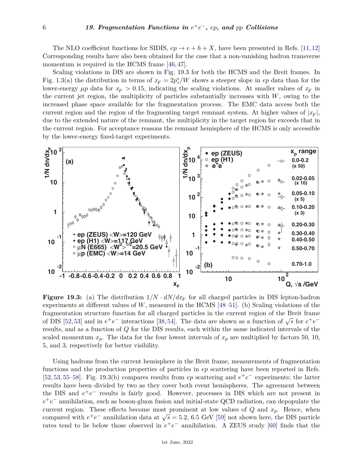The NLO coefficient functions for SIDIS,  $ep \rightarrow e + h + X$ , have been presented in Refs. [\[11,](#page-22-9) [12\]](#page-22-10) Corresponding results have also been obtained for the case that a non-vanishing hadron transverse momentum is required in the HCMS frame [\[46,](#page-23-1)[47\]](#page-23-2).

Scaling violations in DIS are shown in Fig. 19.3 for both the HCMS and the Breit frames. In Fig. 1.3(a) the distribution in terms of  $x_F = 2p_z^*/W$  shows a steeper slope in *ep* data than for the lower-energy  $\mu p$  data for  $x_F > 0.15$ , indicating the scaling violations. At smaller values of  $x_F$  in the current jet region, the multiplicity of particles substantially increases with *W*, owing to the increased phase space available for the fragmentation process. The EMC data access both the current region and the region of the fragmenting target remnant system. At higher values of  $|x_F|$ , due to the extended nature of the remnant, the multiplicity in the target region far exceeds that in the current region. For acceptance reasons the remnant hemisphere of the HCMS is only accessible by the lower-energy fixed-target experiments.



**Figure 19.3:** (a) The distribution  $1/N \cdot dN/dx_F$  for all charged particles in DIS lepton-hadron experiments at different values of *W*, measured in the HCMS [\[48–](#page-23-3)[51\]](#page-23-4). (b) Scaling violations of the fragmentation structure function for all charged particles in the current region of the Breit frame of DIS [\[52,](#page-23-5)[53\]](#page-23-6) and in  $e^+e^-$  interactions [\[38,](#page-23-7)[54\]](#page-23-8). The data are shown as a function of  $\sqrt{s}$  for  $e^+e^$ results, and as a function of *Q* for the DIS results, each within the same indicated intervals of the scaled momentum  $x_p$ . The data for the four lowest intervals of  $x_p$  are multiplied by factors 50, 10, 5, and 3, respectively for better visibility.

Using hadrons from the current hemisphere in the Breit frame, measurements of fragmentation functions and the production properties of particles in *ep* scattering have been reported in Refs. [\[52,](#page-23-5) [53,](#page-23-6) [55–](#page-23-9)[58\]](#page-23-10). Fig. 19.3(b) compares results from *ep* scattering and  $e^+e^-$  experiments; the latter results have been divided by two as they cover both event hemispheres. The agreement between the DIS and  $e^+e^-$  results is fairly good. However, processes in DIS which are not present in *e*<sup>+</sup>*e*<sup>−</sup> annihilation, such as boson-gluon fusion and initial-state QCD radiation, can depopulate the current region. These effects become most prominent at low values of  $Q$  and  $x_p$ . Hence, when compared with  $e^+e^-$  annihilation data at  $\sqrt{s} = 5.2$ , 6.5 GeV [\[59\]](#page-23-11) not shown here, the DIS particle compared with  $e^+e^-$  annihilation data at  $\sqrt{s} = 5.2$ , 6.5 GeV [59] not shown here, the DIS particle rates tend to lie below those observed in  $e^+e^-$  annihilation. A ZEUS study [\[60\]](#page-23-12) finds that the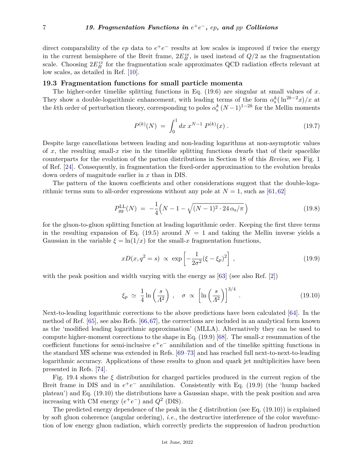direct comparability of the  $ep$  data to  $e^+e^-$  results at low scales is improved if twice the energy in the current hemisphere of the Breit frame,  $2E_B^{\text{cr}}$ , is used instead of  $Q/2$  as the fragmentation scale. Choosing  $2E_B^{\text{cr}}$  for the fragmentation scale approximates QCD radiation effects relevant at low scales, as detailed in Ref. [\[10\]](#page-22-8).

## **19.3 Fragmentation functions for small particle momenta**

The higher-order timelike splitting functions in Eq. (19.6) are singular at small values of *x*. They show a double-logarithmic enhancement, with leading terms of the form  $\alpha_s^k(\ln^{2k-2}x)/x$  at the *k*<sup>th</sup> order of perturbation theory, corresponding to poles  $\alpha_s^k (N-1)^{1-2k}$  for the Mellin moments

$$
P^{(k)}(N) = \int_0^1 dx \, x^{N-1} \, P^{(k)}(x) \, . \tag{19.7}
$$

Despite large cancellations between leading and non-leading logarithms at non-asymptotic values of x, the resulting small-x rise in the timelike splitting functions dwarfs that of their spacelike counterparts for the evolution of the parton distributions in Section 18 of this *Review*, see Fig. 1 of Ref. [\[24\]](#page-22-20). Consequently, in fragmentation the fixed-order approximation to the evolution breaks down orders of magnitude earlier in *x* than in DIS.

The pattern of the known coefficients and other considerations suggest that the double-logarithmic terms sum to all-order expressions without any pole at  $N = 1$ , such as [\[61,](#page-23-13)[62\]](#page-23-14)

$$
P_{gg}^{\text{LL}}(N) = -\frac{1}{4}\left(N - 1 - \sqrt{(N - 1)^2 \cdot 24 \alpha_s/\pi}\right)
$$
\n(19.8)

for the gluon-to-gluon splitting function at leading logarithmic order. Keeping the first three terms in the resulting expansion of Eq.  $(19.5)$  around  $N = 1$  and taking the Mellin inverse yields a Gaussian in the variable  $\xi = \ln(1/x)$  for the small-x fragmentation functions,

$$
xD(x, q^2 = s) \propto \exp\left[-\frac{1}{2\sigma^2}(\xi - \xi_p)^2\right],
$$
\n(19.9)

with the peak position and width varying with the energy as [\[63\]](#page-23-15) (see also Ref. [\[2\]](#page-22-1))

$$
\xi_p \simeq \frac{1}{4} \ln \left( \frac{s}{\Lambda^2} \right) , \quad \sigma \propto \left[ \ln \left( \frac{s}{\Lambda^2} \right) \right]^{3/4} . \tag{19.10}
$$

Next-to-leading logarithmic corrections to the above predictions have been calculated [\[64\]](#page-23-16). In the method of Ref. [\[65\]](#page-24-0), see also Refs. [\[66,](#page-24-1)[67\]](#page-24-2), the corrections are included in an analytical form known as the 'modified leading logarithmic approximation' (MLLA). Alternatively they can be used to compute higher-moment corrections to the shape in Eq. (19.9) [\[68\]](#page-24-3). The small-*x* resummation of the coefficient functions for semi-inclusive  $e^+e^-$  annihilation and of the timelike spitting functions in the standard  $\overline{\text{MS}}$  scheme was extended in Refs. [\[69–](#page-24-4)[73\]](#page-24-5) and has reached full next-to-next-to-leading logarithmic accuracy. Applications of these results to gluon and quark jet multiplicities have been presented in Refs. [\[74\]](#page-24-6).

Fig. 19.4 shows the *ξ* distribution for charged particles produced in the current region of the Breit frame in DIS and in  $e^+e^-$  annihilation. Consistently with Eq. (19.9) (the 'hump backed plateau') and Eq. (19.10) the distributions have a Gaussian shape, with the peak position and area increasing with CM energy  $(e^+e^-)$  and  $Q^2$  (DIS).

The predicted energy dependence of the peak in the  $\xi$  distribution (see Eq. (19.10)) is explained by soft gluon coherence (angular ordering), *i.e.*, the destructive interference of the color wavefunction of low energy gluon radiation, which correctly predicts the suppression of hadron production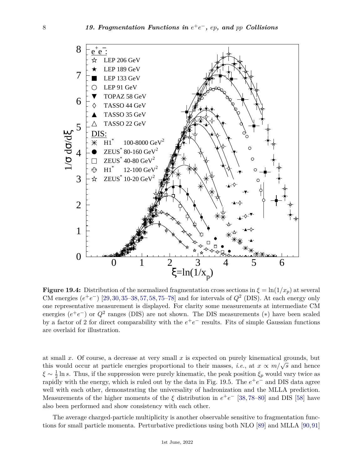

**Figure 19.4:** Distribution of the normalized fragmentation cross sections in  $\xi = \ln(1/x_p)$  at several CM energies  $(e^+e^-)$  [\[29,](#page-23-17)[30,](#page-23-18)[35–](#page-23-19)[38,](#page-23-7)[57,](#page-23-20)[58,](#page-23-10)[75–](#page-24-7)[78\]](#page-24-8) and for intervals of  $Q^2$  (DIS). At each energy only one representative measurement is displayed. For clarity some measurements at intermediate CM energies  $(e^+e^-)$  or  $Q^2$  ranges (DIS) are not shown. The DIS measurements (\*) have been scaled by a factor of 2 for direct comparability with the  $e^+e^-$  results. Fits of simple Gaussian functions are overlaid for illustration.

at small *x*. Of course, a decrease at very small *x* is expected on purely kinematical grounds, but this would occur at particle energies proportional to their masses, *i.e.*, at  $x \propto m/\sqrt{s}$  and hence  $\xi \sim \frac{1}{2}$  $\frac{1}{2}$  ln *s*. Thus, if the suppression were purely kinematic, the peak position  $\xi_p$  would vary twice as rapidly with the energy, which is ruled out by the data in Fig. 19.5. The  $e^+e^-$  and DIS data agree well with each other, demonstrating the universality of hadronization and the MLLA prediction. Measurements of the higher moments of the  $\xi$  distribution in  $e^+e^-$  [\[38,](#page-23-7)[78–](#page-24-8)[80\]](#page-24-9) and DIS [\[58\]](#page-23-10) have also been performed and show consistency with each other.

The average charged-particle multiplicity is another observable sensitive to fragmentation functions for small particle momenta. Perturbative predictions using both NLO [\[89\]](#page-24-10) and MLLA [\[90,](#page-24-11)[91\]](#page-24-12)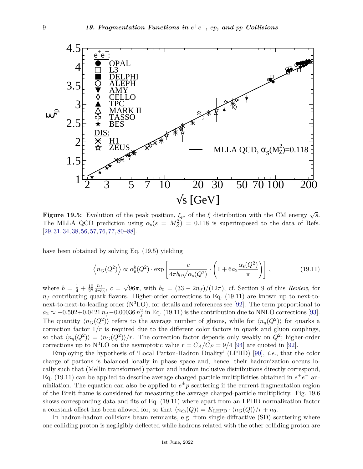

**Figure 19.5:** Evolution of the peak position,  $\xi_p$ , of the  $\xi$  distribution with the CM energy  $\sqrt{s}$ . The MLLA QCD prediction using  $\alpha_s(s = M_Z^2) = 0.118$  is superimposed to the data of Refs. [\[29,](#page-23-17) [31,](#page-23-21) [34,](#page-23-22) [38,](#page-23-7) [56,](#page-23-23) [57,](#page-23-20) [76,](#page-24-13) [77,](#page-24-14) [80–](#page-24-9)[88\]](#page-24-15).

have been obtained by solving Eq. (19.5) yielding

$$
\left\langle n_G(Q^2) \right\rangle \propto \alpha_s^b(Q^2) \cdot \exp\left[\frac{c}{4\pi b_0 \sqrt{\alpha_s(Q^2)}} \cdot \left(1 + 6a_2 \frac{\alpha_s(Q^2)}{\pi}\right)\right],\tag{19.11}
$$

where  $b = \frac{1}{4} + \frac{10}{27}$ 27 *nf*  $\frac{n_f}{4\pi b_0},\ c=$ √ 96 $\pi$ , with  $b_0 = (33 - 2n_f)/(12\pi)$ , cf. Section 9 of this *Review*, for  $n_f$  contributing quark flavors. Higher-order corrections to Eq. (19.11) are known up to next-tonext-to-next-to-leading order  $(N<sup>3</sup>LO)$ , for details and references see [\[92\]](#page-24-16). The term proportional to  $a_2 \approx -0.502 + 0.0421 n_f - 0.00036 n_f^2$  in Eq. (19.11) is the contribution due to NNLO corrections [\[93\]](#page-24-17). The quantity  $\langle n_G(Q^2) \rangle$  refers to the average number of gluons, while for  $\langle n_q(Q^2) \rangle$  for quarks a correction factor  $1/r$  is required due to the different color factors in quark and gluon couplings, so that  $\langle n_q(Q^2) \rangle = \langle n_G(Q^2) \rangle / r$ . The correction factor depends only weakly on  $Q^2$ ; higher-order corrections up to  $N^3LO$  on the asymptotic value  $r = C_A/C_F = 9/4$  [\[94\]](#page-24-18) are quoted in [\[92\]](#page-24-16).

Employing the hypothesis of 'Local Parton-Hadron Duality' (LPHD) [\[90\]](#page-24-11), *i.e.*, that the color charge of partons is balanced locally in phase space and, hence, their hadronization occurs locally such that (Mellin transformed) parton and hadron inclusive distributions directly correspond, Eq. (19.11) can be applied to describe average charged particle multiplicities obtained in  $e^+e^-$  annihilation. The equation can also be applied to  $e^{\pm}p$  scattering if the current fragmentation region of the Breit frame is considered for measuring the average charged-particle multiplicity. Fig. 19.6 shows corresponding data and fits of Eq. (19.11) where apart from an LPHD normalization factor a constant offset has been allowed for, so that  $\langle n_{\text{ch}}(Q) \rangle = K_{\text{LHPD}} \cdot \langle n_G(Q) \rangle / r + n_0$ .

In hadron-hadron collisions beam remnants, e.g. from single-diffractive (SD) scattering where one colliding proton is negligibly deflected while hadrons related with the other colliding proton are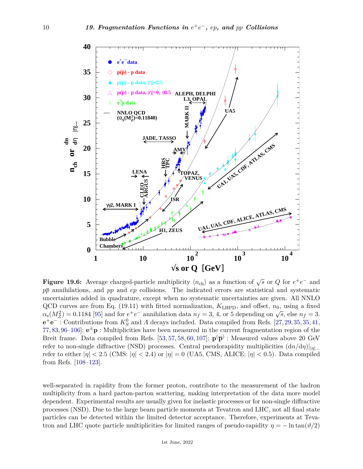

**Figure 19.6:** Average charged-particle multiplicity  $\langle n_{ch} \rangle$  as a function of  $\sqrt{s}$  or *Q* for  $e^+e^-$  and *pp* annihilations, and *pp* and *ep* collisions. The indicated errors are statistical and systematic uncertainties added in quadrature, except when no systematic uncertainties are given. All NNLO QCD curves are from Eq. (19.11) with fitted normalization, *K*LHPD, and offset, *n*0, using a fixed  $\alpha_s(M_Z^2) = 0.1184$  [\[95\]](#page-24-19) and for *e*<sup>+</sup>*e*<sup>-</sup> annihilation data  $n_f = 3$ , 4, or 5 depending on  $\sqrt{s}$ , else  $n_f = 3$ .  $e^+e^-$ : Contributions from  $K_S^0$  and *Λ* decays included. Data compiled from Refs. [\[27,](#page-22-24) [29,](#page-23-17) 35, 35, [41,](#page-23-24) [77,](#page-24-14) [83,](#page-24-20) [96–](#page-24-21)[106\]](#page-25-0);  $e^{\pm}p$  : Multiplicities have been measured in the current fragmentation region of the Breit frame. Data compiled from Refs. [\[53,](#page-23-6) [57,](#page-23-20) [58,](#page-23-10) [60,](#page-23-12) [107\]](#page-25-1);  $\mathbf{p}(\overline{\mathbf{p}})$ : Measured values above 20 GeV refer to non-single diffractive (NSD) processes. Central pseudorapidity multiplicities (d*n/*d*η*)||*η*|*...* refer to either  $|\eta| < 2.5$  (CMS:  $|\eta| < 2.4$ ) or  $|\eta| = 0$  (UA5, CMS, ALICE:  $|\eta| < 0.5$ ). Data compiled from Refs. [\[108](#page-25-2)[–123\]](#page-25-3).

well-separated in rapidity from the former proton, contribute to the measurement of the hadron multiplicity from a hard parton-parton scattering, making interpretation of the data more model dependent. Experimental results are usually given for inelastic processes or for non-single diffractive processes (NSD). Due to the large beam particle momenta at Tevatron and LHC, not all final state particles can be detected within the limited detector acceptance. Therefore, experiments at Tevatron and LHC quote particle multiplicities for limited ranges of pseudo-rapidity  $\eta = -\ln \tan(\vartheta/2)$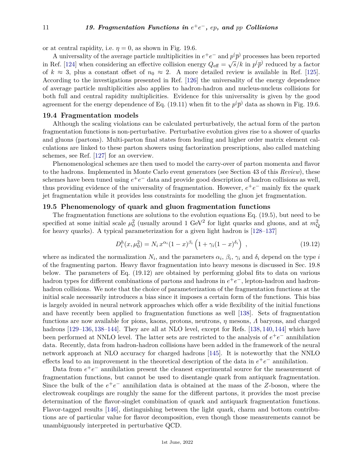or at central rapidity, i.e.  $\eta = 0$ , as shown in Fig. 19.6.

A universality of the average particle multiplicities in  $e^+e^-$  and  $p(\bar{p})$  processes has been reported in Ref. [\[124\]](#page-25-4) when considering an effective collision energy  $Q_{\text{eff}} = \sqrt{s}/k$  in  $p(\overline{p})$  reduced by a factor of  $k \approx 3$ , plus a constant offset of  $n_0 \approx 2$ . A more detailed review is available in Ref. [\[125\]](#page-25-5). According to the investigations presented in Ref. [\[126\]](#page-25-6) the universality of the energy dependence of average particle multiplicities also applies to hadron-hadron and nucleus-nucleus collisions for both full and central rapidity multiplicities. Evidence for this universality is given by the good agreement for the energy dependence of Eq. (19.11) when fit to the  $p(\overline{p})$  data as shown in Fig. 19.6.

### **19.4 Fragmentation models**

Although the scaling violations can be calculated perturbatively, the actual form of the parton fragmentation functions is non-perturbative. Perturbative evolution gives rise to a shower of quarks and gluons (partons). Multi-parton final states from leading and higher order matrix element calculations are linked to these parton showers using factorization prescriptions, also called matching schemes, see Ref. [\[127\]](#page-25-7) for an overview.

Phenomenological schemes are then used to model the carry-over of parton momenta and flavor to the hadrons. Implemented in Monte Carlo event generators (see Section 43 of this *Review*), these schemes have been tuned using  $e^+e^-$  data and provide good description of hadron collisions as well, thus providing evidence of the universality of fragmentation. However,  $e^+e^-$  mainly fix the quark jet fragmentation while it provides less constraints for modelling the gluon jet fragmentation.

### **19.5 Phenomenology of quark and gluon fragmentation functions**

The fragmentation functions are solutions to the evolution equations Eq. (19.5), but need to be specified at some initial scale  $\mu_0^2$  (usually around 1 GeV<sup>2</sup> for light quarks and gluons, and at  $m_Q^2$ for heavy quarks). A typical parameterization for a given light hadron is [\[128–](#page-25-8)[137\]](#page-26-0)

$$
D_i^h(x, \mu_0^2) = N_i x^{\alpha_i} (1 - x)^{\beta_i} \left( 1 + \gamma_i (1 - x)^{\delta_i} \right) , \qquad (19.12)
$$

where as indicated the normalization  $N_i$ , and the parameters  $\alpha_i$ ,  $\beta_i$ ,  $\gamma_i$  and  $\delta_i$  depend on the type *i* of the fragmenting parton. Heavy flavor fragmentation into heavy mesons is discussed in Sec. 19.8 below. The parameters of Eq. (19.12) are obtained by performing global fits to data on various hadron types for different combinations of partons and hadrons in  $e^+e^-$ , lepton-hadron and hadronhadron collisions. We note that the choice of parameterization of the fragmentation functions at the initial scale necessarily introduces a bias since it imposes a certain form of the functions. This bias is largely avoided in neural network approaches which offer a wide flexibility of the initial functions and have recently been applied to fragmentation functions as well [\[138\]](#page-26-1). Sets of fragmentation functions are now available for pions, kaons, protons, neutrons, *η* mesons, *Λ* baryons, and charged hadrons [\[129](#page-25-9)[–136,](#page-26-2) [138–](#page-26-1)[144\]](#page-26-3). They are all at NLO level, except for Refs. [\[138,](#page-26-1) [140,](#page-26-4) 144] which have been performed at NNLO level. The latter sets are restricted to the analysis of  $e^+e^-$  annihilation data. Recently, data from hadron-hadron collisions have been added in the framework of the neural network approach at NLO accuracy for charged hadrons [\[145\]](#page-26-5). It is noteworthy that the NNLO effects lead to an improvement in the theoretical description of the data in  $e^+e^-$  annihilation.

Data from  $e^+e^-$  annihilation present the cleanest experimental source for the measurement of fragmentation functions, but cannot be used to disentangle quark from antiquark fragmentation. Since the bulk of the  $e^+e^-$  annihilation data is obtained at the mass of the *Z*-boson, where the electroweak couplings are roughly the same for the different partons, it provides the most precise determination of the flavor-singlet combination of quark and antiquark fragmentation functions. Flavor-tagged results [\[146\]](#page-26-6), distinguishing between the light quark, charm and bottom contributions are of particular value for flavor decomposition, even though those measurements cannot be unambiguously interpreted in perturbative QCD.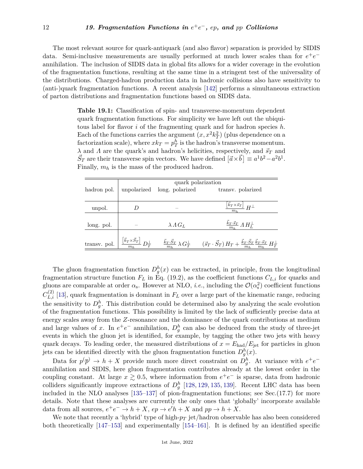The most relevant source for quark-antiquark (and also flavor) separation is provided by SIDIS data. Semi-inclusive measurements are usually performed at much lower scales than for  $e^+e^$ annihilation. The inclusion of SIDIS data in global fits allows for a wider coverage in the evolution of the fragmentation functions, resulting at the same time in a stringent test of the universality of the distributions. Charged-hadron production data in hadronic collisions also have sensitivity to (anti-)quark fragmentation functions. A recent analysis [\[142\]](#page-26-7) performs a simultaneous extraction of parton distributions and fragmentation functions based on SIDIS data.

> **Table 19.1:** Classification of spin- and transverse-momentum dependent quark fragmentation functions. For simplicity we have left out the ubiquitous label for flavor *i* of the fragmenting quark and for hadron species *h*. Each of the functions carries the argument  $(x, x^2k_T^2)$  (plus dependence on a factorization scale), where  $xk_T = p_T^h$  is the hadron's transverse momentum. *λ* and *Λ* are the quark's and hadron's helicities, respectively, and  $\vec{s}_T$  and  $\vec{S}_T$  are their transverse spin vectors. We have defined  $[\vec{a} \times \vec{b}] \equiv a^1b^2 - a^2b^1$ . Finally, *m<sup>h</sup>* is the mass of the produced hadron.

|              |                                                                             | quark polarization          |                                                                                                                                                                                     |  |
|--------------|-----------------------------------------------------------------------------|-----------------------------|-------------------------------------------------------------------------------------------------------------------------------------------------------------------------------------|--|
| hadron pol.  |                                                                             | unpolarized long. polarized | transv. polarized                                                                                                                                                                   |  |
|              |                                                                             |                             |                                                                                                                                                                                     |  |
| unpol.       |                                                                             |                             | $\frac{\left[\vec{k}_T \times \vec{s}_T\right]}{H}$ $H^{\perp}$<br>m <sub>b</sub>                                                                                                   |  |
|              |                                                                             |                             |                                                                                                                                                                                     |  |
| long. pol.   |                                                                             | $\lambda \Lambda G_L$       | $\frac{\vec{k}_T \cdot \vec{s}_T}{m_h} \Lambda H_L^{\perp}$                                                                                                                         |  |
|              |                                                                             |                             |                                                                                                                                                                                     |  |
| transv. pol. | $\frac{\left[\vec{k}_{T} \times \vec{S}_{T}\right]}{m_{h}}$ $D_{T}^{\perp}$ |                             | $\frac{\vec{k}_T\cdot\vec{S}_T}{m_h}\,\lambda\,G_T^\perp \qquad (\vec{s}_T\cdot\vec{S}_T)\,H_T + \frac{\vec{k}_T\cdot\vec{S}_T}{m_h}\frac{\vec{k}_T\cdot\vec{s}_T}{m_h}\,H_T^\perp$ |  |

The gluon fragmentation function  $D_g^h(x)$  can be extracted, in principle, from the longitudinal fragmentation structure function  $F_L$  in Eq. (19.2), as the coefficient functions  $C_{L,i}$  for quarks and gluons are comparable at order  $\alpha_s$ . However at NLO, *i.e.*, including the  $\mathcal{O}(\alpha_s^2)$  coefficient functions  $C_{L,i}^{(2)}$  [\[13\]](#page-22-11), quark fragmentation is dominant in  $F_L$  over a large part of the kinematic range, reducing the sensitivity to  $D_g^h$ . This distribution could be determined also by analyzing the scale evolution of the fragmentation functions. This possibility is limited by the lack of sufficiently precise data at energy scales away from the *Z*-resonance and the dominance of the quark contributions at medium and large values of *x*. In  $e^+e^-$  annihilation,  $D_g^h$  can also be deduced from the study of three-jet events in which the gluon jet is identified, for example, by tagging the other two jets with heavy quark decays. To leading order, the measured distributions of  $x = E_{\text{had}}/E_{\text{jet}}$  for particles in gluon jets can be identified directly with the gluon fragmentation function  $D_g^h(x)$ .

Data for  $p(\bar{p}) \to h + X$  provide much more direct constraint on  $D_g^h$ . At variance with  $e^+e^$ annihilation and SIDIS, here gluon fragmentation contributes already at the lowest order in the coupling constant. At large  $x \geq 0.5$ , where information from  $e^+e^-$  is sparse, data from hadronic colliders significantly improve extractions of  $D_g^h$  [\[128,](#page-25-8) [129,](#page-25-9) [135,](#page-26-8) [139\]](#page-26-9). Recent LHC data has been included in the NLO analyses  $[135-137]$  $[135-137]$  of pion-fragmentation functions; see Sec. $(17.7)$  for more details. Note that these analyses are currently the only ones that 'globally' incorporate available data from all sources,  $e^+e^- \to h + X$ ,  $ep \to e'h + X$  and  $pp \to h + X$ .

We note that recently a 'hybrid' type of high-*p<sup>T</sup>* jet/hadron observable has also been considered both theoretically [\[147–](#page-26-10)[153\]](#page-26-11) and experimentally [\[154–](#page-26-12)[161\]](#page-26-13). It is defined by an identified specific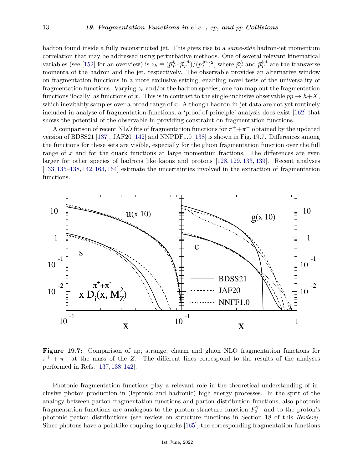hadron found inside a fully reconstructed jet. This gives rise to a *same-side* hadron-jet momentum correlation that may be addressed using perturbative methods. One of several relevant kinematical variables (see [\[152\]](#page-26-14) for an overview) is  $z_h \equiv (\vec{p}_T^h \cdot \vec{p}_T^{\text{jet}})$  $\binom{jet}{T}/\binom{jet}{T}$  $\vec{p}_T^{\text{jet}}$ )<sup>2</sup>, where  $\vec{p}_T^h$  and  $\vec{p}_T^{\text{jet}}$  $T^{\text{jet}}$  are the transverse momenta of the hadron and the jet, respectively. The observable provides an alternative window on fragmentation functions in a more exclusive setting, enabling novel tests of the universality of fragmentation functions. Varying  $z_h$  and/or the hadron species, one can map out the fragmentation functions 'locally' as functions of *x*. This is in contrast to the single-inclusive observable  $pp \rightarrow h+X$ , which inevitably samples over a broad range of *x*. Although hadron-in-jet data are not yet routinely included in analyse of fragmentation functions, a 'proof-of-principle' analysis does exist [\[162\]](#page-26-15) that shows the potential of the observable in providing constraint on fragmentation functions.

A comparison of recent NLO fits of fragmentation functions for  $\pi^+ + \pi^-$  obtained by the updated version of BDSS21 [\[137\]](#page-26-0), JAF20 [\[142\]](#page-26-7) and NNPDF1.0 [\[138\]](#page-26-1) is shown in Fig. 19.7. Differences among the functions for these sets are visible, especially for the gluon fragmentation function over the full range of x and for the quark functions at large momentum fractions. The differences are even larger for other species of hadrons like kaons and protons [\[128,](#page-25-8) [129,](#page-25-9) [133,](#page-25-10) [139\]](#page-26-9). Recent analyses [\[133,](#page-25-10) [135](#page-26-8)[–138,](#page-26-1) [142,](#page-26-7) [163,](#page-26-16) [164\]](#page-26-17) estimate the uncertainties involved in the extraction of fragmentation functions.



**Figure 19.7:** Comparison of up, strange, charm and gluon NLO fragmentation functions for  $\pi^+ + \pi^-$  at the mass of the *Z*. The different lines correspond to the results of the analyses performed in Refs. [\[137,](#page-26-0) [138,](#page-26-1) [142\]](#page-26-7).

Photonic fragmentation functions play a relevant role in the theoretical understanding of inclusive photon production in (leptonic and hadronic) high energy processes. In the sprit of the analogy between parton fragmentation functions and parton distribution functions, also photonic fragmentation functions are analogous to the photon structure function  $F_2^{\gamma}$  $2^{\gamma}$  and to the proton's photonic parton distributions (see review on structure functions in Section 18 of this *Review*). Since photons have a pointlike coupling to quarks [\[165\]](#page-26-18), the corresponding fragmentation functions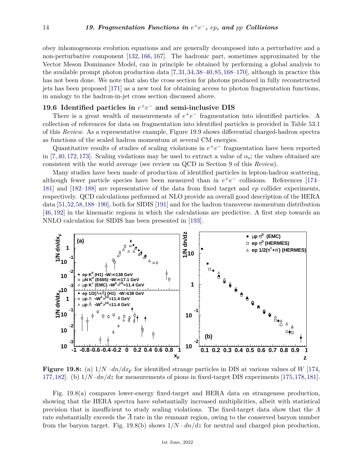obey inhomogeneous evolution equations and are generally decomposed into a perturbative and a non-perturbative component [\[132,](#page-25-11) [166,](#page-26-19) [167\]](#page-27-0). The hadronic part, sometimes approximated by the Vector Meson Dominance Model, can in principle be obtained by performing a global analysis to the available prompt photon production data [\[7,](#page-22-5)[31,](#page-23-21)[34,](#page-23-22)[38–](#page-23-7)[40,](#page-23-25)[85,](#page-24-22)[168–](#page-27-1)[170\]](#page-27-2), although in practice this has not been done. We note that also the cross section for photons produced in fully reconstructed jets has been proposed [\[171\]](#page-27-3) as a new tool for obtaining access to photon fragmentation functions, in analogy to the hadron-in-jet cross section discussed above.

# **19.6 Identified particles in**  $e^+e^-$  and semi-inclusive DIS

There is a great wealth of measurements of  $e^+e^-$  fragmentation into identified particles. A collection of references for data on fragmentation into identified particles is provided in Table 53.1 of this *Review*. As a representative example, Figure 19.9 shows differential charged-hadron spectra as functions of the scaled hadron momentum at several CM energies.

Quantitative results of studies of scaling violations in  $e^+e^-$  fragmentation have been reported in [\[7,](#page-22-5) [40,](#page-23-25) [172,](#page-27-4) [173\]](#page-27-5). Scaling violations may be used to extract a value of  $\alpha_s$ ; the values obtained are consistent with the world average (see review on QCD in Section 9 of this *Review*).

Many studies have been made of production of identified particles in lepton-hadron scattering, although fewer particle species have been measured than in  $e^+e^-$  collisions. References [\[174–](#page-27-6) [181\]](#page-27-7) and [\[182–](#page-27-8)[188\]](#page-27-9) are representative of the data from fixed target and *ep* collider experiments, respectively. QCD calculations performed at NLO provide an overall good description of the HERA data [\[51,](#page-23-4)[52,](#page-23-5)[58,](#page-23-10)[188–](#page-27-9)[190\]](#page-27-10), both for SIDIS [\[191\]](#page-27-11) and for the hadron transverse momentum distribution [\[46,](#page-23-1) [192\]](#page-27-12) in the kinematic regions in which the calculations are predictive. A first step towards an NNLO calculation for SIDIS has been presented in [\[193\]](#page-27-13).



**Figure 19.8:** (a)  $1/N \cdot dn/dx_F$  for identified strange particles in DIS at various values of *W* [\[174,](#page-27-6) [177,](#page-27-14)[182\]](#page-27-8). (b) 1*/N* ·*dn/dz* for measurements of pions in fixed-target DIS experiments [\[175,](#page-27-15)[178,](#page-27-16)[181\]](#page-27-7).

Fig. 19.8(a) compares lower-energy fixed-target and HERA data on strangeness production, showing that the HERA spectra have substantially increased multiplicities, albeit with statistical precision that is insufficient to study scaling violations. The fixed-target data show that the *Λ* rate substantially exceeds the *Λ* rate in the remnant region, owing to the conserved baryon number from the baryon target. Fig. 19.8(b) shows  $1/N \cdot dn/dz$  for neutral and charged pion production,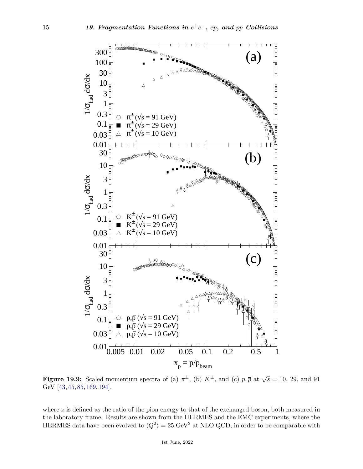

**Figure 19.9:** Scaled momentum spectra of (a)  $\pi^{\pm}$ , (b)  $K^{\pm}$ , and (c)  $p, \overline{p}$  at  $\sqrt{s} = 10, 29,$  and 91 GeV [\[43,](#page-23-26) [45,](#page-23-0) [85,](#page-24-22) [169,](#page-27-17) [194\]](#page-27-18).

where *z* is defined as the ratio of the pion energy to that of the exchanged boson, both measured in the laboratory frame. Results are shown from the HERMES and the EMC experiments, where the HERMES data have been evolved to  $\langle Q^2 \rangle = 25 \text{ GeV}^2$  at NLO QCD, in order to be comparable with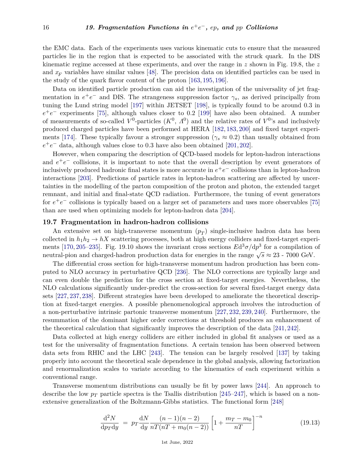the EMC data. Each of the experiments uses various kinematic cuts to ensure that the measured particles lie in the region that is expected to be associated with the struck quark. In the DIS kinematic regime accessed at these experiments, and over the range in *z* shown in Fig. 19.8, the *z* and  $x_F$  variables have similar values [\[48\]](#page-23-3). The precision data on identified particles can be used in the study of the quark flavor content of the proton [\[163,](#page-26-16) [195,](#page-27-19) [196\]](#page-27-20).

Data on identified particle production can aid the investigation of the universality of jet fragmentation in  $e^+e^-$  and DIS. The strangeness suppression factor  $\gamma_s$ , as derived principally from tuning the Lund string model [\[197\]](#page-27-21) within JETSET [\[198\]](#page-27-22), is typically found to be around 0*.*3 in  $e^+e^-$  experiments [\[75\]](#page-24-7), although values closer to 0.2 [\[199\]](#page-27-23) have also been obtained. A number of measurements of so-called  $V^0$ -particles  $(K^0, \Lambda^0)$  and the relative rates of  $V^0$ 's and inclusively produced charged particles have been performed at HERA [\[182,](#page-27-8) [183,](#page-27-24) [200\]](#page-27-25) and fixed target experi-ments [\[174\]](#page-27-6). These typically favour a stronger suppression ( $\gamma_s \approx 0.2$ ) than usually obtained from  $e^+e^-$  data, although values close to 0.3 have also been obtained [\[201,](#page-27-26) [202\]](#page-28-0).

However, when comparing the description of QCD-based models for lepton-hadron interactions and  $e^+e^-$  collisions, it is important to note that the overall description by event generators of  $\frac{1}{2}$  inclusively produced hadronic final states is more accurate in  $e^+e^-$  collisions than in lepton-hadron interactions [\[203\]](#page-28-1). Predictions of particle rates in lepton-hadron scattering are affected by uncertainties in the modelling of the parton composition of the proton and photon, the extended target remnant, and initial and final-state QCD radiation. Furthermore, the tuning of event generators for  $e^+e^-$  collisions is typically based on a larger set of parameters and uses more observables [\[75\]](#page-24-7) than are used when optimizing models for lepton-hadron data [\[204\]](#page-28-2).

#### **19.7 Fragmentation in hadron-hadron collisions**

An extensive set on high-transverse momentum (*p<sup>T</sup>* ) single-inclusive hadron data has been collected in  $h_1h_2 \to hX$  scattering processes, both at high energy colliders and fixed-target experi-ments [\[170,](#page-27-2) [205](#page-28-3)[–235\]](#page-28-4). Fig. 19.10 shows the invariant cross sections  $Ed^3\sigma/dp^3$  for a compilation of nents [110, 200–200]. Fig. 19.10 shows the invariant cross sections *E*d  $\sigma/\psi$  for a compilation neutral-pion and charged-hadron production data for energies in the range  $\sqrt{s} \approx 23$  - 7000 GeV.

The differential cross section for high-transverse momentum hadron production has been computed to NLO accuracy in perturbative QCD [\[236\]](#page-28-5). The NLO corrections are typically large and can even double the prediction for the cross section at fixed-target energies. Nevertheless, the NLO calculations significantly under-predict the cross-section for several fixed-target energy data sets [\[227,](#page-28-6) [237,](#page-29-0) [238\]](#page-29-1). Different strategies have been developed to ameliorate the theoretical description at fixed-target energies. A possible phenomenological approach involves the introduction of a non-perturbative intrinsic partonic transverse momentum [\[227,](#page-28-6) [232,](#page-28-7) [239,](#page-29-2) [240\]](#page-29-3). Furthermore, the resummation of the dominant higher order corrections at threshold produces an enhancement of the theoretical calculation that significantly improves the description of the data [\[241,](#page-29-4) [242\]](#page-29-5).

Data collected at high energy colliders are either included in global fit analyses or used as a test for the universality of fragmentation functions. A certain tension has been observed between data sets from RHIC and the LHC [\[243\]](#page-29-6). The tension can be largely resolved [\[137\]](#page-26-0) by taking properly into account the theoretical scale dependence in the global analysis, allowing factorization and renormalization scales to variate according to the kinematics of each experiment within a conventional range.

Transverse momentum distributions can usually be fit by power laws [\[244\]](#page-29-7). An approach to describe the low  $p_T$  particle spectra is the Tsallis distribution [\[245–](#page-29-8)[247\]](#page-29-9), which is based on a nonextensive generalization of the Boltzmann-Gibbs statistics. The functional form [\[248\]](#page-29-10)

$$
\frac{\mathrm{d}^2 N}{\mathrm{d}p_T \mathrm{d}y} \ = \ p_T \frac{\mathrm{d}N}{\mathrm{d}y} \frac{(n-1)(n-2)}{nT(nT + m_0(n-2))} \left[ 1 + \frac{m_T - m_0}{nT} \right]^{-n} \tag{19.13}
$$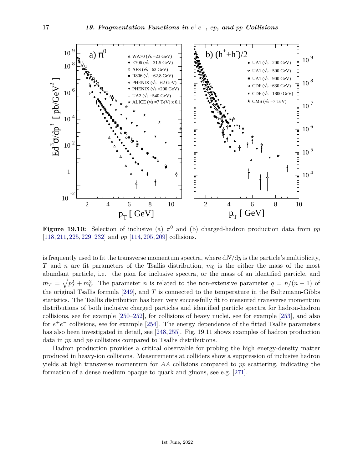

**Figure 19.10:** Selection of inclusive (a) *π* <sup>0</sup> and (b) charged-hadron production data from *pp* [\[118,](#page-25-12) [211,](#page-28-8) [225,](#page-28-9) [229](#page-28-10)[–232\]](#page-28-7) and  $p\bar{p}$  [\[114,](#page-25-13) [205,](#page-28-3) [209\]](#page-28-11) collisions.

is frequently used to fit the transverse momentum spectra, where  $dN/dy$  is the particle's multiplicity, *T* and *n* are fit parameters of the Tsallis distribution,  $m_0$  is the either the mass of the most abundant particle, i.e. the pion for inclusive spectra, or the mass of an identified particle, and  $m_T = \sqrt{p_T^2 + m_0^2}$ . The parameter *n* is related to the non-extensive parameter  $q = n/(n-1)$  of the original Tsallis formula [\[249\]](#page-29-11), and *T* is connected to the temperature in the Boltzmann-Gibbs statistics. The Tsallis distribution has been very successfully fit to measured transverse momentum distributions of both inclusive charged particles and identified particle spectra for hadron-hadron collisions, see for example [\[250–](#page-29-12)[252\]](#page-29-13), for collisions of heavy nuclei, see for example [\[253\]](#page-29-14), and also for  $e^+e^-$  collisions, see for example [\[254\]](#page-29-15). The energy dependence of the fitted Tsallis parameters has also been investigated in detail, see [\[248,](#page-29-10)[255\]](#page-29-16). Fig. 19.11 shows examples of hadron production data in  $pp$  and  $p\bar{p}$  collisions compared to Tsallis distributions.

Hadron production provides a critical observable for probing the high energy-density matter produced in heavy-ion collisions. Measurements at colliders show a suppression of inclusive hadron yields at high transverse momentum for *AA* collisions compared to *pp* scattering, indicating the formation of a dense medium opaque to quark and gluons, see e.g. [\[271\]](#page-29-17).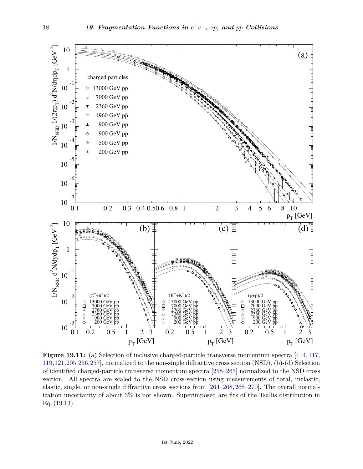

**Figure 19.11:** (a) Selection of inclusive charged-particle transverse momentum spectra [\[114,](#page-25-13) [117,](#page-25-14) [119,](#page-25-15)[121,](#page-25-16)[205,](#page-28-3)[256,](#page-29-18)[257\]](#page-29-19), normalized to the non-single diffractive cross section (NSD). (b)-(d) Selection of identified charged-particle transverse momentum spectra [\[258–](#page-29-20)[263\]](#page-29-21) normalized to the NSD cross section. All spectra are scaled to the NSD cross-section using measurements of total, inelastic, elastic, single, or non-single diffractive cross sections from [\[264–](#page-29-22)[268,](#page-29-23) [268–](#page-29-23)[270\]](#page-29-24). The overall normalization uncertainty of about 3% is not shown. Superimposed are fits of the Tsallis distribution in Eq. (19.13).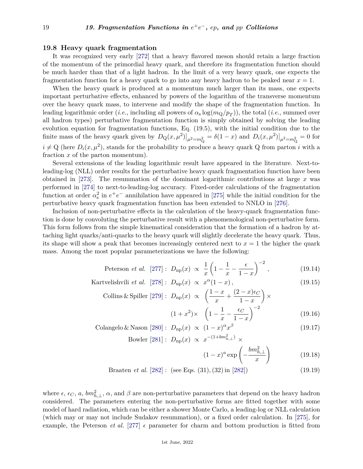# **19.8 Heavy quark fragmentation**

It was recognized very early [\[272\]](#page-30-0) that a heavy flavored meson should retain a large fraction of the momentum of the primordial heavy quark, and therefore its fragmentation function should be much harder than that of a light hadron. In the limit of a very heavy quark, one expects the fragmentation function for a heavy quark to go into any heavy hadron to be peaked near *x* = 1.

When the heavy quark is produced at a momentum much larger than its mass, one expects important perturbative effects, enhanced by powers of the logarithm of the transverse momentum over the heavy quark mass, to intervene and modify the shape of the fragmentation function. In leading logarithmic order (*i.e.*, including all powers of  $\alpha_s \log(m_Q/p_T)$ ), the total (*i.e.*, summed over all hadron types) perturbative fragmentation function is simply obtained by solving the leading evolution equation for fragmentation functions, Eq. (19.5), with the initial condition due to the finite mass of the heavy quark given by  $D_Q(x, \mu^2)|_{\mu^2 = m_Q^2} = \delta(1-x)$  and  $D_i(x, \mu^2)|_{\mu^2 = m_Q^2} = 0$  for  $i \neq Q$  (here  $D_i(x, \mu^2)$ , stands for the probability to produce a heavy quark Q from parton *i* with a fraction *x* of the parton momentum).

Several extensions of the leading logarithmic result have appeared in the literature. Next-toleading-log (NLL) order results for the perturbative heavy quark fragmentation function have been obtained in [\[273\]](#page-30-1). The resummation of the dominant logarithmic contributions at large *x* was performed in [\[274\]](#page-30-2) to next-to-leading-log accuracy. Fixed-order calculations of the fragmentation function at order  $\alpha_s^2$  in  $e^+e^-$  annihilation have appeared in [\[275\]](#page-30-3) while the initial condition for the perturbative heavy quark fragmentation function has been extended to NNLO in [\[276\]](#page-30-4).

Inclusion of non-perturbative effects in the calculation of the heavy-quark fragmentation function is done by convoluting the perturbative result with a phenomenological non-perturbative form. This form follows from the simple kinematical consideration that the formation of a hadron by attaching light quarks/anti-quarks to the heavy quark will slightly decelerate the heavy quark. Thus, its shape will show a peak that becomes increasingly centered next to  $x = 1$  the higher the quark mass. Among the most popular parameterizations we have the following:

Peterson *et al.* [277]: 
$$
D_{\text{np}}(x) \propto \frac{1}{x} \left( 1 - \frac{1}{x} - \frac{\epsilon}{1 - x} \right)^{-2}
$$
, (19.14)

Kartvelishvili *et al.* [278]: 
$$
D_{\text{np}}(x) \propto x^{\alpha}(1-x)
$$
, (19.15)  
Collins & Spiller [279]:  $D_{\text{np}}(x) \propto \left(\frac{1-x}{1} + \frac{(2-x)\epsilon_C}{1}\right) \times$ 

$$
(1+x^2) \times \left(1 - \frac{1}{x} - \frac{\epsilon C}{1-x}\right)^{-2}
$$
\n(19.16)

Colangelo & Nason [280]: 
$$
D_{\rm np}(x) \propto (1-x)^{\alpha} x^{\beta}
$$
 (19.17)

Bowler  $[281] : D_{np}(x) \propto x^{-(1+bm_{h,\perp}^2)} \times$  $[281] : D_{np}(x) \propto x^{-(1+bm_{h,\perp}^2)} \times$ 

$$
(1-x)^a \exp\left(-\frac{bm_{h,\perp}^2}{x}\right) \tag{19.18}
$$

Braaten *et al.* [\[282\]](#page-30-10) : (see Eqs*.* (31)*,*(32) in [\[282\]](#page-30-10)) (19.19)

where  $\epsilon$ ,  $\epsilon_C$ , *a*,  $bm_{h,\perp}^2$ ,  $\alpha$ , and  $\beta$  are non-perturbative parameters that depend on the heavy hadron considered. The parameters entering the non-perturbative forms are fitted together with some model of hard radiation, which can be either a shower Monte Carlo, a leading-log or NLL calculation (which may or may not include Sudakov resummation), or a fixed order calculation. In [\[275\]](#page-30-3), for example, the Peterson *et al.* [\[277\]](#page-30-5)  $\epsilon$  parameter for charm and bottom production is fitted from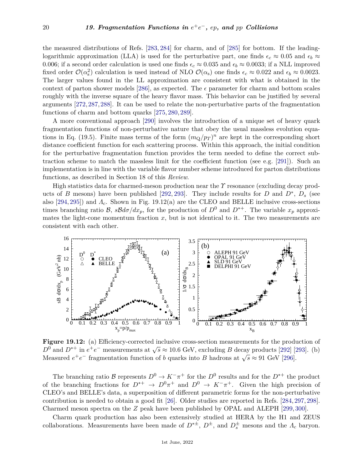the measured distributions of Refs. [\[283,](#page-30-11) [284\]](#page-30-12) for charm, and of [\[285\]](#page-30-13) for bottom. If the leadinglogarithmic approximation (LLA) is used for the perturbative part, one finds  $\epsilon_c \approx 0.05$  and  $\epsilon_b \approx$ 0.006; if a second order calculation is used one finds  $\epsilon_c \approx 0.035$  and  $\epsilon_b \approx 0.0033$ ; if a NLL improved fixed order  $\mathcal{O}(\alpha_s^2)$  calculation is used instead of NLO  $\mathcal{O}(\alpha_s)$  one finds  $\epsilon_c \approx 0.022$  and  $\epsilon_b \approx 0.0023$ . The larger values found in the LL approximation are consistent with what is obtained in the context of parton shower models [\[286\]](#page-30-14), as expected. The  $\epsilon$  parameter for charm and bottom scales roughly with the inverse square of the heavy flavor mass. This behavior can be justified by several arguments [\[272,](#page-30-0)[287,](#page-30-15)[288\]](#page-30-16). It can be used to relate the non-perturbative parts of the fragmentation functions of charm and bottom quarks [\[275,](#page-30-3) [280,](#page-30-8) [289\]](#page-30-17).

A more conventional approach [\[290\]](#page-30-18) involves the introduction of a unique set of heavy quark fragmentation functions of non-perturbative nature that obey the usual massless evolution equations in Eq. (19.5). Finite mass terms of the form  $(m_Q/p_T)^n$  are kept in the corresponding short distance coefficient function for each scattering process. Within this approach, the initial condition for the perturbative fragmentation function provides the term needed to define the correct subtraction scheme to match the massless limit for the coefficient function (see e.g. [\[291\]](#page-30-19)). Such an implementation is in line with the variable flavor number scheme introduced for parton distributions functions, as described in Section 18 of this *Review*.

High statistics data for charmed-meson production near the *Υ* resonance (excluding decay products of *B* mesons) have been published [\[292,](#page-30-20) [293\]](#page-30-21). They include results for *D* and  $D^*$ ,  $D_s$  (see also [\[294,](#page-30-22) [295\]](#page-30-23)) and *Λc*. Shown in Fig. 19.12(a) are the CLEO and BELLE inclusive cross-sections times branching ratio B,  $sBd\sigma/dx_p$ , for the production of  $D^0$  and  $D^{*+}$ . The variable  $x_p$  approximates the light-cone momentum fraction  $x$ , but is not identical to it. The two measurements are consistent with each other.



**Figure 19.12:** (a) Efficiency-corrected inclusive cross-section measurements for the production of *D*<sup>0</sup> and *D*<sup>∗+</sup> in  $e^+e^-$  measurements at  $\sqrt{s} \approx 10.6$  GeV, excluding *B* decay products [\[292\]](#page-30-20) [\[293\]](#page-30-21). (b)  $D$  and  $D$  in  $e^+e^-$  measurements at  $\sqrt{s} \approx 10.0$  GeV, excluding *D* decay products [292] [40].<br>Measured  $e^+e^-$  fragmentation function of *b* quarks into *B* hadrons at  $\sqrt{s} \approx 91$  GeV [\[296\]](#page-30-24).

The branching ratio B represents  $D^0 \to K^-\pi^+$  for the  $D^0$  results and for the  $D^{*+}$  the product of the branching fractions for  $D^{*+} \to D^0 \pi^+$  and  $D^0 \to K^- \pi^+$ . Given the high precision of CLEO's and BELLE's data, a superposition of different parametric forms for the non-perturbative contribution is needed to obtain a good fit [\[26\]](#page-22-23). Older studies are reported in Refs. [\[284,](#page-30-12) [297,](#page-30-25) [298\]](#page-30-26). Charmed meson spectra on the *Z* peak have been published by OPAL and ALEPH [\[299,](#page-30-27) [300\]](#page-30-28).

Charm quark production has also been extensively studied at HERA by the H1 and ZEUS collaborations. Measurements have been made of  $D^{*\pm}$ ,  $D^{\pm}$ , and  $D_s^{\pm}$  mesons and the  $\Lambda_c$  baryon.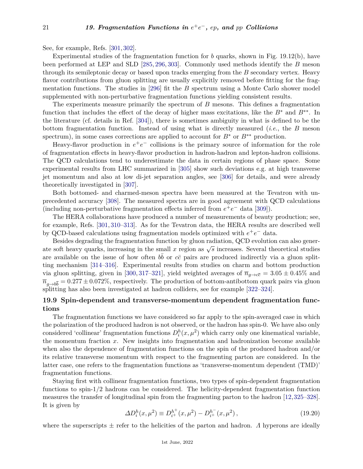See, for example, Refs. [\[301,](#page-30-29) [302\]](#page-30-30).

Experimental studies of the fragmentation function for *b* quarks, shown in Fig. 19.12(b), have been performed at LEP and SLD [\[285,](#page-30-13) [296,](#page-30-24) [303\]](#page-31-0). Commonly used methods identify the *B* meson through its semileptonic decay or based upon tracks emerging from the *B* secondary vertex. Heavy flavor contributions from gluon splitting are usually explicitly removed before fitting for the fragmentation functions. The studies in [\[296\]](#page-30-24) fit the *B* spectrum using a Monte Carlo shower model supplemented with non-perturbative fragmentation functions yielding consistent results.

The experiments measure primarily the spectrum of *B* mesons. This defines a fragmentation function that includes the effect of the decay of higher mass excitations, like the *B*<sup>∗</sup> and *B*∗∗. In the literature (cf. details in Ref. [\[304\]](#page-31-1)), there is sometimes ambiguity in what is defined to be the bottom fragmentation function. Instead of using what is directly measured (*i.e.*, the *B* meson spectrum), in some cases corrections are applied to account for  $B^*$  or  $B^{**}$  production.

Heavy-flavor production in  $e^+e^-$  collisions is the primary source of information for the role of fragmentation effects in heavy-flavor production in hadron-hadron and lepton-hadron collisions. The QCD calculations tend to underestimate the data in certain regions of phase space. Some experimental results from LHC summarized in [\[305\]](#page-31-2) show such deviations e.g. at high transverse jet momentum and also at low di-jet separation angles, see [\[306\]](#page-31-3) for details, and were already theoretically investigated in [\[307\]](#page-31-4).

Both bottomed- and charmed-meson spectra have been measured at the Tevatron with unprecedented accuracy [\[308\]](#page-31-5). The measured spectra are in good agreement with QCD calculations (including non-perturbative fragmentation effects inferred from  $e^+e^-$  data [\[309\]](#page-31-6)).

The HERA collaborations have produced a number of measurements of beauty production; see, for example, Refs. [\[301,](#page-30-29) [310–](#page-31-7)[313\]](#page-31-8). As for the Tevatron data, the HERA results are described well by QCD-based calculations using fragmentation models optimized with  $e^+e^-$  data.

Besides degrading the fragmentation function by gluon radiation, QCD evolution can also generbesides degrading the magnetication function by gluon radiation, QOD evolution can also generate soft heavy quarks, increasing in the small  $x$  region as  $\sqrt{s}$  increases. Several theoretical studies are available on the issue of how often  $b\bar{b}$  or  $c\bar{c}$  pairs are produced indirectly via a gluon splitting mechanism [\[314](#page-31-9)[–316\]](#page-31-10). Experimental results from studies on charm and bottom production via gluon splitting, given in [\[300,](#page-30-28) [317](#page-31-11)[–321\]](#page-31-12), yield weighted averages of  $\overline{n}_{g\to c\overline{c}} = 3.05 \pm 0.45\%$  and  $\overline{n}_{g \to b\overline{b}} = 0.277 \pm 0.072\%$ , respectively. The production of bottom-antibottom quark pairs via gluon splitting has also been investigated at hadron colliders, see for example [\[322–](#page-31-13)[324\]](#page-31-14).

# **19.9 Spin-dependent and transverse-momentum dependent fragmentation functions**

The fragmentation functions we have considered so far apply to the spin-averaged case in which the polarization of the produced hadron is not observed, or the hadron has spin-0. We have also only considered 'collinear' fragmentation functions  $D_i^h(x, \mu^2)$  which carry only one kinematical variable, the momentum fraction *x*. New insights into fragmentation and hadronization become available when also the dependence of fragmentation functions on the spin of the produced hadron and/or its relative transverse momentum with respect to the fragmenting parton are considered. In the latter case, one refers to the fragmentation functions as 'transverse-momentum dependent (TMD)' fragmentation functions.

Staying first with collinear fragmentation functions, two types of spin-dependent fragmentation functions to spin-1/2 hadrons can be considered. The helicity-dependent fragmentation function measures the transfer of longitudinal spin from the fragmenting parton to the hadron [\[12,](#page-22-10)[325–](#page-31-15)[328\]](#page-31-16). It is given by

$$
\Delta D_i^h(x, \mu^2) \equiv D_{i^+}^{h^+}(x, \mu^2) - D_{i^+}^{h^-}(x, \mu^2) \,, \tag{19.20}
$$

where the superscripts  $\pm$  refer to the helicities of the parton and hadron. *Λ* hyperons are ideally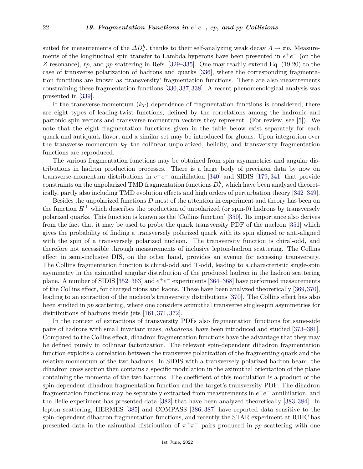suited for measurements of the  $\Delta D_i^h$ , thanks to their self-analyzing weak decay  $\Lambda \to \pi p$ . Measurements of the longitudinal spin transfer to Lambda hyperons have been presented in  $e^+e^-$  (on the *Z* resonance),  $\ell_p$ , and  $pp$  scattering in Refs. [\[329](#page-31-17)[–335\]](#page-32-0). One may readily extend Eq. (19.20) to the case of transverse polarization of hadrons and quarks [\[336\]](#page-32-1), where the corresponding fragmentation functions are known as 'transversity' fragmentation functions. There are also measurements constraining these fragmentation functions [\[330,](#page-31-18)[337,](#page-32-2)[338\]](#page-32-3). A recent phenomenological analysis was presented in [\[339\]](#page-32-4).

If the transverse-momentum  $(k_T)$  dependence of fragmentation functions is considered, there are eight types of leading-twist functions, defined by the correlations among the hadronic and partonic spin vectors and transverse-momentum vectors they represent. (For review, see [\[5\]](#page-22-3)). We note that the eight fragmentation functions given in the table below exist separately for each quark and antiquark flavor, and a similar set may be introduced for gluons. Upon integration over the transverse momentum  $k_T$  the collinear unpolarized, helicity, and transversity fragmentation functions are reproduced.

The various fragmentation functions may be obtained from spin asymmetries and angular distributions in hadron production processes. There is a large body of precision data by now on transverse-momentum distributions in  $e^+e^-$  annihilation [\[340\]](#page-32-5) and SIDIS [\[179,](#page-27-27) [341\]](#page-32-6) that provide  $\text{constraints}$  on the unpolarized TMD fragmentation functions  $D_i^h$ , which have been analyzed theoretically, partly also including TMD evolution effects and high orders of perturbation theory [\[342–](#page-32-7)[349\]](#page-32-8).

Besides the unpolarized functions *D* most of the attention in experiment and theory has been on the function  $H^{\perp}$  which describes the production of unpolarized (or spin-0) hadrons by transversely polarized quarks. This function is known as the 'Collins function' [\[350\]](#page-32-9). Its importance also derives from the fact that it may be used to probe the quark transversity PDF of the nucleon [\[351\]](#page-32-10) which gives the probability of finding a transversely polarized quark with its spin aligned or anti-aligned with the spin of a transversely polarized nucleon. The transversity function is chiral-odd, and therefore not accessible through measurements of inclusive lepton-hadron scattering. The Collins effect in semi-inclusive DIS, on the other hand, provides an avenue for accessing transversity. The Collins fragmentation function is chiral-odd and T-odd, leading to a characteristic single-spin asymmetry in the azimuthal angular distribution of the produced hadron in the hadron scattering plane. A number of SIDIS [\[352–](#page-32-11)[363\]](#page-32-12) and  $e^+e^-$  experiments [\[364–](#page-32-13)[368\]](#page-33-0) have performed measurements of the Collins effect, for charged pions and kaons. These have been analyzed theoretically [\[369,](#page-33-1)[370\]](#page-33-2), leading to an extraction of the nucleon's transversity distributions [\[370\]](#page-33-2). The Collins effect has also been studied in *pp* scattering, where one considers azimuthal transverse single-spin asymmetries for distributions of hadrons inside jets [\[161,](#page-26-13) [371,](#page-33-3) [372\]](#page-33-4).

In the context of extractions of transversity PDFs also fragmentation functions for same-side pairs of hadrons with small invariant mass, *dihadrons*, have been introduced and studied [\[373–](#page-33-5)[381\]](#page-33-6). Compared to the Collins effect, dihadron fragmentation functions have the advantage that they may be defined purely in collinear factorization. The relevant spin-dependent dihadron fragmentation function exploits a correlation between the transverse polarization of the fragmenting quark and the relative momentum of the two hadrons. In SIDIS with a transversely polarized hadron beam, the dihadron cross section then contains a specific modulation in the azimuthal orientation of the plane containing the momenta of the two hadrons. The coefficient of this modulation is a product of the spin-dependent dihadron fragmentation function and the target's transversity PDF. The dihadron fragmentation functions may be separately extracted from measurements in  $e^+e^-$  annihilation, and the Belle experiment has presented data [\[382\]](#page-33-7) that have been analyzed theoretically [\[383,](#page-33-8) [384\]](#page-33-9). In lepton scattering, HERMES [\[385\]](#page-33-10) and COMPASS [\[386,](#page-33-11) [387\]](#page-33-12) have reported data sensitive to the spin-dependent dihadron fragmentation functions, and recently the STAR experiment at RHIC has presented data in the azimuthal distribution of  $\pi^+\pi^-$  pairs produced in *pp* scattering with one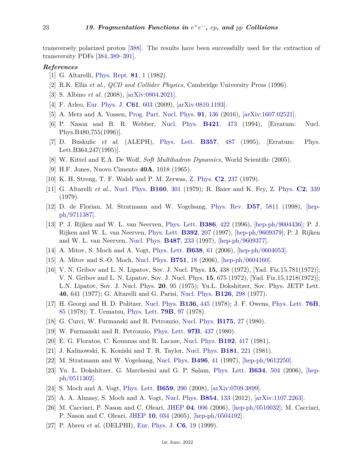transversely polarized proton [\[388\]](#page-33-13). The results have been successfully used for the extraction of transversity PDFs [\[384,](#page-33-9) [389–](#page-33-14)[391\]](#page-33-15).

### <span id="page-22-0"></span>*References*

- [1] G. Altarelli, [Phys. Rept.](http://doi.org/10.1016/0370-1573(82)90127-2) **[81](http://doi.org/10.1016/0370-1573(82)90127-2)**, 1 (1982).
- <span id="page-22-1"></span>[2] R.K. Ellis *et al.*, *QCD and Collider Physics*, Cambridge University Press (1996).
- <span id="page-22-2"></span>[3] S. Albino *et al.* (2008), [\[arXiv:0804.2021\].](https://arxiv.org/abs/0804.2021)
- [4] F. Arleo, [Eur. Phys. J.](http://doi.org/10.1140/epjc/s10052-009-0871-z) **C61**[, 603](http://doi.org/10.1140/epjc/s10052-009-0871-z) (2009), [\[arXiv:0810.1193\].](https://arxiv.org/abs/0810.1193)
- <span id="page-22-3"></span>[5] A. Metz and A. Vossen, [Prog. Part. Nucl. Phys.](http://doi.org/10.1016/j.ppnp.2016.08.003) **91**[, 136](http://doi.org/10.1016/j.ppnp.2016.08.003) (2016), [\[arXiv:1607.02521\].](https://arxiv.org/abs/1607.02521)
- <span id="page-22-4"></span>[6] P. Nason and B. R. Webber, [Nucl. Phys.](http://doi.org/10.1016/S0550-3213(96)00498-1) **B421**[, 473](http://doi.org/10.1016/S0550-3213(96)00498-1) (1994), [Erratum: Nucl. Phys.B480,755(1996)].
- <span id="page-22-5"></span>[7] D. Buskulic *et al.* (ALEPH), [Phys. Lett.](http://doi.org/10.1016/0370-2693(95)01380-6) **B357**[, 487](http://doi.org/10.1016/0370-2693(95)01380-6) (1995), [Erratum: Phys. Lett.B364,247(1995)].
- <span id="page-22-6"></span>[8] W. Kittel and E.A. De Wolf, *Soft Multihadron Dynamics*, World Scientific (2005).
- <span id="page-22-7"></span>[9] H.F. Jones, Nuovo Cimento **40A**, 1018 (1965).
- <span id="page-22-8"></span>[10] K. H. Streng, T. F. Walsh and P. M. Zerwas, [Z. Phys.](http://doi.org/10.1007/BF01474667) **C2**[, 237](http://doi.org/10.1007/BF01474667) (1979).
- <span id="page-22-9"></span>[11] G. Altarelli *et al.*, [Nucl. Phys.](http://doi.org/10.1016/0550-3213(79)90062-2) **[B160](http://doi.org/10.1016/0550-3213(79)90062-2)**, 301 (1979); R. Baier and K. Fey, [Z. Phys.](http://doi.org/10.1007/BF01545897) **C2**[, 339](http://doi.org/10.1007/BF01545897) (1979).
- <span id="page-22-10"></span>[12] D. de Florian, M. Stratmann and W. Vogelsang, [Phys. Rev.](http://doi.org/10.1103/PhysRevD.57.5811) **D57**[, 5811](http://doi.org/10.1103/PhysRevD.57.5811) (1998), [\[hep](https://arxiv.org/abs/hep-ph/9711387)[ph/9711387\].](https://arxiv.org/abs/hep-ph/9711387)
- <span id="page-22-11"></span>[13] P. J. Rijken and W. L. van Neerven, [Phys. Lett.](http://doi.org/10.1016/0370-2693(96)00898-2) **[B386](http://doi.org/10.1016/0370-2693(96)00898-2)**, 422 (1996), [\[hep-ph/9604436\];](https://arxiv.org/abs/hep-ph/9604436) P. J. Rijken and W. L. van Neerven, [Phys. Lett.](http://doi.org/10.1016/S0370-2693(96)01529-8) **[B392](http://doi.org/10.1016/S0370-2693(96)01529-8)**, 207 (1997), [\[hep-ph/9609379\];](https://arxiv.org/abs/hep-ph/9609379) P. J. Rijken and W. L. van Neerven, [Nucl. Phys.](http://doi.org/10.1016/S0550-3213(96)00669-4) **[B487](http://doi.org/10.1016/S0550-3213(96)00669-4)**, 233 (1997), [\[hep-ph/9609377\].](https://arxiv.org/abs/hep-ph/9609377)
- <span id="page-22-19"></span>[14] A. Mitov, S. Moch and A. Vogt, [Phys. Lett.](http://doi.org/10.1016/j.physletb.2006.05.005) **[B638](http://doi.org/10.1016/j.physletb.2006.05.005)**, 61 (2006), [\[hep-ph/0604053\].](https://arxiv.org/abs/hep-ph/0604053)
- <span id="page-22-12"></span>[15] A. Mitov and S.-O. Moch, [Nucl. Phys.](http://doi.org/10.1016/j.nuclphysb.2006.05.018) **[B751](http://doi.org/10.1016/j.nuclphysb.2006.05.018)**, 18 (2006), [\[hep-ph/0604160\].](https://arxiv.org/abs/hep-ph/0604160)
- <span id="page-22-13"></span>[16] V. N. Gribov and L. N. Lipatov, Sov. J. Nucl. Phys. **15**, 438 (1972), [Yad. Fiz.15,781(1972)]; V. N. Gribov and L. N. Lipatov, Sov. J. Nucl. Phys. **15**, 675 (1972), [Yad. Fiz.15,1218(1972)]; L.N. Lipatov, Sov. J. Nucl. Phys. **20**, 95 (1975); Yu.L. Dokshitzer, Sov. Phys. JETP Lett. **46**, 641 (1977); G. Altarelli and G. Parisi, [Nucl. Phys.](http://doi.org/10.1016/0550-3213(77)90384-4) **[B126](http://doi.org/10.1016/0550-3213(77)90384-4)**, 298 (1977).
- <span id="page-22-14"></span>[17] H. Georgi and H. D. Politzer, [Nucl. Phys.](http://doi.org/10.1016/0550-3213(78)90269-9) **[B136](http://doi.org/10.1016/0550-3213(78)90269-9)**, 445 (1978); J. F. Owens, [Phys. Lett.](http://doi.org/10.1016/0370-2693(78)90108-9) **[76B](http://doi.org/10.1016/0370-2693(78)90108-9)**, [85](http://doi.org/10.1016/0370-2693(78)90108-9) (1978); T. Uematsu, [Phys. Lett.](http://doi.org/10.1016/0370-2693(78)90444-6) **[79B](http://doi.org/10.1016/0370-2693(78)90444-6)**, 97 (1978).
- <span id="page-22-15"></span>[18] G. Curci, W. Furmanski and R. Petronzio, [Nucl. Phys.](http://doi.org/10.1016/0550-3213(80)90003-6) **[B175](http://doi.org/10.1016/0550-3213(80)90003-6)**, 27 (1980).
- <span id="page-22-17"></span>[19] W. Furmanski and R. Petronzio, [Phys. Lett.](http://doi.org/10.1016/0370-2693(80)90636-X) **97B**[, 437](http://doi.org/10.1016/0370-2693(80)90636-X) (1980).
- [20] E. G. Floratos, C. Kounnas and R. Lacaze, [Nucl. Phys.](http://doi.org/10.1016/0550-3213(81)90434-X) **[B192](http://doi.org/10.1016/0550-3213(81)90434-X)**, 417 (1981).
- <span id="page-22-22"></span>[21] J. Kalinowski, K. Konishi and T. R. Taylor, [Nucl. Phys.](http://doi.org/10.1016/0550-3213(81)90351-5) **[B181](http://doi.org/10.1016/0550-3213(81)90351-5)**, 221 (1981).
- <span id="page-22-16"></span>[22] M. Stratmann and W. Vogelsang, [Nucl. Phys.](http://doi.org/10.1016/S0550-3213(97)00182-X) **[B496](http://doi.org/10.1016/S0550-3213(97)00182-X)**, 41 (1997), [\[hep-ph/9612250\].](https://arxiv.org/abs/hep-ph/9612250)
- <span id="page-22-18"></span>[23] Yu. L. Dokshitzer, G. Marchesini and G. P. Salam, [Phys. Lett.](http://doi.org/10.1016/j.physletb.2006.02.023) **[B634](http://doi.org/10.1016/j.physletb.2006.02.023)**, 504 (2006), [\[hep](https://arxiv.org/abs/hep-ph/0511302)[ph/0511302\].](https://arxiv.org/abs/hep-ph/0511302)
- <span id="page-22-21"></span><span id="page-22-20"></span>[24] S. Moch and A. Vogt, [Phys. Lett.](http://doi.org/10.1016/j.physletb.2007.10.069) **[B659](http://doi.org/10.1016/j.physletb.2007.10.069)**, 290 (2008), [\[arXiv:0709.3899\].](https://arxiv.org/abs/0709.3899)
- [25] A. A. Almasy, S. Moch and A. Vogt, [Nucl. Phys.](http://doi.org/10.1016/j.nuclphysb.2011.08.028) **[B854](http://doi.org/10.1016/j.nuclphysb.2011.08.028)**, 133 (2012), [\[arXiv:1107.2263\].](https://arxiv.org/abs/1107.2263)
- <span id="page-22-23"></span>[26] M. Cacciari, P. Nason and C. Oleari, [JHEP](http://doi.org/10.1088/1126-6708/2006/04/006) **04**[, 006](http://doi.org/10.1088/1126-6708/2006/04/006) (2006), [\[hep-ph/0510032\];](https://arxiv.org/abs/hep-ph/0510032) M. Cacciari, P. Nason and C. Oleari, [JHEP](http://doi.org/10.1088/1126-6708/2005/10/034) **10**[, 034](http://doi.org/10.1088/1126-6708/2005/10/034) (2005), [\[hep-ph/0504192\].](https://arxiv.org/abs/hep-ph/0504192)
- <span id="page-22-24"></span>[27] P. Abreu *et al.* (DELPHI), [Eur. Phys. J.](http://doi.org/10.1007/s100529801013) **C6**[, 19](http://doi.org/10.1007/s100529801013) (1999).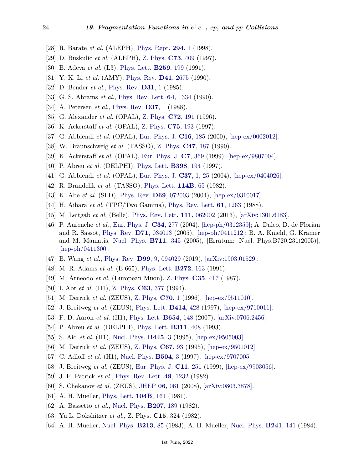- [28] R. Barate *et al.* (ALEPH), [Phys. Rept.](http://doi.org/10.1016/S0370-1573(97)00045-8) **[294](http://doi.org/10.1016/S0370-1573(97)00045-8)**, 1 (1998).
- <span id="page-23-17"></span>[29] D. Buskulic *et al.* (ALEPH), [Z. Phys.](http://doi.org/10.1007/s002880050330) **C73**[, 409](http://doi.org/10.1007/s002880050330) (1997).
- <span id="page-23-18"></span>[30] B. Adeva *et al.* (L3), [Phys. Lett.](http://doi.org/10.1016/0370-2693(91)90159-N) **[B259](http://doi.org/10.1016/0370-2693(91)90159-N)**, 199 (1991).
- <span id="page-23-21"></span>[31] Y. K. Li *et al.* (AMY), [Phys. Rev.](http://doi.org/10.1103/PhysRevD.41.2675) **D41**[, 2675](http://doi.org/10.1103/PhysRevD.41.2675) (1990).
- [32] D. Bender *et al.*, [Phys. Rev.](http://doi.org/10.1103/PhysRevD.31.1) **[D31](http://doi.org/10.1103/PhysRevD.31.1)**, 1 (1985).
- [33] G. S. Abrams *et al.*, [Phys. Rev. Lett.](http://doi.org/10.1103/PhysRevLett.64.1334) **64**[, 1334](http://doi.org/10.1103/PhysRevLett.64.1334) (1990).
- <span id="page-23-22"></span>[34] A. Petersen *et al.*, [Phys. Rev.](http://doi.org/10.1103/PhysRevD.37.1) **[D37](http://doi.org/10.1103/PhysRevD.37.1)**, 1 (1988).
- <span id="page-23-19"></span>[35] G. Alexander *et al.* (OPAL), [Z. Phys.](http://doi.org/10.1007/s002880050237) **C72**[, 191](http://doi.org/10.1007/s002880050237) (1996).
- [36] K. Ackerstaff *et al.* (OPAL), [Z. Phys.](http://doi.org/10.1007/s002880050462) **C75**[, 193](http://doi.org/10.1007/s002880050462) (1997).
- [37] G. Abbiendi *et al.* (OPAL), [Eur. Phys. J.](http://doi.org/10.1007/s100520050015) **C16**[, 185](http://doi.org/10.1007/s100520050015) (2000), [\[hep-ex/0002012\].](https://arxiv.org/abs/hep-ex/0002012)
- <span id="page-23-7"></span>[38] W. Braunschweig *et al.* (TASSO), [Z. Phys.](http://doi.org/10.1007/BF01552339) **C47**[, 187](http://doi.org/10.1007/BF01552339) (1990).
- [39] K. Ackerstaff *et al.* (OPAL), [Eur. Phys. J.](http://doi.org/10.1007/s100529901067) **C7**[, 369](http://doi.org/10.1007/s100529901067) (1999), [\[hep-ex/9807004\].](https://arxiv.org/abs/hep-ex/9807004)
- <span id="page-23-25"></span>[40] P. Abreu *et al.* (DELPHI), [Phys. Lett.](http://doi.org/10.1016/S0370-2693(97)00256-6) **[B398](http://doi.org/10.1016/S0370-2693(97)00256-6)**, 194 (1997).
- <span id="page-23-24"></span>[41] G. Abbiendi *et al.* (OPAL), [Eur. Phys. J.](http://doi.org/10.1140/epjc/s2004-01964-4) **C37**[, 1, 25](http://doi.org/10.1140/epjc/s2004-01964-4) (2004), [\[hep-ex/0404026\].](https://arxiv.org/abs/hep-ex/0404026)
- [42] R. Brandelik *et al.* (TASSO), [Phys. Lett.](http://doi.org/10.1016/0370-2693(82)90017-X) **[114B](http://doi.org/10.1016/0370-2693(82)90017-X)**, 65 (1982).
- <span id="page-23-26"></span>[43] K. Abe *et al.* (SLD), [Phys. Rev.](http://doi.org/10.1103/PhysRevD.69.072003) **D69**[, 072003](http://doi.org/10.1103/PhysRevD.69.072003) (2004), [\[hep-ex/0310017\].](https://arxiv.org/abs/hep-ex/0310017)
- [44] H. Aihara *et al.* (TPC/Two Gamma), [Phys. Rev. Lett.](http://doi.org/10.1103/PhysRevLett.61.1263) **61**[, 1263](http://doi.org/10.1103/PhysRevLett.61.1263) (1988).
- <span id="page-23-0"></span>[45] M. Leitgab *et al.* (Belle), [Phys. Rev. Lett.](http://doi.org/10.1103/PhysRevLett.111.062002) **111**[, 062002](http://doi.org/10.1103/PhysRevLett.111.062002) (2013), [\[arXiv:1301.6183\].](https://arxiv.org/abs/1301.6183)
- <span id="page-23-1"></span>[46] P. Aurenche *et al.*, [Eur. Phys. J.](http://doi.org/10.1140/epjc/s2004-01722-8) **C34**[, 277](http://doi.org/10.1140/epjc/s2004-01722-8) (2004), [\[hep-ph/0312359\];](https://arxiv.org/abs/hep-ph/0312359) A. Daleo, D. de Florian and R. Sassot, [Phys. Rev.](http://doi.org/10.1103/PhysRevD.71.034013) **D71**[, 034013](http://doi.org/10.1103/PhysRevD.71.034013) (2005), [\[hep-ph/0411212\];](https://arxiv.org/abs/hep-ph/0411212) B. A. Kniehl, G. Kramer and M. Maniatis, [Nucl. Phys.](http://doi.org/10.1016/j.nuclphysb.2005.01.031) **[B711](http://doi.org/10.1016/j.nuclphysb.2005.01.031)**, 345 (2005), [Erratum: Nucl. Phys.B720,231(2005)], [\[hep-ph/0411300\].](https://arxiv.org/abs/hep-ph/0411300)
- <span id="page-23-2"></span>[47] B. Wang *et al.*, [Phys. Rev.](http://doi.org/10.1103/PhysRevD.99.094029) **D99**[, 9, 094029](http://doi.org/10.1103/PhysRevD.99.094029) (2019), [\[arXiv:1903.01529\].](https://arxiv.org/abs/1903.01529)
- <span id="page-23-3"></span>[48] M. R. Adams *et al.* (E-665), [Phys. Lett.](http://doi.org/10.1016/0370-2693(91)91030-Y) **[B272](http://doi.org/10.1016/0370-2693(91)91030-Y)**, 163 (1991).
- [49] M. Arneodo *et al.* (European Muon), [Z. Phys.](http://doi.org/10.1007/BF01596893) **C35**[, 417](http://doi.org/10.1007/BF01596893) (1987).
- [50] I. Abt *et al.* (H1), [Z. Phys.](http://doi.org/10.1007/BF01580319) **C63**[, 377](http://doi.org/10.1007/BF01580319) (1994).
- <span id="page-23-5"></span><span id="page-23-4"></span>[51] M. Derrick *et al.* (ZEUS), [Z. Phys.](http://doi.org/10.1007/s002880050075) **[C70](http://doi.org/10.1007/s002880050075)**, 1 (1996), [\[hep-ex/9511010\].](https://arxiv.org/abs/hep-ex/9511010)
- [52] J. Breitweg *et al.* (ZEUS), [Phys. Lett.](http://doi.org/10.1016/S0370-2693(97)01194-5) **[B414](http://doi.org/10.1016/S0370-2693(97)01194-5)**, 428 (1997), [\[hep-ex/9710011\].](https://arxiv.org/abs/hep-ex/9710011)
- <span id="page-23-6"></span>[53] F. D. Aaron *et al.* (H1), [Phys. Lett.](http://doi.org/10.1016/j.physletb.2007.07.073) **[B654](http://doi.org/10.1016/j.physletb.2007.07.073)**, 148 (2007), [\[arXiv:0706.2456\].](https://arxiv.org/abs/0706.2456)
- <span id="page-23-8"></span>[54] P. Abreu *et al.* (DELPHI), [Phys. Lett.](http://doi.org/10.1016/0370-2693(93)90587-8) **[B311](http://doi.org/10.1016/0370-2693(93)90587-8)**, 408 (1993).
- <span id="page-23-9"></span>[55] S. Aid *et al.* (H1), [Nucl. Phys.](http://doi.org/10.1016/0550-3213(95)91599-H) **[B445](http://doi.org/10.1016/0550-3213(95)91599-H)**, 3 (1995), [\[hep-ex/9505003\].](https://arxiv.org/abs/hep-ex/9505003)
- <span id="page-23-23"></span>[56] M. Derrick *et al.* (ZEUS), [Z. Phys.](http://doi.org/10.1007/BF01564824) **[C67](http://doi.org/10.1007/BF01564824)**, 93 (1995), [\[hep-ex/9501012\].](https://arxiv.org/abs/hep-ex/9501012)
- <span id="page-23-20"></span>[57] C. Adloff *et al.* (H1), [Nucl. Phys.](http://doi.org/10.1016/S0550-3213(97)00585-3) **[B504](http://doi.org/10.1016/S0550-3213(97)00585-3)**, 3 (1997), [\[hep-ex/9707005\].](https://arxiv.org/abs/hep-ex/9707005)
- <span id="page-23-10"></span>[58] J. Breitweg *et al.* (ZEUS), [Eur. Phys. J.](http://doi.org/10.1007/s100520050630) **C11**[, 251](http://doi.org/10.1007/s100520050630) (1999), [\[hep-ex/9903056\].](https://arxiv.org/abs/hep-ex/9903056)
- <span id="page-23-12"></span><span id="page-23-11"></span>[59] J. F. Patrick *et al.*, [Phys. Rev. Lett.](http://doi.org/10.1103/PhysRevLett.49.1232) **49**[, 1232](http://doi.org/10.1103/PhysRevLett.49.1232) (1982).
- [60] S. Chekanov *et al.* (ZEUS), [JHEP](http://doi.org/10.1088/1126-6708/2008/06/061) **06**[, 061](http://doi.org/10.1088/1126-6708/2008/06/061) (2008), [\[arXiv:0803.3878\].](https://arxiv.org/abs/0803.3878)
- <span id="page-23-13"></span>[61] A. H. Mueller, [Phys. Lett.](http://doi.org/10.1016/0370-2693(81)90581-5) **[104B](http://doi.org/10.1016/0370-2693(81)90581-5)**, 161 (1981).
- <span id="page-23-14"></span>[62] A. Bassetto *et al.*, [Nucl. Phys.](http://doi.org/10.1016/0550-3213(82)90161-4) **[B207](http://doi.org/10.1016/0550-3213(82)90161-4)**, 189 (1982).
- <span id="page-23-15"></span>[63] Yu.L. Dokshitzer *et al.*, Z. Phys. **C15**, 324 (1982).
- <span id="page-23-16"></span>[64] A. H. Mueller, [Nucl. Phys.](http://doi.org/10.1016/0550-3213(83)90176-1) **[B213](http://doi.org/10.1016/0550-3213(83)90176-1)**, 85 (1983); A. H. Mueller, [Nucl. Phys.](http://doi.org/10.1016/0550-3213(84)90202-5) **[B241](http://doi.org/10.1016/0550-3213(84)90202-5)**, 141 (1984).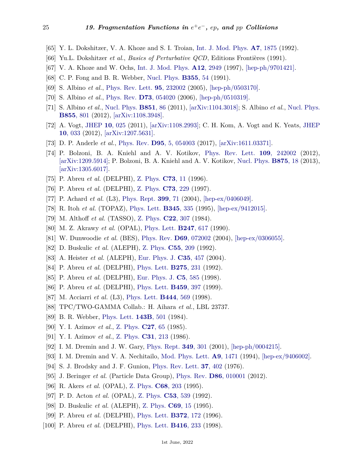- <span id="page-24-0"></span>[65] Y. L. Dokshitzer, V. A. Khoze and S. I. Troian, [Int. J. Mod. Phys.](http://doi.org/10.1142/S0217751X92000818) **A7**[, 1875](http://doi.org/10.1142/S0217751X92000818) (1992).
- <span id="page-24-1"></span>[66] Yu.L. Dokshitzer *et al.*, *Basics of Perturbative QCD*, Editions Frontières (1991).
- <span id="page-24-2"></span>[67] V. A. Khoze and W. Ochs, [Int. J. Mod. Phys.](http://doi.org/10.1142/S0217751X97001638) **A12**[, 2949](http://doi.org/10.1142/S0217751X97001638) (1997), [\[hep-ph/9701421\].](https://arxiv.org/abs/hep-ph/9701421)
- <span id="page-24-3"></span>[68] C. P. Fong and B. R. Webber, [Nucl. Phys.](http://doi.org/10.1016/0550-3213(91)90302-E) **[B355](http://doi.org/10.1016/0550-3213(91)90302-E)**, 54 (1991).
- <span id="page-24-4"></span>[69] S. Albino *et al.*, [Phys. Rev. Lett.](http://doi.org/10.1103/PhysRevLett.95.232002) **95**[, 232002](http://doi.org/10.1103/PhysRevLett.95.232002) (2005), [\[hep-ph/0503170\].](https://arxiv.org/abs/hep-ph/0503170)
- [70] S. Albino *et al.*, [Phys. Rev.](http://doi.org/10.1103/PhysRevD.73.054020) **D73**[, 054020](http://doi.org/10.1103/PhysRevD.73.054020) (2006), [\[hep-ph/0510319\].](https://arxiv.org/abs/hep-ph/0510319)
- [71] S. Albino *et al.*, [Nucl. Phys.](http://doi.org/10.1016/j.nuclphysb.2011.05.014) **[B851](http://doi.org/10.1016/j.nuclphysb.2011.05.014)**, 86 (2011), [\[arXiv:1104.3018\];](https://arxiv.org/abs/1104.3018) S. Albino *et al.*, [Nucl. Phys.](http://doi.org/10.1016/j.nuclphysb.2011.10.030) **[B855](http://doi.org/10.1016/j.nuclphysb.2011.10.030)**, 801 (2012), [\[arXiv:1108.3948\].](https://arxiv.org/abs/1108.3948)
- [72] A. Vogt, [JHEP](http://doi.org/10.1007/JHEP10(2011)025) **10**[, 025](http://doi.org/10.1007/JHEP10(2011)025) (2011), [\[arXiv:1108.2993\];](https://arxiv.org/abs/1108.2993) C. H. Kom, A. Vogt and K. Yeats, [JHEP](http://doi.org/10.1007/JHEP10(2012)033) **10**[, 033](http://doi.org/10.1007/JHEP10(2012)033) (2012), [\[arXiv:1207.5631\].](https://arxiv.org/abs/1207.5631)
- <span id="page-24-5"></span>[73] D. P. Anderle *et al.*, [Phys. Rev.](http://doi.org/10.1103/PhysRevD.95.054003) **D95**[, 5, 054003](http://doi.org/10.1103/PhysRevD.95.054003) (2017), [\[arXiv:1611.03371\].](https://arxiv.org/abs/1611.03371)
- <span id="page-24-6"></span>[74] P. Bolzoni, B. A. Kniehl and A. V. Kotikov, [Phys. Rev. Lett.](http://doi.org/10.1103/PhysRevLett.109.242002) **109**[, 242002](http://doi.org/10.1103/PhysRevLett.109.242002) (2012), [\[arXiv:1209.5914\];](https://arxiv.org/abs/1209.5914) P. Bolzoni, B. A. Kniehl and A. V. Kotikov, [Nucl. Phys.](http://doi.org/10.1016/j.nuclphysb.2013.06.025) **[B875](http://doi.org/10.1016/j.nuclphysb.2013.06.025)**, 18 (2013), [\[arXiv:1305.6017\].](https://arxiv.org/abs/1305.6017)
- <span id="page-24-7"></span>[75] P. Abreu *et al.* (DELPHI), [Z. Phys.](http://doi.org/10.1007/s002880050295) **[C73](http://doi.org/10.1007/s002880050295)**, 11 (1996).
- <span id="page-24-13"></span>[76] P. Abreu *et al.* (DELPHI), [Z. Phys.](http://doi.org/10.1007/s002880050312) **C73**[, 229](http://doi.org/10.1007/s002880050312) (1997).
- <span id="page-24-14"></span>[77] P. Achard *et al.* (L3), [Phys. Rept.](http://doi.org/10.1016/j.physrep.2004.07.002) **[399](http://doi.org/10.1016/j.physrep.2004.07.002)**, 71 (2004), [\[hep-ex/0406049\].](https://arxiv.org/abs/hep-ex/0406049)
- <span id="page-24-8"></span>[78] R. Itoh *et al.* (TOPAZ), [Phys. Lett.](http://doi.org/10.1016/0370-2693(94)01685-6) **[B345](http://doi.org/10.1016/0370-2693(94)01685-6)**, 335 (1995), [\[hep-ex/9412015\].](https://arxiv.org/abs/hep-ex/9412015)
- [79] M. Althoff *et al.* (TASSO), [Z. Phys.](http://doi.org/10.1007/BF01547419) **C22**[, 307](http://doi.org/10.1007/BF01547419) (1984).
- <span id="page-24-9"></span>[80] M. Z. Akrawy *et al.* (OPAL), [Phys. Lett.](http://doi.org/10.1016/0370-2693(90)91911-T) **[B247](http://doi.org/10.1016/0370-2693(90)91911-T)**, 617 (1990).
- [81] W. Dunwoodie *et al.* (BES), [Phys. Rev.](http://doi.org/10.1103/PhysRevD.69.072002) **D69**[, 072002](http://doi.org/10.1103/PhysRevD.69.072002) (2004), [\[hep-ex/0306055\].](https://arxiv.org/abs/hep-ex/0306055)
- [82] D. Buskulic *et al.* (ALEPH), [Z. Phys.](http://doi.org/10.1007/BF01482583) **C55**[, 209](http://doi.org/10.1007/BF01482583) (1992).
- <span id="page-24-20"></span>[83] A. Heister *et al.* (ALEPH), [Eur. Phys. J.](http://doi.org/10.1140/epjc/s2004-01891-4) **C35**[, 457](http://doi.org/10.1140/epjc/s2004-01891-4) (2004).
- [84] P. Abreu *et al.* (DELPHI), [Phys. Lett.](http://doi.org/10.1016/0370-2693(92)90879-9) **[B275](http://doi.org/10.1016/0370-2693(92)90879-9)**, 231 (1992).
- <span id="page-24-22"></span>[85] P. Abreu *et al.* (DELPHI), [Eur. Phys. J.](http://doi.org/10.1007/s100529800989) **C5**[, 585](http://doi.org/10.1007/s100529800989) (1998).
- [86] P. Abreu *et al.* (DELPHI), [Phys. Lett.](http://doi.org/10.1016/S0370-2693(99)00601-2) **[B459](http://doi.org/10.1016/S0370-2693(99)00601-2)**, 397 (1999).
- [87] M. Acciarri *et al.* (L3), [Phys. Lett.](http://doi.org/10.1016/S0370-2693(98)01404-X) **[B444](http://doi.org/10.1016/S0370-2693(98)01404-X)**, 569 (1998).
- <span id="page-24-15"></span>[88] TPC/TWO-GAMMA Collab.: H. Aihara *et al.*, LBL 23737.
- <span id="page-24-10"></span>[89] B. R. Webber, [Phys. Lett.](http://doi.org/10.1016/0370-2693(84)91510-7) **[143B](http://doi.org/10.1016/0370-2693(84)91510-7)**, 501 (1984).
- <span id="page-24-11"></span>[90] Y. I. Azimov *et al.*, [Z. Phys.](http://doi.org/10.1007/BF01642482) **[C27](http://doi.org/10.1007/BF01642482)**, 65 (1985).
- <span id="page-24-12"></span>[91] Y. I. Azimov *et al.*, [Z. Phys.](http://doi.org/10.1007/BF01479529) **C31**[, 213](http://doi.org/10.1007/BF01479529) (1986).
- <span id="page-24-16"></span>[92] I. M. Dremin and J. W. Gary, [Phys. Rept.](http://doi.org/10.1016/S0370-1573(00)00117-4) **349**[, 301](http://doi.org/10.1016/S0370-1573(00)00117-4) (2001), [\[hep-ph/0004215\].](https://arxiv.org/abs/hep-ph/0004215)
- <span id="page-24-17"></span>[93] I. M. Dremin and V. A. Nechitailo, [Mod. Phys. Lett.](http://doi.org/10.1142/S0217732394001301) **A9**[, 1471](http://doi.org/10.1142/S0217732394001301) (1994), [\[hep-ex/9406002\].](https://arxiv.org/abs/hep-ex/9406002)
- <span id="page-24-19"></span><span id="page-24-18"></span>[94] S. J. Brodsky and J. F. Gunion, [Phys. Rev. Lett.](http://doi.org/10.1103/PhysRevLett.37.402) **37**[, 402](http://doi.org/10.1103/PhysRevLett.37.402) (1976).
- <span id="page-24-21"></span>[95] J. Beringer *et al.* (Particle Data Group), [Phys. Rev.](http://doi.org/10.1103/PhysRevD.86.010001) **D86**[, 010001](http://doi.org/10.1103/PhysRevD.86.010001) (2012).
- [96] R. Akers *et al.* (OPAL), [Z. Phys.](http://doi.org/10.1007/BF01566668) **C68**[, 203](http://doi.org/10.1007/BF01566668) (1995).
- [97] P. D. Acton *et al.* (OPAL), [Z. Phys.](http://doi.org/10.1007/BF01559731) **C53**[, 539](http://doi.org/10.1007/BF01559731) (1992).
- [98] D. Buskulic *et al.* (ALEPH), [Z. Phys.](http://doi.org/10.1007/BF02907382) **[C69](http://doi.org/10.1007/BF02907382)**, 15 (1995).
- [99] P. Abreu *et al.* (DELPHI), [Phys. Lett.](http://doi.org/10.1016/0370-2693(96)00134-7) **[B372](http://doi.org/10.1016/0370-2693(96)00134-7)**, 172 (1996).
- [100] P. Abreu *et al.* (DELPHI), [Phys. Lett.](http://doi.org/10.1016/S0370-2693(97)01248-3) **[B416](http://doi.org/10.1016/S0370-2693(97)01248-3)**, 233 (1998).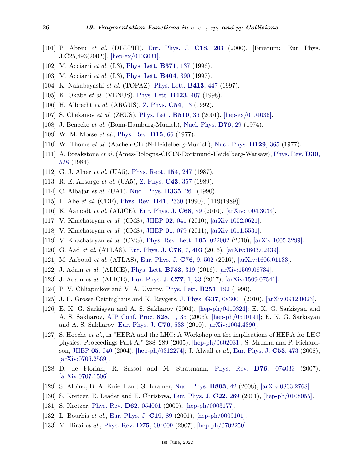- [101] P. Abreu *et al.* (DELPHI), [Eur. Phys. J.](http://doi.org/10.1007/s100520000528) **C18**[, 203](http://doi.org/10.1007/s100520000528) (2000), [Erratum: Eur. Phys. J.C25,493(2002)], [\[hep-ex/0103031\].](https://arxiv.org/abs/hep-ex/0103031)
- [102] M. Acciarri *et al.* (L3), [Phys. Lett.](http://doi.org/10.1016/0370-2693(96)00096-2) **[B371](http://doi.org/10.1016/0370-2693(96)00096-2)**, 137 (1996).
- [103] M. Acciarri *et al.* (L3), [Phys. Lett.](http://doi.org/10.1016/S0370-2693(97)00647-3) **[B404](http://doi.org/10.1016/S0370-2693(97)00647-3)**, 390 (1997).
- [104] K. Nakabayashi *et al.* (TOPAZ), [Phys. Lett.](http://doi.org/10.1016/S0370-2693(97)01191-X) **[B413](http://doi.org/10.1016/S0370-2693(97)01191-X)**, 447 (1997).
- [105] K. Okabe *et al.* (VENUS), [Phys. Lett.](http://doi.org/10.1016/S0370-2693(98)00073-2) **[B423](http://doi.org/10.1016/S0370-2693(98)00073-2)**, 407 (1998).
- <span id="page-25-0"></span>[106] H. Albrecht *et al.* (ARGUS), [Z. Phys.](http://doi.org/10.1007/BF01881704) **[C54](http://doi.org/10.1007/BF01881704)**, 13 (1992).
- <span id="page-25-1"></span>[107] S. Chekanov *et al.* (ZEUS), [Phys. Lett.](http://doi.org/10.1016/S0370-2693(01)00583-4) **[B510](http://doi.org/10.1016/S0370-2693(01)00583-4)**, 36 (2001), [\[hep-ex/0104036\].](https://arxiv.org/abs/hep-ex/0104036)
- <span id="page-25-2"></span>[108] J. Benecke *et al.* (Bonn-Hamburg-Munich), [Nucl. Phys.](http://doi.org/10.1016/0550-3213(74)90135-7) **[B76](http://doi.org/10.1016/0550-3213(74)90135-7)**, 29 (1974).
- [109] W. M. Morse *et al.*, [Phys. Rev.](http://doi.org/10.1103/PhysRevD.15.66) **[D15](http://doi.org/10.1103/PhysRevD.15.66)**, 66 (1977).
- [110] W. Thome *et al.* (Aachen-CERN-Heidelberg-Munich), [Nucl. Phys.](http://doi.org/10.1016/0550-3213(77)90122-5) **[B129](http://doi.org/10.1016/0550-3213(77)90122-5)**, 365 (1977).
- [111] A. Breakstone *et al.* (Ames-Bologna-CERN-Dortmund-Heidelberg-Warsaw), [Phys. Rev.](http://doi.org/10.1103/PhysRevD.30.528) **[D30](http://doi.org/10.1103/PhysRevD.30.528)**, [528](http://doi.org/10.1103/PhysRevD.30.528) (1984).
- [112] G. J. Alner *et al.* (UA5), [Phys. Rept.](http://doi.org/10.1016/0370-1573(87)90130-X) **154**[, 247](http://doi.org/10.1016/0370-1573(87)90130-X) (1987).
- [113] R. E. Ansorge *et al.* (UA5), [Z. Phys.](http://doi.org/10.1007/BF01506531) **C43**[, 357](http://doi.org/10.1007/BF01506531) (1989).
- <span id="page-25-13"></span>[114] C. Albajar *et al.* (UA1), [Nucl. Phys.](http://doi.org/10.1016/0550-3213(90)90493-W) **[B335](http://doi.org/10.1016/0550-3213(90)90493-W)**, 261 (1990).
- [115] F. Abe *et al.* (CDF), [Phys. Rev.](http://doi.org/10.1103/PhysRevD.41.2330) **D41**[, 2330](http://doi.org/10.1103/PhysRevD.41.2330) (1990), [,119(1989)].
- [116] K. Aamodt *et al.* (ALICE), [Eur. Phys. J.](http://doi.org/10.1140/epjc/s10052-010-1339-x) **[C68](http://doi.org/10.1140/epjc/s10052-010-1339-x)**, 89 (2010), [\[arXiv:1004.3034\].](https://arxiv.org/abs/1004.3034)
- <span id="page-25-14"></span>[117] V. Khachatryan *et al.* (CMS), [JHEP](http://doi.org/10.1007/JHEP02(2010)041) **02**[, 041](http://doi.org/10.1007/JHEP02(2010)041) (2010), [\[arXiv:1002.0621\].](https://arxiv.org/abs/1002.0621)
- <span id="page-25-12"></span>[118] V. Khachatryan *et al.* (CMS), [JHEP](http://doi.org/10.1007/JHEP01(2011)079) **01**[, 079](http://doi.org/10.1007/JHEP01(2011)079) (2011), [\[arXiv:1011.5531\].](https://arxiv.org/abs/1011.5531)
- <span id="page-25-15"></span>[119] V. Khachatryan *et al.* (CMS), [Phys. Rev. Lett.](http://doi.org/10.1103/PhysRevLett.105.022002) **105**[, 022002](http://doi.org/10.1103/PhysRevLett.105.022002) (2010), [\[arXiv:1005.3299\].](https://arxiv.org/abs/1005.3299)
- [120] G. Aad *et al.* (ATLAS), [Eur. Phys. J.](http://doi.org/10.1140/epjc/s10052-016-4203-9) **C76**[, 7, 403](http://doi.org/10.1140/epjc/s10052-016-4203-9) (2016), [\[arXiv:1603.02439\].](https://arxiv.org/abs/1603.02439)
- <span id="page-25-16"></span>[121] M. Aaboud *et al.* (ATLAS), [Eur. Phys. J.](http://doi.org/10.1140/epjc/s10052-016-4335-y) **C76**[, 9, 502](http://doi.org/10.1140/epjc/s10052-016-4335-y) (2016), [\[arXiv:1606.01133\].](https://arxiv.org/abs/1606.01133)
- [122] J. Adam *et al.* (ALICE), [Phys. Lett.](http://doi.org/10.1016/j.physletb.2015.12.030) **[B753](http://doi.org/10.1016/j.physletb.2015.12.030)**, 319 (2016), [\[arXiv:1509.08734\].](https://arxiv.org/abs/1509.08734)
- <span id="page-25-3"></span>[123] J. Adam *et al.* (ALICE), [Eur. Phys. J.](http://doi.org/10.1140/epjc/s10052-016-4571-1) **C77**[, 1, 33](http://doi.org/10.1140/epjc/s10052-016-4571-1) (2017), [\[arXiv:1509.07541\].](https://arxiv.org/abs/1509.07541)
- <span id="page-25-4"></span>[124] P. V. Chliapnikov and V. A. Uvarov, [Phys. Lett.](http://doi.org/10.1016/0370-2693(90)90252-2) **[B251](http://doi.org/10.1016/0370-2693(90)90252-2)**, 192 (1990).
- <span id="page-25-5"></span>[125] J. F. Grosse-Oetringhaus and K. Reygers, [J. Phys.](http://doi.org/10.1088/0954-3899/37/8/083001) **G37**[, 083001](http://doi.org/10.1088/0954-3899/37/8/083001) (2010), [\[arXiv:0912.0023\].](https://arxiv.org/abs/0912.0023)
- <span id="page-25-6"></span>[126] E. K. G. Sarkisyan and A. S. Sakharov (2004), [\[hep-ph/0410324\];](https://arxiv.org/abs/hep-ph/0410324) E. K. G. Sarkisyan and A. S. Sakharov, [AIP Conf. Proc.](http://doi.org/10.1063/1.2197392) **828**[, 1, 35](http://doi.org/10.1063/1.2197392) (2006), [\[hep-ph/0510191\];](https://arxiv.org/abs/hep-ph/0510191) E. K. G. Sarkisyan and A. S. Sakharov, [Eur. Phys. J.](http://doi.org/10.1140/epjc/s10052-010-1493-1) **C70**[, 533](http://doi.org/10.1140/epjc/s10052-010-1493-1) (2010), [\[arXiv:1004.4390\].](https://arxiv.org/abs/1004.4390)
- <span id="page-25-7"></span>[127] S. Hoeche *et al.*, in "HERA and the LHC: A Workshop on the implications of HERA for LHC physics: Proceedings Part A," 288–289 (2005), [\[hep-ph/0602031\];](https://arxiv.org/abs/hep-ph/0602031) S. Mrenna and P. Richardson, [JHEP](http://doi.org/10.1088/1126-6708/2004/05/040) **05**[, 040](http://doi.org/10.1088/1126-6708/2004/05/040) (2004), [\[hep-ph/0312274\];](https://arxiv.org/abs/hep-ph/0312274) J. Alwall *et al.*, [Eur. Phys. J.](http://doi.org/10.1140/epjc/s10052-007-0490-5) **C53**[, 473](http://doi.org/10.1140/epjc/s10052-007-0490-5) (2008), [\[arXiv:0706.2569\].](https://arxiv.org/abs/0706.2569)
- <span id="page-25-8"></span>[128] D. de Florian, R. Sassot and M. Stratmann, [Phys. Rev.](http://doi.org/10.1103/PhysRevD.76.074033) **D76**[, 074033](http://doi.org/10.1103/PhysRevD.76.074033) (2007), [\[arXiv:0707.1506\].](https://arxiv.org/abs/0707.1506)
- <span id="page-25-9"></span>[129] S. Albino, B. A. Kniehl and G. Kramer, [Nucl. Phys.](http://doi.org/10.1016/j.nuclphysb.2008.05.017) **[B803](http://doi.org/10.1016/j.nuclphysb.2008.05.017)**, 42 (2008), [\[arXiv:0803.2768\].](https://arxiv.org/abs/0803.2768)
- [130] S. Kretzer, E. Leader and E. Christova, [Eur. Phys. J.](http://doi.org/10.1007/s100520100815) **C22**[, 269](http://doi.org/10.1007/s100520100815) (2001), [\[hep-ph/0108055\].](https://arxiv.org/abs/hep-ph/0108055)
- [131] S. Kretzer, [Phys. Rev.](http://doi.org/10.1103/PhysRevD.62.054001) **D62**[, 054001](http://doi.org/10.1103/PhysRevD.62.054001) (2000), [\[hep-ph/0003177\].](https://arxiv.org/abs/hep-ph/0003177)
- <span id="page-25-11"></span>[132] L. Bourhis *et al.*, [Eur. Phys. J.](http://doi.org/10.1007/s100520100579) **[C19](http://doi.org/10.1007/s100520100579)**, 89 (2001), [\[hep-ph/0009101\].](https://arxiv.org/abs/hep-ph/0009101)
- <span id="page-25-10"></span>[133] M. Hirai *et al.*, [Phys. Rev.](http://doi.org/10.1103/PhysRevD.75.094009) **D75**[, 094009](http://doi.org/10.1103/PhysRevD.75.094009) (2007), [\[hep-ph/0702250\].](https://arxiv.org/abs/hep-ph/0702250)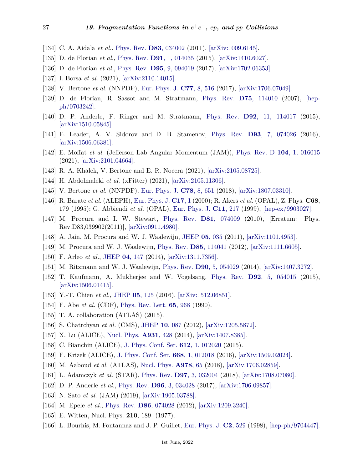- [134] C. A. Aidala *et al.*, [Phys. Rev.](http://doi.org/10.1103/PhysRevD.83.034002) **D83**[, 034002](http://doi.org/10.1103/PhysRevD.83.034002) (2011), [\[arXiv:1009.6145\].](https://arxiv.org/abs/1009.6145)
- <span id="page-26-8"></span>[135] D. de Florian *et al.*, [Phys. Rev.](http://doi.org/10.1103/PhysRevD.91.014035) **D91**[, 1, 014035](http://doi.org/10.1103/PhysRevD.91.014035) (2015), [\[arXiv:1410.6027\].](https://arxiv.org/abs/1410.6027)
- <span id="page-26-2"></span>[136] D. de Florian *et al.*, [Phys. Rev.](http://doi.org/10.1103/PhysRevD.95.094019) **D95**[, 9, 094019](http://doi.org/10.1103/PhysRevD.95.094019) (2017), [\[arXiv:1702.06353\].](https://arxiv.org/abs/1702.06353)
- <span id="page-26-0"></span>[137] I. Borsa *et al.* (2021), [\[arXiv:2110.14015\].](https://arxiv.org/abs/2110.14015)
- <span id="page-26-1"></span>[138] V. Bertone *et al.* (NNPDF), [Eur. Phys. J.](http://doi.org/10.1140/epjc/s10052-017-5088-y) **C77**[, 8, 516](http://doi.org/10.1140/epjc/s10052-017-5088-y) (2017), [\[arXiv:1706.07049\].](https://arxiv.org/abs/1706.07049)
- <span id="page-26-9"></span>[139] D. de Florian, R. Sassot and M. Stratmann, [Phys. Rev.](http://doi.org/10.1103/PhysRevD.75.114010) **D75**[, 114010](http://doi.org/10.1103/PhysRevD.75.114010) (2007), [\[hep](https://arxiv.org/abs/hep-ph/0703242)[ph/0703242\].](https://arxiv.org/abs/hep-ph/0703242)
- <span id="page-26-4"></span>[140] D. P. Anderle, F. Ringer and M. Stratmann, [Phys. Rev.](http://doi.org/10.1103/PhysRevD.92.114017) **D92**[, 11, 114017](http://doi.org/10.1103/PhysRevD.92.114017) (2015), [\[arXiv:1510.05845\].](https://arxiv.org/abs/1510.05845)
- [141] E. Leader, A. V. Sidorov and D. B. Stamenov, [Phys. Rev.](http://doi.org/10.1103/PhysRevD.93.074026) **D93**[, 7, 074026](http://doi.org/10.1103/PhysRevD.93.074026) (2016), [\[arXiv:1506.06381\].](https://arxiv.org/abs/1506.06381)
- <span id="page-26-7"></span>[142] E. Moffat *et al.* (Jefferson Lab Angular Momentum (JAM)), [Phys. Rev. D](http://doi.org/10.1103/PhysRevD.104.016015) **104**[, 1, 016015](http://doi.org/10.1103/PhysRevD.104.016015) (2021), [\[arXiv:2101.04664\].](https://arxiv.org/abs/2101.04664)
- [143] R. A. Khalek, V. Bertone and E. R. Nocera (2021), [\[arXiv:2105.08725\].](https://arxiv.org/abs/2105.08725)
- <span id="page-26-3"></span>[144] H. Abdolmaleki *et al.* (xFitter) (2021), [\[arXiv:2105.11306\].](https://arxiv.org/abs/2105.11306)
- <span id="page-26-5"></span>[145] V. Bertone *et al.* (NNPDF), [Eur. Phys. J.](http://doi.org/10.1140/epjc/s10052-018-6130-4) **C78**[, 8, 651](http://doi.org/10.1140/epjc/s10052-018-6130-4) (2018), [\[arXiv:1807.03310\].](https://arxiv.org/abs/1807.03310)
- <span id="page-26-6"></span>[146] R. Barate *et al.* (ALEPH), [Eur. Phys. J.](http://doi.org/10.1007/s100520000474) **[C17](http://doi.org/10.1007/s100520000474)**, 1 (2000); R. Akers *et al.* (OPAL), Z. Phys. **C68**, 179 (1995); G. Abbiendi *et al.* (OPAL), [Eur. Phys. J.](http://doi.org/10.1007/s100520050628) **C11**[, 217](http://doi.org/10.1007/s100520050628) (1999), [\[hep-ex/9903027\].](https://arxiv.org/abs/hep-ex/9903027)
- <span id="page-26-10"></span>[147] M. Procura and I. W. Stewart, [Phys. Rev.](http://doi.org/10.1103/PhysRevD.81.074009) **D81**[, 074009](http://doi.org/10.1103/PhysRevD.81.074009) (2010), [Erratum: Phys. Rev.D83,039902(2011)], [\[arXiv:0911.4980\].](https://arxiv.org/abs/0911.4980)
- [148] A. Jain, M. Procura and W. J. Waalewijn, [JHEP](http://doi.org/10.1007/JHEP05(2011)035) **05**[, 035](http://doi.org/10.1007/JHEP05(2011)035) (2011), [\[arXiv:1101.4953\].](https://arxiv.org/abs/1101.4953)
- [149] M. Procura and W. J. Waalewijn, [Phys. Rev.](http://doi.org/10.1103/PhysRevD.85.114041) **D85**[, 114041](http://doi.org/10.1103/PhysRevD.85.114041) (2012), [\[arXiv:1111.6605\].](https://arxiv.org/abs/1111.6605)
- [150] F. Arleo *et al.*, [JHEP](http://doi.org/10.1007/JHEP04(2014)147) **04**[, 147](http://doi.org/10.1007/JHEP04(2014)147) (2014), [\[arXiv:1311.7356\].](https://arxiv.org/abs/1311.7356)
- [151] M. Ritzmann and W. J. Waalewijn, [Phys. Rev.](http://doi.org/10.1103/PhysRevD.90.054029) **D90**[, 5, 054029](http://doi.org/10.1103/PhysRevD.90.054029) (2014), [\[arXiv:1407.3272\].](https://arxiv.org/abs/1407.3272)
- <span id="page-26-14"></span>[152] T. Kaufmann, A. Mukherjee and W. Vogelsang, [Phys. Rev.](http://doi.org/10.1103/PhysRevD.92.054015) **D92**[, 5, 054015](http://doi.org/10.1103/PhysRevD.92.054015) (2015), [\[arXiv:1506.01415\].](https://arxiv.org/abs/1506.01415)
- <span id="page-26-12"></span><span id="page-26-11"></span>[153] Y.-T. Chien *et al.*, [JHEP](http://doi.org/10.1007/JHEP05(2016)125) **05**[, 125](http://doi.org/10.1007/JHEP05(2016)125) (2016), [\[arXiv:1512.06851\].](https://arxiv.org/abs/1512.06851)
- [154] F. Abe *et al.* (CDF), [Phys. Rev. Lett.](http://doi.org/10.1103/PhysRevLett.65.968) **65**[, 968](http://doi.org/10.1103/PhysRevLett.65.968) (1990).
- [155] T. A. collaboration (ATLAS) (2015).
- [156] S. Chatrchyan *et al.* (CMS), [JHEP](http://doi.org/10.1007/JHEP10(2012)087) **10**[, 087](http://doi.org/10.1007/JHEP10(2012)087) (2012), [\[arXiv:1205.5872\].](https://arxiv.org/abs/1205.5872)
- [157] X. Lu (ALICE), [Nucl. Phys.](http://doi.org/10.1016/j.nuclphysa.2014.08.003) **[A931](http://doi.org/10.1016/j.nuclphysa.2014.08.003)**, 428 (2014), [\[arXiv:1407.8385\].](https://arxiv.org/abs/1407.8385)
- [158] C. Bianchin (ALICE), [J. Phys. Conf. Ser.](http://doi.org/10.1088/1742-6596/612/1/012020) **612**[, 1, 012020](http://doi.org/10.1088/1742-6596/612/1/012020) (2015).
- [159] F. Krizek (ALICE), [J. Phys. Conf. Ser.](http://doi.org/10.1088/1742-6596/668/1/012018) **668**[, 1, 012018](http://doi.org/10.1088/1742-6596/668/1/012018) (2016), [\[arXiv:1509.02024\].](https://arxiv.org/abs/1509.02024)
- [160] M. Aaboud *et al.* (ATLAS), [Nucl. Phys.](http://doi.org/10.1016/j.nuclphysa.2018.07.006) **[A978](http://doi.org/10.1016/j.nuclphysa.2018.07.006)**, 65 (2018), [\[arXiv:1706.02859\].](https://arxiv.org/abs/1706.02859)
- <span id="page-26-13"></span>[161] L. Adamczyk *et al.* (STAR), [Phys. Rev.](http://doi.org/10.1103/PhysRevD.97.032004) **D97**[, 3, 032004](http://doi.org/10.1103/PhysRevD.97.032004) (2018), [\[arXiv:1708.07080\].](https://arxiv.org/abs/1708.07080)
- <span id="page-26-15"></span>[162] D. P. Anderle *et al.*, [Phys. Rev.](http://doi.org/10.1103/PhysRevD.96.034028) **D96**[, 3, 034028](http://doi.org/10.1103/PhysRevD.96.034028) (2017), [\[arXiv:1706.09857\].](https://arxiv.org/abs/1706.09857)
- <span id="page-26-17"></span><span id="page-26-16"></span>[163] N. Sato *et al.* (JAM) (2019), [\[arXiv:1905.03788\].](https://arxiv.org/abs/1905.03788)
- [164] M. Epele *et al.*, [Phys. Rev.](http://doi.org/10.1103/PhysRevD.86.074028) **D86**[, 074028](http://doi.org/10.1103/PhysRevD.86.074028) (2012), [\[arXiv:1209.3240\].](https://arxiv.org/abs/1209.3240)
- <span id="page-26-19"></span><span id="page-26-18"></span>[165] E. Witten, Nucl. Phys. **210**, 189 (1977).
- [166] L. Bourhis, M. Fontannaz and J. P. Guillet, [Eur. Phys. J.](http://doi.org/10.1007/s100520050158) **C2**[, 529](http://doi.org/10.1007/s100520050158) (1998), [\[hep-ph/9704447\].](https://arxiv.org/abs/hep-ph/9704447)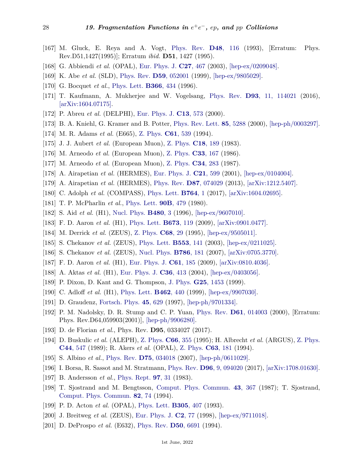- <span id="page-27-0"></span>[167] M. Gluck, E. Reya and A. Vogt, [Phys. Rev.](http://doi.org/10.1103/PhysRevD.51.1427) **D48**[, 116](http://doi.org/10.1103/PhysRevD.51.1427) (1993), [Erratum: Phys. Rev.D51,1427(1995)]; Erratum *ibid.* **D51**, 1427 (1995).
- <span id="page-27-1"></span>[168] G. Abbiendi *et al.* (OPAL), [Eur. Phys. J.](http://doi.org/10.1140/epjc/s2002-01121-3) **C27**[, 467](http://doi.org/10.1140/epjc/s2002-01121-3) (2003), [\[hep-ex/0209048\].](https://arxiv.org/abs/hep-ex/0209048)
- <span id="page-27-17"></span>[169] K. Abe *et al.* (SLD), [Phys. Rev.](http://doi.org/10.1103/PhysRevD.59.052001) **D59**[, 052001](http://doi.org/10.1103/PhysRevD.59.052001) (1999), [\[hep-ex/9805029\].](https://arxiv.org/abs/hep-ex/9805029)
- <span id="page-27-2"></span>[170] G. Bocquet *et al.*, [Phys. Lett.](http://doi.org/10.1016/0370-2693(95)01435-7) **[B366](http://doi.org/10.1016/0370-2693(95)01435-7)**, 434 (1996).
- <span id="page-27-3"></span>[171] T. Kaufmann, A. Mukherjee and W. Vogelsang, [Phys. Rev.](http://doi.org/10.1103/PhysRevD.93.114021) **D93**[, 11, 114021](http://doi.org/10.1103/PhysRevD.93.114021) (2016), [\[arXiv:1604.07175\].](https://arxiv.org/abs/1604.07175)
- <span id="page-27-4"></span>[172] P. Abreu *et al.* (DELPHI), [Eur. Phys. J.](http://doi.org/10.1007/s100520050719) **C13**[, 573](http://doi.org/10.1007/s100520050719) (2000).
- <span id="page-27-5"></span>[173] B. A. Kniehl, G. Kramer and B. Potter, [Phys. Rev. Lett.](http://doi.org/10.1103/PhysRevLett.85.5288) **85**[, 5288](http://doi.org/10.1103/PhysRevLett.85.5288) (2000), [\[hep-ph/0003297\].](https://arxiv.org/abs/hep-ph/0003297)
- <span id="page-27-6"></span>[174] M. R. Adams *et al.* (E665), [Z. Phys.](http://doi.org/10.1007/BF01552620) **C61**[, 539](http://doi.org/10.1007/BF01552620) (1994).
- <span id="page-27-15"></span>[175] J. J. Aubert *et al.* (European Muon), [Z. Phys.](http://doi.org/10.1007/BF01571359) **C18**[, 189](http://doi.org/10.1007/BF01571359) (1983).
- [176] M. Arneodo *et al.* (European Muon), [Z. Phys.](http://doi.org/10.1007/BF01411133) **C33**[, 167](http://doi.org/10.1007/BF01411133) (1986).
- <span id="page-27-14"></span>[177] M. Arneodo *et al.* (European Muon), [Z. Phys.](http://doi.org/10.1007/BF01548809) **C34**[, 283](http://doi.org/10.1007/BF01548809) (1987).
- <span id="page-27-16"></span>[178] A. Airapetian *et al.* (HERMES), [Eur. Phys. J.](http://doi.org/10.1007/s100520100765) **C21**[, 599](http://doi.org/10.1007/s100520100765) (2001), [\[hep-ex/0104004\].](https://arxiv.org/abs/hep-ex/0104004)
- <span id="page-27-27"></span>[179] A. Airapetian *et al.* (HERMES), [Phys. Rev.](http://doi.org/10.1103/PhysRevD.87.074029) **D87**[, 074029](http://doi.org/10.1103/PhysRevD.87.074029) (2013), [\[arXiv:1212.5407\].](https://arxiv.org/abs/1212.5407)
- [180] C. Adolph *et al.* (COMPASS), [Phys. Lett.](http://doi.org/10.1016/j.physletb.2016.09.042) **[B764](http://doi.org/10.1016/j.physletb.2016.09.042)**, 1 (2017), [\[arXiv:1604.02695\].](https://arxiv.org/abs/1604.02695)
- <span id="page-27-7"></span>[181] T. P. McPharlin *et al.*, [Phys. Lett.](http://doi.org/10.1016/0370-2693(80)90978-8) **90B**[, 479](http://doi.org/10.1016/0370-2693(80)90978-8) (1980).
- <span id="page-27-8"></span>[182] S. Aid *et al.* (H1), [Nucl. Phys.](http://doi.org/10.1016/S0550-3213(96)00503-2) **[B480](http://doi.org/10.1016/S0550-3213(96)00503-2)**, 3 (1996), [\[hep-ex/9607010\].](https://arxiv.org/abs/hep-ex/9607010)
- <span id="page-27-24"></span>[183] F. D. Aaron *et al.* (H1), [Phys. Lett.](http://doi.org/10.1016/j.physletb.2009.02.016) **[B673](http://doi.org/10.1016/j.physletb.2009.02.016)**, 119 (2009), [\[arXiv:0901.0477\].](https://arxiv.org/abs/0901.0477)
- [184] M. Derrick *et al.* (ZEUS), [Z. Phys.](http://doi.org/10.1007/BF01579802) **[C68](http://doi.org/10.1007/BF01579802)**, 29 (1995), [\[hep-ex/9505011\].](https://arxiv.org/abs/hep-ex/9505011)
- [185] S. Chekanov *et al.* (ZEUS), [Phys. Lett.](http://doi.org/10.1016/S0370-2693(02)03206-9) **[B553](http://doi.org/10.1016/S0370-2693(02)03206-9)**, 141 (2003), [\[hep-ex/0211025\].](https://arxiv.org/abs/hep-ex/0211025)
- [186] S. Chekanov *et al.* (ZEUS), [Nucl. Phys.](http://doi.org/10.1016/j.nuclphysb.2007.06.022) **[B786](http://doi.org/10.1016/j.nuclphysb.2007.06.022)**, 181 (2007), [\[arXiv:0705.3770\].](https://arxiv.org/abs/0705.3770)
- <span id="page-27-9"></span>[187] F. D. Aaron *et al.* (H1), [Eur. Phys. J.](http://doi.org/10.1140/epjc/s10052-009-0995-1) **C61**[, 185](http://doi.org/10.1140/epjc/s10052-009-0995-1) (2009), [\[arXiv:0810.4036\].](https://arxiv.org/abs/0810.4036)
- [188] A. Aktas *et al.* (H1), [Eur. Phys. J.](http://doi.org/10.1140/epjc/s2004-01978-x) **C36**[, 413](http://doi.org/10.1140/epjc/s2004-01978-x) (2004), [\[hep-ex/0403056\].](https://arxiv.org/abs/hep-ex/0403056)
- [189] P. Dixon, D. Kant and G. Thompson, [J. Phys.](http://doi.org/10.1088/0954-3899/25/7/326) **G25**[, 1453](http://doi.org/10.1088/0954-3899/25/7/326) (1999).
- <span id="page-27-10"></span>[190] C. Adloff *et al.* (H1), [Phys. Lett.](http://doi.org/10.1016/S0370-2693(99)00906-5) **[B462](http://doi.org/10.1016/S0370-2693(99)00906-5)**, 440 (1999), [\[hep-ex/9907030\].](https://arxiv.org/abs/hep-ex/9907030)
- <span id="page-27-11"></span>[191] D. Graudenz, [Fortsch. Phys.](http://doi.org/10.1002/prop.2190450802) **45**[, 629](http://doi.org/10.1002/prop.2190450802) (1997), [\[hep-ph/9701334\].](https://arxiv.org/abs/hep-ph/9701334)
- <span id="page-27-12"></span>[192] P. M. Nadolsky, D. R. Stump and C. P. Yuan, [Phys. Rev.](http://doi.org/10.1103/PhysRevD.64.059903) **D61**[, 014003](http://doi.org/10.1103/PhysRevD.64.059903) (2000), [Erratum: Phys. Rev.D64,059903(2001)], [\[hep-ph/9906280\].](https://arxiv.org/abs/hep-ph/9906280)
- <span id="page-27-13"></span>[193] D. de Florian *et al.*, Phys. Rev. **D95**, 0334027 (2017).
- <span id="page-27-18"></span>[194] D. Buskulic *et al.* (ALEPH), [Z. Phys.](http://doi.org/10.1007/BF01556360) **C66**[, 355](http://doi.org/10.1007/BF01556360) (1995); H. Albrecht *et al.* (ARGUS), [Z. Phys.](http://doi.org/10.1007/BF01549077) **C44**[, 547](http://doi.org/10.1007/BF01549077) (1989); R. Akers *et al.* (OPAL), [Z. Phys.](http://doi.org/10.1007/BF01411010) **C63**[, 181](http://doi.org/10.1007/BF01411010) (1994).
- <span id="page-27-19"></span>[195] S. Albino *et al.*, [Phys. Rev.](http://doi.org/10.1103/PhysRevD.75.034018) **D75**[, 034018](http://doi.org/10.1103/PhysRevD.75.034018) (2007), [\[hep-ph/0611029\].](https://arxiv.org/abs/hep-ph/0611029)
- <span id="page-27-20"></span>[196] I. Borsa, R. Sassot and M. Stratmann, [Phys. Rev.](http://doi.org/10.1103/PhysRevD.96.094020) **D96**[, 9, 094020](http://doi.org/10.1103/PhysRevD.96.094020) (2017), [\[arXiv:1708.01630\].](https://arxiv.org/abs/1708.01630)
- <span id="page-27-21"></span>[197] B. Andersson *et al.*, [Phys. Rept.](http://doi.org/10.1016/0370-1573(83)90080-7) **97**[, 31](http://doi.org/10.1016/0370-1573(83)90080-7) (1983).
- <span id="page-27-22"></span>[198] T. Sjostrand and M. Bengtsson, [Comput. Phys. Commun.](http://doi.org/10.1016/0010-4655(87)90054-3) **43**[, 367](http://doi.org/10.1016/0010-4655(87)90054-3) (1987); T. Sjostrand, [Comput. Phys. Commun.](http://doi.org/10.1016/0010-4655(94)90132-5) **82**[, 74](http://doi.org/10.1016/0010-4655(94)90132-5) (1994).
- <span id="page-27-23"></span>[199] P. D. Acton *et al.* (OPAL), [Phys. Lett.](http://doi.org/10.1016/0370-2693(93)91075-X) **[B305](http://doi.org/10.1016/0370-2693(93)91075-X)**, 407 (1993).
- <span id="page-27-25"></span>[200] J. Breitweg *et al.* (ZEUS), [Eur. Phys. J.](http://doi.org/10.1007/s100520050125) **C2**[, 77](http://doi.org/10.1007/s100520050125) (1998), [\[hep-ex/9711018\].](https://arxiv.org/abs/hep-ex/9711018)
- <span id="page-27-26"></span>[201] D. DeProspo *et al.* (E632), [Phys. Rev.](http://doi.org/10.1103/PhysRevD.50.6691) **D50**[, 6691](http://doi.org/10.1103/PhysRevD.50.6691) (1994).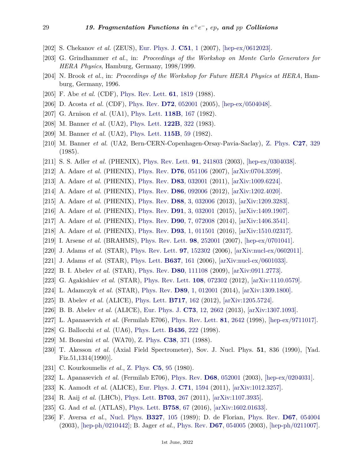- <span id="page-28-0"></span>[202] S. Chekanov *et al.* (ZEUS), [Eur. Phys. J.](http://doi.org/10.1140/epjc/s10052-007-0299-2) **[C51](http://doi.org/10.1140/epjc/s10052-007-0299-2)**, 1 (2007), [\[hep-ex/0612023\].](https://arxiv.org/abs/hep-ex/0612023)
- <span id="page-28-1"></span>[203] G. Grindhammer *et al.*, in: *Proceedings of the Workshop on Monte Carlo Generators for HERA Physics*, Hamburg, Germany, 1998/1999.
- <span id="page-28-2"></span>[204] N. Brook *et al.*, in: *Proceedings of the Workshop for Future HERA Physics at HERA*, Hamburg, Germany, 1996.
- <span id="page-28-3"></span>[205] F. Abe *et al.* (CDF), [Phys. Rev. Lett.](http://doi.org/10.1103/PhysRevLett.61.1819) **61**[, 1819](http://doi.org/10.1103/PhysRevLett.61.1819) (1988).
- [206] D. Acosta *et al.* (CDF), [Phys. Rev.](http://doi.org/10.1103/PhysRevD.72.052001) **D72**[, 052001](http://doi.org/10.1103/PhysRevD.72.052001) (2005), [\[hep-ex/0504048\].](https://arxiv.org/abs/hep-ex/0504048)
- [207] G. Arnison *et al.* (UA1), [Phys. Lett.](http://doi.org/10.1016/0370-2693(82)90623-2) **[118B](http://doi.org/10.1016/0370-2693(82)90623-2)**, 167 (1982).
- [208] M. Banner *et al.* (UA2), [Phys. Lett.](http://doi.org/10.1016/0370-2693(83)90712-8) **[122B](http://doi.org/10.1016/0370-2693(83)90712-8)**, 322 (1983).
- <span id="page-28-11"></span>[209] M. Banner *et al.* (UA2), [Phys. Lett.](http://doi.org/10.1016/0370-2693(82)90514-7) **[115B](http://doi.org/10.1016/0370-2693(82)90514-7)**, 59 (1982).
- [210] M. Banner *et al.* (UA2, Bern-CERN-Copenhagen-Orsay-Pavia-Saclay), [Z. Phys.](http://doi.org/10.1007/BF01548636) **C27**[, 329](http://doi.org/10.1007/BF01548636) (1985).
- <span id="page-28-8"></span>[211] S. S. Adler *et al.* (PHENIX), [Phys. Rev. Lett.](http://doi.org/10.1103/PhysRevLett.91.241803) **91**[, 241803](http://doi.org/10.1103/PhysRevLett.91.241803) (2003), [\[hep-ex/0304038\].](https://arxiv.org/abs/hep-ex/0304038)
- [212] A. Adare *et al.* (PHENIX), [Phys. Rev.](http://doi.org/10.1103/PhysRevD.76.051106) **D76**[, 051106](http://doi.org/10.1103/PhysRevD.76.051106) (2007), [\[arXiv:0704.3599\].](https://arxiv.org/abs/0704.3599)
- [213] A. Adare *et al.* (PHENIX), [Phys. Rev.](http://doi.org/10.1103/PhysRevD.83.032001) **D83**[, 032001](http://doi.org/10.1103/PhysRevD.83.032001) (2011), [\[arXiv:1009.6224\].](https://arxiv.org/abs/1009.6224)
- [214] A. Adare *et al.* (PHENIX), [Phys. Rev.](http://doi.org/10.1103/PhysRevD.86.092006) **D86**[, 092006](http://doi.org/10.1103/PhysRevD.86.092006) (2012), [\[arXiv:1202.4020\].](https://arxiv.org/abs/1202.4020)
- [215] A. Adare *et al.* (PHENIX), [Phys. Rev.](http://doi.org/10.1103/PhysRevD.88.032006) **D88**[, 3, 032006](http://doi.org/10.1103/PhysRevD.88.032006) (2013), [\[arXiv:1209.3283\].](https://arxiv.org/abs/1209.3283)
- [216] A. Adare *et al.* (PHENIX), [Phys. Rev.](http://doi.org/10.1103/PhysRevD.91.032001) **D91**[, 3, 032001](http://doi.org/10.1103/PhysRevD.91.032001) (2015), [\[arXiv:1409.1907\].](https://arxiv.org/abs/1409.1907)
- [217] A. Adare *et al.* (PHENIX), [Phys. Rev.](http://doi.org/10.1103/PhysRevD.90.072008) **D90**[, 7, 072008](http://doi.org/10.1103/PhysRevD.90.072008) (2014), [\[arXiv:1406.3541\].](https://arxiv.org/abs/1406.3541)
- [218] A. Adare *et al.* (PHENIX), [Phys. Rev.](http://doi.org/10.1103/PhysRevD.93.011501) **D93**[, 1, 011501](http://doi.org/10.1103/PhysRevD.93.011501) (2016), [\[arXiv:1510.02317\].](https://arxiv.org/abs/1510.02317)
- [219] I. Arsene *et al.* (BRAHMS), [Phys. Rev. Lett.](http://doi.org/10.1103/PhysRevLett.98.252001) **98**[, 252001](http://doi.org/10.1103/PhysRevLett.98.252001) (2007), [\[hep-ex/0701041\].](https://arxiv.org/abs/hep-ex/0701041)
- [220] J. Adams *et al.* (STAR), [Phys. Rev. Lett.](http://doi.org/10.1103/PhysRevLett.97.152302) **97**[, 152302](http://doi.org/10.1103/PhysRevLett.97.152302) (2006), [\[arXiv:nucl-ex/0602011\].](https://arxiv.org/abs/nucl-ex/0602011)
- [221] J. Adams *et al.* (STAR), [Phys. Lett.](http://doi.org/10.1016/j.physletb.2006.04.032) **[B637](http://doi.org/10.1016/j.physletb.2006.04.032)**, 161 (2006), [\[arXiv:nucl-ex/0601033\].](https://arxiv.org/abs/nucl-ex/0601033)
- [222] B. I. Abelev *et al.* (STAR), [Phys. Rev.](http://doi.org/10.1103/PhysRevD.80.111108) **D80**[, 111108](http://doi.org/10.1103/PhysRevD.80.111108) (2009), [\[arXiv:0911.2773\].](https://arxiv.org/abs/0911.2773)
- [223] G. Agakishiev *et al.* (STAR), [Phys. Rev. Lett.](http://doi.org/10.1103/PhysRevLett.108.072302) **108**[, 072302](http://doi.org/10.1103/PhysRevLett.108.072302) (2012), [\[arXiv:1110.0579\].](https://arxiv.org/abs/1110.0579)
- [224] L. Adamczyk *et al.* (STAR), [Phys. Rev.](http://doi.org/10.1103/PhysRevD.89.012001) **D89**[, 1, 012001](http://doi.org/10.1103/PhysRevD.89.012001) (2014), [\[arXiv:1309.1800\].](https://arxiv.org/abs/1309.1800)
- <span id="page-28-9"></span>[225] B. Abelev *et al.* (ALICE), [Phys. Lett.](http://doi.org/10.1016/j.physletb.2012.09.015) **[B717](http://doi.org/10.1016/j.physletb.2012.09.015)**, 162 (2012), [\[arXiv:1205.5724\].](https://arxiv.org/abs/1205.5724)
- [226] B. B. Abelev *et al.* (ALICE), [Eur. Phys. J.](http://doi.org/10.1140/epjc/s10052-013-2662-9) **C73**[, 12, 2662](http://doi.org/10.1140/epjc/s10052-013-2662-9) (2013), [\[arXiv:1307.1093\].](https://arxiv.org/abs/1307.1093)
- <span id="page-28-6"></span>[227] L. Apanasevich *et al.* (Fermilab E706), [Phys. Rev. Lett.](http://doi.org/10.1103/PhysRevLett.81.2642) **81**[, 2642](http://doi.org/10.1103/PhysRevLett.81.2642) (1998), [\[hep-ex/9711017\].](https://arxiv.org/abs/hep-ex/9711017)
- [228] G. Ballocchi *et al.* (UA6), [Phys. Lett.](http://doi.org/10.1016/S0370-2693(98)01001-6) **[B436](http://doi.org/10.1016/S0370-2693(98)01001-6)**, 222 (1998).
- <span id="page-28-10"></span>[229] M. Bonesini *et al.* (WA70), [Z. Phys.](http://doi.org/10.1007/BF01584385) **C38**[, 371](http://doi.org/10.1007/BF01584385) (1988).
- [230] T. Akesson *et al.* (Axial Field Spectrometer), Sov. J. Nucl. Phys. **51**, 836 (1990), [Yad. Fiz.51,1314(1990)].
- [231] C. Kourkoumelis *et al.*, [Z. Phys.](http://doi.org/10.1007/BF01576190) **C5**[, 95](http://doi.org/10.1007/BF01576190) (1980).
- <span id="page-28-7"></span>[232] L. Apanasevich *et al.* (Fermilab E706), [Phys. Rev.](http://doi.org/10.1103/PhysRevD.68.052001) **D68**[, 052001](http://doi.org/10.1103/PhysRevD.68.052001) (2003), [\[hep-ex/0204031\].](https://arxiv.org/abs/hep-ex/0204031)
- [233] K. Aamodt *et al.* (ALICE), [Eur. Phys. J.](http://doi.org/10.1140/epjc/s10052-011-1594-5) **C71**[, 1594](http://doi.org/10.1140/epjc/s10052-011-1594-5) (2011), [\[arXiv:1012.3257\].](https://arxiv.org/abs/1012.3257)
- [234] R. Aaij *et al.* (LHCb), [Phys. Lett.](http://doi.org/10.1016/j.physletb.2011.08.017) **[B703](http://doi.org/10.1016/j.physletb.2011.08.017)**, 267 (2011), [\[arXiv:1107.3935\].](https://arxiv.org/abs/1107.3935)
- <span id="page-28-4"></span>[235] G. Aad *et al.* (ATLAS), [Phys. Lett.](http://doi.org/10.1016/j.physletb.2016.04.050) **[B758](http://doi.org/10.1016/j.physletb.2016.04.050)**, 67 (2016), [\[arXiv:1602.01633\].](https://arxiv.org/abs/1602.01633)
- <span id="page-28-5"></span>[236] F. Aversa *et al.*, [Nucl. Phys.](http://doi.org/10.1016/0550-3213(89)90288-5) **[B327](http://doi.org/10.1016/0550-3213(89)90288-5)**, 105 (1989); D. de Florian, [Phys. Rev.](http://doi.org/10.1103/PhysRevD.67.054004) **D67**[, 054004](http://doi.org/10.1103/PhysRevD.67.054004) (2003), [\[hep-ph/0210442\];](https://arxiv.org/abs/hep-ph/0210442) B. Jager *et al.*, [Phys. Rev.](http://doi.org/10.1103/PhysRevD.67.054005) **D67**[, 054005](http://doi.org/10.1103/PhysRevD.67.054005) (2003), [\[hep-ph/0211007\].](https://arxiv.org/abs/hep-ph/0211007)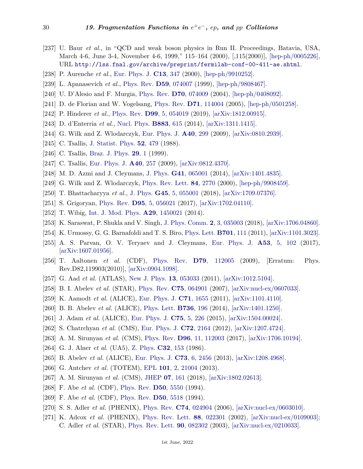- <span id="page-29-0"></span>[237] U. Baur *et al.*, in "QCD and weak boson physics in Run II. Proceedings, Batavia, USA, March 4-6, June 3-4, November 4-6, 1999," 115-164 (2000), [,115(2000)], [\[hep-ph/0005226\],](https://arxiv.org/abs/hep-ph/0005226) URL <http://lss.fnal.gov/archive/preprint/fermilab-conf-00-411-ae.shtml>.
- <span id="page-29-1"></span>[238] P. Aurenche *et al.*, [Eur. Phys. J.](http://doi.org/10.1007/s100520000309) **C13**[, 347](http://doi.org/10.1007/s100520000309) (2000), [\[hep-ph/9910252\].](https://arxiv.org/abs/hep-ph/9910252)
- <span id="page-29-2"></span>[239] L. Apanasevich *et al.*, [Phys. Rev.](http://doi.org/10.1103/PhysRevD.59.074007) **D59**[, 074007](http://doi.org/10.1103/PhysRevD.59.074007) (1999), [\[hep-ph/9808467\].](https://arxiv.org/abs/hep-ph/9808467)
- <span id="page-29-3"></span>[240] U. D'Alesio and F. Murgia, [Phys. Rev.](http://doi.org/10.1103/PhysRevD.70.074009) **D70**[, 074009](http://doi.org/10.1103/PhysRevD.70.074009) (2004), [\[hep-ph/0408092\].](https://arxiv.org/abs/hep-ph/0408092)
- <span id="page-29-4"></span>[241] D. de Florian and W. Vogelsang, [Phys. Rev.](http://doi.org/10.1103/PhysRevD.71.114004) **D71**[, 114004](http://doi.org/10.1103/PhysRevD.71.114004) (2005), [\[hep-ph/0501258\].](https://arxiv.org/abs/hep-ph/0501258)
- <span id="page-29-5"></span>[242] P. Hinderer *et al.*, [Phys. Rev.](http://doi.org/10.1103/PhysRevD.99.054019) **D99**[, 5, 054019](http://doi.org/10.1103/PhysRevD.99.054019) (2019), [\[arXiv:1812.00915\].](https://arxiv.org/abs/1812.00915)
- <span id="page-29-6"></span>[243] D. d'Enterria *et al.*, [Nucl. Phys.](http://doi.org/10.1016/j.nuclphysb.2014.04.006) **[B883](http://doi.org/10.1016/j.nuclphysb.2014.04.006)**, 615 (2014), [\[arXiv:1311.1415\].](https://arxiv.org/abs/1311.1415)
- <span id="page-29-7"></span>[244] G. Wilk and Z. Wlodarczyk, [Eur. Phys. J.](http://doi.org/10.1140/epja/i2009-10803-9) **A40**[, 299](http://doi.org/10.1140/epja/i2009-10803-9) (2009), [\[arXiv:0810.2939\].](https://arxiv.org/abs/0810.2939)
- <span id="page-29-8"></span>[245] C. Tsallis, [J. Statist. Phys.](http://doi.org/10.1007/BF01016429) **52**[, 479](http://doi.org/10.1007/BF01016429) (1988).
- [246] C. Tsallis, [Braz. J. Phys.](http://doi.org/10.1590/S0103-97331999000100002) **[29](http://doi.org/10.1590/S0103-97331999000100002)**, 1 (1999).
- <span id="page-29-9"></span>[247] C. Tsallis, [Eur. Phys. J.](http://doi.org/10.1140/epja/i2009-10799-0) **A40**[, 257](http://doi.org/10.1140/epja/i2009-10799-0) (2009), [\[arXiv:0812.4370\].](https://arxiv.org/abs/0812.4370)
- <span id="page-29-10"></span>[248] M. D. Azmi and J. Cleymans, [J. Phys.](http://doi.org/10.1088/0954-3899/41/6/065001) **G41**[, 065001](http://doi.org/10.1088/0954-3899/41/6/065001) (2014), [\[arXiv:1401.4835\].](https://arxiv.org/abs/1401.4835)
- <span id="page-29-11"></span>[249] G. Wilk and Z. Wlodarczyk, [Phys. Rev. Lett.](http://doi.org/10.1103/PhysRevLett.84.2770) **84**[, 2770](http://doi.org/10.1103/PhysRevLett.84.2770) (2000), [\[hep-ph/9908459\].](https://arxiv.org/abs/hep-ph/9908459)
- <span id="page-29-12"></span>[250] T. Bhattacharyya *et al.*, [J. Phys.](http://doi.org/10.1088/1361-6471/aaaea0) **G45**[, 5, 055001](http://doi.org/10.1088/1361-6471/aaaea0) (2018), [\[arXiv:1709.07376\].](https://arxiv.org/abs/1709.07376)
- [251] S. Grigoryan, [Phys. Rev.](http://doi.org/10.1103/PhysRevD.95.056021) **D95**[, 5, 056021](http://doi.org/10.1103/PhysRevD.95.056021) (2017), [\[arXiv:1702.04110\].](https://arxiv.org/abs/1702.04110)
- <span id="page-29-13"></span>[252] T. Wibig, [Int. J. Mod. Phys.](http://doi.org/10.1142/S0217751X14500213) **A29**[, 1450021](http://doi.org/10.1142/S0217751X14500213) (2014).
- <span id="page-29-14"></span>[253] K. Saraswat, P. Shukla and V. Singh, [J. Phys. Comm.](http://doi.org/10.1088/2399-6528/aab00f) **2**[, 3, 035003](http://doi.org/10.1088/2399-6528/aab00f) (2018), [\[arXiv:1706.04860\].](https://arxiv.org/abs/1706.04860)
- <span id="page-29-15"></span>[254] K. Urmossy, G. G. Barnafoldi and T. S. Biro, [Phys. Lett.](http://doi.org/10.1016/j.physletb.2011.03.073) **[B701](http://doi.org/10.1016/j.physletb.2011.03.073)**, 111 (2011), [\[arXiv:1101.3023\].](https://arxiv.org/abs/1101.3023)
- <span id="page-29-16"></span>[255] A. S. Parvan, O. V. Teryaev and J. Cleymans, [Eur. Phys. J.](http://doi.org/10.1140/epja/i2017-12301-y) **A53**[, 5, 102](http://doi.org/10.1140/epja/i2017-12301-y) (2017), [\[arXiv:1607.01956\].](https://arxiv.org/abs/1607.01956)
- <span id="page-29-18"></span>[256] T. Aaltonen *et al.* (CDF), [Phys. Rev.](http://doi.org/10.1103/PhysRevD.82.119903) **D79**[, 112005](http://doi.org/10.1103/PhysRevD.82.119903) (2009), [Erratum: Phys. Rev.D82,119903(2010)], [\[arXiv:0904.1098\].](https://arxiv.org/abs/0904.1098)
- <span id="page-29-19"></span>[257] G. Aad *et al.* (ATLAS), [New J. Phys.](http://doi.org/10.1088/1367-2630/13/5/053033) **13**[, 053033](http://doi.org/10.1088/1367-2630/13/5/053033) (2011), [\[arXiv:1012.5104\].](https://arxiv.org/abs/1012.5104)
- <span id="page-29-20"></span>[258] B. I. Abelev *et al.* (STAR), [Phys. Rev.](http://doi.org/10.1103/PhysRevC.75.064901) **C75**[, 064901](http://doi.org/10.1103/PhysRevC.75.064901) (2007), [\[arXiv:nucl-ex/0607033\].](https://arxiv.org/abs/nucl-ex/0607033)
- [259] K. Aamodt *et al.* (ALICE), [Eur. Phys. J.](http://doi.org/10.1140/epjc/s10052-011-1655-9) **C71**[, 1655](http://doi.org/10.1140/epjc/s10052-011-1655-9) (2011), [\[arXiv:1101.4110\].](https://arxiv.org/abs/1101.4110)
- [260] B. B. Abelev *et al.* (ALICE), [Phys. Lett.](http://doi.org/10.1016/j.physletb.2014.07.011) **[B736](http://doi.org/10.1016/j.physletb.2014.07.011)**, 196 (2014), [\[arXiv:1401.1250\].](https://arxiv.org/abs/1401.1250)
- [261] J. Adam *et al.* (ALICE), [Eur. Phys. J.](http://doi.org/10.1140/epjc/s10052-015-3422-9) **C75**[, 5, 226](http://doi.org/10.1140/epjc/s10052-015-3422-9) (2015), [\[arXiv:1504.00024\].](https://arxiv.org/abs/1504.00024)
- [262] S. Chatrchyan *et al.* (CMS), [Eur. Phys. J.](http://doi.org/10.1140/epjc/s10052-012-2164-1) **C72**[, 2164](http://doi.org/10.1140/epjc/s10052-012-2164-1) (2012), [\[arXiv:1207.4724\].](https://arxiv.org/abs/1207.4724)
- <span id="page-29-21"></span>[263] A. M. Sirunyan *et al.* (CMS), [Phys. Rev.](http://doi.org/10.1103/PhysRevD.96.112003) **D96**[, 11, 112003](http://doi.org/10.1103/PhysRevD.96.112003) (2017), [\[arXiv:1706.10194\].](https://arxiv.org/abs/1706.10194)
- <span id="page-29-22"></span>[264] G. J. Alner *et al.* (UA5), [Z. Phys.](http://doi.org/10.1007/BF01552491) **C32**[, 153](http://doi.org/10.1007/BF01552491) (1986).
- [265] B. Abelev *et al.* (ALICE), [Eur. Phys. J.](http://doi.org/10.1140/epjc/s10052-013-2456-0) **C73**[, 6, 2456](http://doi.org/10.1140/epjc/s10052-013-2456-0) (2013), [\[arXiv:1208.4968\].](https://arxiv.org/abs/1208.4968)
- [266] G. Antchev *et al.* (TOTEM), [EPL](http://doi.org/10.1209/0295-5075/101/21004) **101**[, 2, 21004](http://doi.org/10.1209/0295-5075/101/21004) (2013).
- [267] A. M. Sirunyan *et al.* (CMS), [JHEP](http://doi.org/10.1007/JHEP07(2018)161) **07**[, 161](http://doi.org/10.1007/JHEP07(2018)161) (2018), [\[arXiv:1802.02613\].](https://arxiv.org/abs/1802.02613)
- <span id="page-29-23"></span>[268] F. Abe *et al.* (CDF), [Phys. Rev.](http://doi.org/10.1103/PhysRevD.50.5550) **D50**[, 5550](http://doi.org/10.1103/PhysRevD.50.5550) (1994).
- [269] F. Abe *et al.* (CDF), [Phys. Rev.](http://doi.org/10.1103/PhysRevD.50.5518) **D50**[, 5518](http://doi.org/10.1103/PhysRevD.50.5518) (1994).
- <span id="page-29-24"></span>[270] S. S. Adler *et al.* (PHENIX), [Phys. Rev.](http://doi.org/10.1103/PhysRevC.74.024904) **C74**[, 024904](http://doi.org/10.1103/PhysRevC.74.024904) (2006), [\[arXiv:nucl-ex/0603010\].](https://arxiv.org/abs/nucl-ex/0603010)
- <span id="page-29-17"></span>[271] K. Adcox *et al.* (PHENIX), [Phys. Rev. Lett.](http://doi.org/10.1103/PhysRevLett.88.022301) **88**[, 022301](http://doi.org/10.1103/PhysRevLett.88.022301) (2002), [\[arXiv:nucl-ex/0109003\];](https://arxiv.org/abs/nucl-ex/0109003) C. Adler *et al.* (STAR), [Phys. Rev. Lett.](http://doi.org/10.1103/PhysRevLett.90.082302) **90**[, 082302](http://doi.org/10.1103/PhysRevLett.90.082302) (2003), [\[arXiv:nucl-ex/0210033\].](https://arxiv.org/abs/nucl-ex/0210033)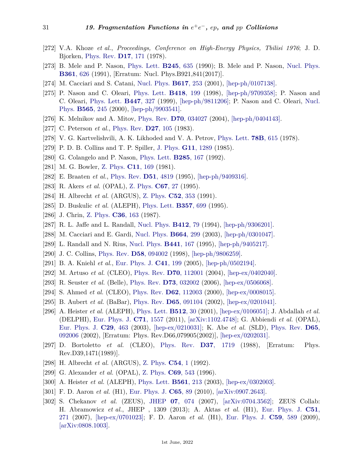- <span id="page-30-0"></span>[272] V.A. Khoze *et al.*, *Proceedings, Conference on High-Energy Physics, Tbilisi 1976*; J. D. Bjorken, [Phys. Rev.](http://doi.org/10.1103/PhysRevD.17.171) **D17**[, 171](http://doi.org/10.1103/PhysRevD.17.171) (1978).
- <span id="page-30-1"></span>[273] B. Mele and P. Nason, [Phys. Lett.](http://doi.org/10.1016/0370-2693(90)90704-A) **[B245](http://doi.org/10.1016/0370-2693(90)90704-A)**, 635 (1990); B. Mele and P. Nason, [Nucl. Phys.](http://doi.org/10.1016/0550-3213(91)90597-Q) **[B361](http://doi.org/10.1016/0550-3213(91)90597-Q)**, 626 (1991), [Erratum: Nucl. Phys.B921,841(2017)].
- <span id="page-30-2"></span>[274] M. Cacciari and S. Catani, [Nucl. Phys.](http://doi.org/10.1016/S0550-3213(01)00469-2) **[B617](http://doi.org/10.1016/S0550-3213(01)00469-2)**, 253 (2001), [\[hep-ph/0107138\].](https://arxiv.org/abs/hep-ph/0107138)
- <span id="page-30-3"></span>[275] P. Nason and C. Oleari, [Phys. Lett.](http://doi.org/10.1016/S0370-2693(97)01414-7) **[B418](http://doi.org/10.1016/S0370-2693(97)01414-7)**, 199 (1998), [\[hep-ph/9709358\];](https://arxiv.org/abs/hep-ph/9709358) P. Nason and C. Oleari, [Phys. Lett.](http://doi.org/10.1016/S0370-2693(98)01588-3) **[B447](http://doi.org/10.1016/S0370-2693(98)01588-3)**, 327 (1999), [\[hep-ph/9811206\];](https://arxiv.org/abs/hep-ph/9811206) P. Nason and C. Oleari, [Nucl.](http://doi.org/10.1016/S0550-3213(99)00673-2) [Phys.](http://doi.org/10.1016/S0550-3213(99)00673-2) **[B565](http://doi.org/10.1016/S0550-3213(99)00673-2)**, 245 (2000), [\[hep-ph/9903541\].](https://arxiv.org/abs/hep-ph/9903541)
- <span id="page-30-4"></span>[276] K. Melnikov and A. Mitov, [Phys. Rev.](http://doi.org/10.1103/PhysRevD.70.034027) **D70**[, 034027](http://doi.org/10.1103/PhysRevD.70.034027) (2004), [\[hep-ph/0404143\].](https://arxiv.org/abs/hep-ph/0404143)
- <span id="page-30-5"></span>[277] C. Peterson *et al.*, [Phys. Rev.](http://doi.org/10.1103/PhysRevD.27.105) **D27**[, 105](http://doi.org/10.1103/PhysRevD.27.105) (1983).
- <span id="page-30-6"></span>[278] V. G. Kartvelishvili, A. K. Likhoded and V. A. Petrov, [Phys. Lett.](http://doi.org/10.1016/0370-2693(78)90653-6) **78B**[, 615](http://doi.org/10.1016/0370-2693(78)90653-6) (1978).
- <span id="page-30-7"></span>[279] P. D. B. Collins and T. P. Spiller, [J. Phys.](http://doi.org/10.1088/0305-4616/11/12/006) **G11**[, 1289](http://doi.org/10.1088/0305-4616/11/12/006) (1985).
- <span id="page-30-8"></span>[280] G. Colangelo and P. Nason, [Phys. Lett.](http://doi.org/10.1016/0370-2693(92)91317-3) **[B285](http://doi.org/10.1016/0370-2693(92)91317-3)**, 167 (1992).
- <span id="page-30-9"></span>[281] M. G. Bowler, [Z. Phys.](http://doi.org/10.1007/BF01574001) **C11**[, 169](http://doi.org/10.1007/BF01574001) (1981).
- <span id="page-30-10"></span>[282] E. Braaten *et al.*, [Phys. Rev.](http://doi.org/10.1103/PhysRevD.51.4819) **D51**[, 4819](http://doi.org/10.1103/PhysRevD.51.4819) (1995), [\[hep-ph/9409316\].](https://arxiv.org/abs/hep-ph/9409316)
- <span id="page-30-11"></span>[283] R. Akers *et al.* (OPAL), [Z. Phys.](http://doi.org/10.1007/BF01564819) **[C67](http://doi.org/10.1007/BF01564819)**, 27 (1995).
- <span id="page-30-12"></span>[284] H. Albrecht *et al.* (ARGUS), [Z. Phys.](http://doi.org/10.1007/BF01559430) **C52**[, 353](http://doi.org/10.1007/BF01559430) (1991).
- <span id="page-30-13"></span>[285] D. Buskulic *et al.* (ALEPH), [Phys. Lett.](http://doi.org/10.1016/0370-2693(95)00988-W) **[B357](http://doi.org/10.1016/0370-2693(95)00988-W)**, 699 (1995).
- <span id="page-30-14"></span>[286] J. Chrin, [Z. Phys.](http://doi.org/10.1007/BF01556176) **C36**[, 163](http://doi.org/10.1007/BF01556176) (1987).
- <span id="page-30-15"></span>[287] R. L. Jaffe and L. Randall, [Nucl. Phys.](http://doi.org/10.1016/0550-3213(94)90495-2) **[B412](http://doi.org/10.1016/0550-3213(94)90495-2)**, 79 (1994), [\[hep-ph/9306201\].](https://arxiv.org/abs/hep-ph/9306201)
- <span id="page-30-16"></span>[288] M. Cacciari and E. Gardi, [Nucl. Phys.](http://doi.org/10.1016/S0550-3213(03)00435-8) **[B664](http://doi.org/10.1016/S0550-3213(03)00435-8)**, 299 (2003), [\[hep-ph/0301047\].](https://arxiv.org/abs/hep-ph/0301047)
- <span id="page-30-17"></span>[289] L. Randall and N. Rius, [Nucl. Phys.](http://doi.org/10.1016/0550-3213(95)00101-W) **[B441](http://doi.org/10.1016/0550-3213(95)00101-W)**, 167 (1995), [\[hep-ph/9405217\].](https://arxiv.org/abs/hep-ph/9405217)
- <span id="page-30-18"></span>[290] J. C. Collins, [Phys. Rev.](http://doi.org/10.1103/PhysRevD.58.094002) **D58**[, 094002](http://doi.org/10.1103/PhysRevD.58.094002) (1998), [\[hep-ph/9806259\].](https://arxiv.org/abs/hep-ph/9806259)
- <span id="page-30-19"></span>[291] B. A. Kniehl *et al.*, [Eur. Phys. J.](http://doi.org/10.1140/epjc/s2005-02200-7) **C41**[, 199](http://doi.org/10.1140/epjc/s2005-02200-7) (2005), [\[hep-ph/0502194\].](https://arxiv.org/abs/hep-ph/0502194)
- <span id="page-30-20"></span>[292] M. Artuso *et al.* (CLEO), [Phys. Rev.](http://doi.org/10.1103/PhysRevD.70.112001) **D70**[, 112001](http://doi.org/10.1103/PhysRevD.70.112001) (2004), [\[hep-ex/0402040\].](https://arxiv.org/abs/hep-ex/0402040)
- <span id="page-30-21"></span>[293] R. Seuster *et al.* (Belle), [Phys. Rev.](http://doi.org/10.1103/PhysRevD.73.032002) **D73**[, 032002](http://doi.org/10.1103/PhysRevD.73.032002) (2006), [\[hep-ex/0506068\].](https://arxiv.org/abs/hep-ex/0506068)
- <span id="page-30-22"></span>[294] S. Ahmed *et al.* (CLEO), [Phys. Rev.](http://doi.org/10.1103/PhysRevD.62.112003) **D62**[, 112003](http://doi.org/10.1103/PhysRevD.62.112003) (2000), [\[hep-ex/0008015\].](https://arxiv.org/abs/hep-ex/0008015)
- <span id="page-30-23"></span>[295] B. Aubert *et al.* (BaBar), [Phys. Rev.](http://doi.org/10.1103/PhysRevD.65.091104) **D65**[, 091104](http://doi.org/10.1103/PhysRevD.65.091104) (2002), [\[hep-ex/0201041\].](https://arxiv.org/abs/hep-ex/0201041)
- <span id="page-30-24"></span>[296] A. Heister *et al.* (ALEPH), [Phys. Lett.](http://doi.org/10.1016/S0370-2693(01)00690-6) **[B512](http://doi.org/10.1016/S0370-2693(01)00690-6)**, 30 (2001), [\[hep-ex/0106051\];](https://arxiv.org/abs/hep-ex/0106051) J. Abdallah *et al.* (DELPHI), [Eur. Phys. J.](http://doi.org/10.1140/epjc/s10052-011-1557-x) **C71**[, 1557](http://doi.org/10.1140/epjc/s10052-011-1557-x) (2011), [\[arXiv:1102.4748\];](https://arxiv.org/abs/1102.4748) G. Abbiendi *et al.* (OPAL), [Eur. Phys. J.](http://doi.org/10.1140/epjc/s2003-01229-x) **C29**[, 463](http://doi.org/10.1140/epjc/s2003-01229-x) (2003), [\[hep-ex/0210031\];](https://arxiv.org/abs/hep-ex/0210031) K. Abe *et al.* (SLD), [Phys. Rev.](http://doi.org/10.1103/PhysRevD.66.079905) **[D65](http://doi.org/10.1103/PhysRevD.66.079905)**, [092006](http://doi.org/10.1103/PhysRevD.66.079905) (2002), [Erratum: Phys. Rev.D66,079905(2002)], [\[hep-ex/0202031\].](https://arxiv.org/abs/hep-ex/0202031)
- <span id="page-30-25"></span>[297] D. Bortoletto *et al.* (CLEO), [Phys. Rev.](http://doi.org/10.1103/PhysRevD.37.1719) **D37**[, 1719](http://doi.org/10.1103/PhysRevD.37.1719) (1988), [Erratum: Phys. Rev.D39,1471(1989)].
- <span id="page-30-26"></span>[298] H. Albrecht *et al.* (ARGUS), [Z. Phys.](http://doi.org/10.1007/BF01881703) **[C54](http://doi.org/10.1007/BF01881703)**, 1 (1992).
- <span id="page-30-27"></span>[299] G. Alexander *et al.* (OPAL), [Z. Phys.](http://doi.org/10.1007/s002880050059) **C69**[, 543](http://doi.org/10.1007/s002880050059) (1996).
- <span id="page-30-28"></span>[300] A. Heister *et al.* (ALEPH), [Phys. Lett.](http://doi.org/10.1016/S0370-2693(03)00495-7) **[B561](http://doi.org/10.1016/S0370-2693(03)00495-7)**, 213 (2003), [\[hep-ex/0302003\].](https://arxiv.org/abs/hep-ex/0302003)
- <span id="page-30-29"></span>[301] F. D. Aaron *et al.* (H1), [Eur. Phys. J.](http://doi.org/10.1140/epjc/s10052-009-1190-0) **[C65](http://doi.org/10.1140/epjc/s10052-009-1190-0)**, 89 (2010), [\[arXiv:0907.2643\].](https://arxiv.org/abs/0907.2643)
- <span id="page-30-30"></span>[302] S. Chekanov *et al.* (ZEUS), [JHEP](http://doi.org/10.1088/1126-6708/2007/07/074) **07**[, 074](http://doi.org/10.1088/1126-6708/2007/07/074) (2007), [\[arXiv:0704.3562\];](https://arxiv.org/abs/0704.3562) ZEUS Collab: H. Abramowicz *et al.*, JHEP , 1309 (2013); A. Aktas *et al.* (H1), [Eur. Phys. J.](http://doi.org/10.1140/epjc/s10052-007-0296-5) **[C51](http://doi.org/10.1140/epjc/s10052-007-0296-5)**, [271](http://doi.org/10.1140/epjc/s10052-007-0296-5) (2007), [\[hep-ex/0701023\];](https://arxiv.org/abs/hep-ex/0701023) F. D. Aaron *et al.* (H1), [Eur. Phys. J.](http://doi.org/10.1140/epjc/s10052-008-0792-2) **C59**[, 589](http://doi.org/10.1140/epjc/s10052-008-0792-2) (2009), [\[arXiv:0808.1003\].](https://arxiv.org/abs/0808.1003)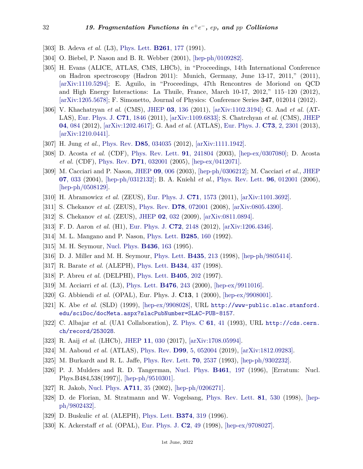- <span id="page-31-0"></span>[303] B. Adeva *et al.* (L3), [Phys. Lett.](http://doi.org/10.1016/0370-2693(91)91347-X) **[B261](http://doi.org/10.1016/0370-2693(91)91347-X)**, 177 (1991).
- <span id="page-31-1"></span>[304] O. Biebel, P. Nason and B. R. Webber (2001), [\[hep-ph/0109282\].](https://arxiv.org/abs/hep-ph/0109282)
- <span id="page-31-2"></span>[305] H. Evans (ALICE, ATLAS, CMS, LHCb), in "Proceedings, 14th International Conference on Hadron spectroscopy (Hadron 2011): Munich, Germany, June 13-17, 2011," (2011), [\[arXiv:1110.5294\];](https://arxiv.org/abs/1110.5294) E. Aguilo, in "Proceedings, 47th Rencontres de Moriond on QCD and High Energy Interactions: La Thuile, France, March 10-17, 2012," 115–120 (2012), [\[arXiv:1205.5678\];](https://arxiv.org/abs/1205.5678) F. Simonetto, Journal of Physics: Conference Series **347**, 012014 (2012).
- <span id="page-31-3"></span>[306] V. Khachatryan *et al.* (CMS), [JHEP](http://doi.org/10.1007/JHEP03(2011)136) **03**[, 136](http://doi.org/10.1007/JHEP03(2011)136) (2011), [\[arXiv:1102.3194\];](https://arxiv.org/abs/1102.3194) G. Aad *et al.* (AT-LAS), [Eur. Phys. J.](http://doi.org/10.1140/epjc/s10052-011-1846-4) **C71**[, 1846](http://doi.org/10.1140/epjc/s10052-011-1846-4) (2011), [\[arXiv:1109.6833\];](https://arxiv.org/abs/1109.6833) S. Chatrchyan *et al.* (CMS), [JHEP](http://doi.org/10.1007/JHEP04(2012)084) **04**[, 084](http://doi.org/10.1007/JHEP04(2012)084) (2012), [\[arXiv:1202.4617\];](https://arxiv.org/abs/1202.4617) G. Aad *et al.* (ATLAS), [Eur. Phys. J.](http://doi.org/10.1140/epjc/s10052-013-2301-5) **C73**[, 2, 2301](http://doi.org/10.1140/epjc/s10052-013-2301-5) (2013), [\[arXiv:1210.0441\].](https://arxiv.org/abs/1210.0441)
- <span id="page-31-4"></span>[307] H. Jung *et al.*, [Phys. Rev.](http://doi.org/10.1103/PhysRevD.85.034035) **D85**[, 034035](http://doi.org/10.1103/PhysRevD.85.034035) (2012), [\[arXiv:1111.1942\].](https://arxiv.org/abs/1111.1942)
- <span id="page-31-5"></span>[308] D. Acosta *et al.* (CDF), [Phys. Rev. Lett.](http://doi.org/10.1103/PhysRevLett.91.241804) **91**[, 241804](http://doi.org/10.1103/PhysRevLett.91.241804) (2003), [\[hep-ex/0307080\];](https://arxiv.org/abs/hep-ex/0307080) D. Acosta *et al.* (CDF), [Phys. Rev.](http://doi.org/10.1103/PhysRevD.71.032001) **D71**[, 032001](http://doi.org/10.1103/PhysRevD.71.032001) (2005), [\[hep-ex/0412071\].](https://arxiv.org/abs/hep-ex/0412071)
- <span id="page-31-6"></span>[309] M. Cacciari and P. Nason, [JHEP](http://doi.org/10.1088/1126-6708/2003/09/006) **09**[, 006](http://doi.org/10.1088/1126-6708/2003/09/006) (2003), [\[hep-ph/0306212\];](https://arxiv.org/abs/hep-ph/0306212) M. Cacciari *et al.*, [JHEP](http://doi.org/10.1088/1126-6708/2004/07/033) **07**[, 033](http://doi.org/10.1088/1126-6708/2004/07/033) (2004), [\[hep-ph/0312132\];](https://arxiv.org/abs/hep-ph/0312132) B. A. Kniehl *et al.*, [Phys. Rev. Lett.](http://doi.org/10.1103/PhysRevLett.96.012001) **96**[, 012001](http://doi.org/10.1103/PhysRevLett.96.012001) (2006), [\[hep-ph/0508129\].](https://arxiv.org/abs/hep-ph/0508129)
- <span id="page-31-7"></span>[310] H. Abramowicz *et al.* (ZEUS), [Eur. Phys. J.](http://doi.org/10.1140/epjc/s10052-011-1573-x) **C71**[, 1573](http://doi.org/10.1140/epjc/s10052-011-1573-x) (2011), [\[arXiv:1101.3692\].](https://arxiv.org/abs/1101.3692)
- [311] S. Chekanov *et al.* (ZEUS), [Phys. Rev.](http://doi.org/10.1103/PhysRevD.78.072001) **D78**[, 072001](http://doi.org/10.1103/PhysRevD.78.072001) (2008), [\[arXiv:0805.4390\].](https://arxiv.org/abs/0805.4390)
- [312] S. Chekanov *et al.* (ZEUS), [JHEP](http://doi.org/10.1088/1126-6708/2009/02/032) **02**[, 032](http://doi.org/10.1088/1126-6708/2009/02/032) (2009), [\[arXiv:0811.0894\].](https://arxiv.org/abs/0811.0894)
- <span id="page-31-9"></span><span id="page-31-8"></span>[313] F. D. Aaron *et al.* (H1), [Eur. Phys. J.](http://doi.org/10.1140/epjc/s10052-012-2148-1) **C72**[, 2148](http://doi.org/10.1140/epjc/s10052-012-2148-1) (2012), [\[arXiv:1206.4346\].](https://arxiv.org/abs/1206.4346)
- [314] M. L. Mangano and P. Nason, [Phys. Lett.](http://doi.org/10.1016/0370-2693(92)91316-2) **[B285](http://doi.org/10.1016/0370-2693(92)91316-2)**, 160 (1992).
- [315] M. H. Seymour, [Nucl. Phys.](http://doi.org/10.1016/0550-3213(94)00565-V) **[B436](http://doi.org/10.1016/0550-3213(94)00565-V)**, 163 (1995).
- <span id="page-31-10"></span>[316] D. J. Miller and M. H. Seymour, [Phys. Lett.](http://doi.org/10.1016/S0370-2693(98)00773-4) **[B435](http://doi.org/10.1016/S0370-2693(98)00773-4)**, 213 (1998), [\[hep-ph/9805414\].](https://arxiv.org/abs/hep-ph/9805414)
- <span id="page-31-11"></span>[317] R. Barate *et al.* (ALEPH), [Phys. Lett.](http://doi.org/10.1016/S0370-2693(98)00850-8) **[B434](http://doi.org/10.1016/S0370-2693(98)00850-8)**, 437 (1998).
- [318] P. Abreu *et al.* (DELPHI), [Phys. Lett.](http://doi.org/10.1016/S0370-2693(97)00608-4) **[B405](http://doi.org/10.1016/S0370-2693(97)00608-4)**, 202 (1997).
- [319] M. Acciarri *et al.* (L3), [Phys. Lett.](http://doi.org/10.1016/S0370-2693(00)00163-5) **[B476](http://doi.org/10.1016/S0370-2693(00)00163-5)**, 243 (2000), [\[hep-ex/9911016\].](https://arxiv.org/abs/hep-ex/9911016)
- <span id="page-31-12"></span>[320] G. Abbiendi *et al.* (OPAL), Eur. Phys. J. **C13**, 1 (2000), [\[hep-ex/9908001\].](https://arxiv.org/abs/hep-ex/9908001)
- [321] K. Abe *et al.* (SLD) (1999), [\[hep-ex/9908028\],](https://arxiv.org/abs/hep-ex/9908028) URL [http://www-public.slac.stanford.](http://www-public.slac.stanford.edu/sciDoc/docMeta.aspx?slacPubNumber=SLAC-PUB-8157) [edu/sciDoc/docMeta.aspx?slacPubNumber=SLAC-PUB-8157](http://www-public.slac.stanford.edu/sciDoc/docMeta.aspx?slacPubNumber=SLAC-PUB-8157).
- <span id="page-31-13"></span>[322] C. Albajar *et al.* (UA1 Collaboration), [Z. Phys. C](http://doi.org/10.1007/BF01641885) **61**[, 41](http://doi.org/10.1007/BF01641885) (1993), URL [http://cds.cern.](http://cds.cern.ch/record/253028) [ch/record/253028](http://cds.cern.ch/record/253028).
- [323] R. Aaij *et al.* (LHCb), [JHEP](http://doi.org/10.1007/JHEP11(2017)030) **11**[, 030](http://doi.org/10.1007/JHEP11(2017)030) (2017), [\[arXiv:1708.05994\].](https://arxiv.org/abs/1708.05994)
- <span id="page-31-14"></span>[324] M. Aaboud *et al.* (ATLAS), [Phys. Rev.](http://doi.org/10.1103/PhysRevD.99.052004) **D99**[, 5, 052004](http://doi.org/10.1103/PhysRevD.99.052004) (2019), [\[arXiv:1812.09283\].](https://arxiv.org/abs/1812.09283)
- <span id="page-31-15"></span>[325] M. Burkardt and R. L. Jaffe, [Phys. Rev. Lett.](http://doi.org/10.1103/PhysRevLett.70.2537) **70**[, 2537](http://doi.org/10.1103/PhysRevLett.70.2537) (1993), [\[hep-ph/9302232\].](https://arxiv.org/abs/hep-ph/9302232)
- [326] P. J. Mulders and R. D. Tangerman, [Nucl. Phys.](http://doi.org/10.1016/S0550-3213(96)00648-7) **[B461](http://doi.org/10.1016/S0550-3213(96)00648-7)**, 197 (1996), [Erratum: Nucl. Phys.B484,538(1997)], [\[hep-ph/9510301\].](https://arxiv.org/abs/hep-ph/9510301)
- [327] R. Jakob, [Nucl. Phys.](http://doi.org/10.1016/S0375-9474(02)01189-2) **[A711](http://doi.org/10.1016/S0375-9474(02)01189-2)**, 35 (2002), [\[hep-ph/0206271\].](https://arxiv.org/abs/hep-ph/0206271)
- <span id="page-31-16"></span>[328] D. de Florian, M. Stratmann and W. Vogelsang, [Phys. Rev. Lett.](http://doi.org/10.1103/PhysRevLett.81.530) **81**[, 530](http://doi.org/10.1103/PhysRevLett.81.530) (1998), [\[hep](https://arxiv.org/abs/hep-ph/9802432)[ph/9802432\].](https://arxiv.org/abs/hep-ph/9802432)
- <span id="page-31-17"></span>[329] D. Buskulic *et al.* (ALEPH), [Phys. Lett.](http://doi.org/10.1016/0370-2693(96)00300-0) **[B374](http://doi.org/10.1016/0370-2693(96)00300-0)**, 319 (1996).
- <span id="page-31-18"></span>[330] K. Ackerstaff *et al.* (OPAL), [Eur. Phys. J.](http://doi.org/10.1007/s100520050123) **C2**[, 49](http://doi.org/10.1007/s100520050123) (1998), [\[hep-ex/9708027\].](https://arxiv.org/abs/hep-ex/9708027)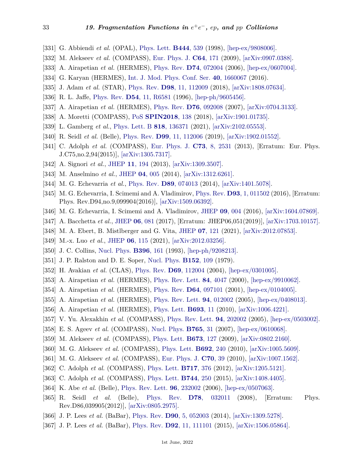- [331] G. Abbiendi *et al.* (OPAL), [Phys. Lett.](http://doi.org/10.1016/S0370-2693(98)01387-2) **[B444](http://doi.org/10.1016/S0370-2693(98)01387-2)**, 539 (1998), [\[hep-ex/9808006\].](https://arxiv.org/abs/hep-ex/9808006)
- [332] M. Alekseev *et al.* (COMPASS), [Eur. Phys. J.](http://doi.org/10.1140/epjc/s10052-009-1143-7) **C64**[, 171](http://doi.org/10.1140/epjc/s10052-009-1143-7) (2009), [\[arXiv:0907.0388\].](https://arxiv.org/abs/0907.0388)
- [333] A. Airapetian *et al.* (HERMES), [Phys. Rev.](http://doi.org/10.1103/PhysRevD.74.072004) **D74**[, 072004](http://doi.org/10.1103/PhysRevD.74.072004) (2006), [\[hep-ex/0607004\].](https://arxiv.org/abs/hep-ex/0607004)
- [334] G. Karyan (HERMES), [Int. J. Mod. Phys. Conf. Ser.](http://doi.org/10.1142/S2010194516600673) **40**[, 1660067](http://doi.org/10.1142/S2010194516600673) (2016).
- <span id="page-32-0"></span>[335] J. Adam *et al.* (STAR), [Phys. Rev.](http://doi.org/10.1103/PhysRevD.98.112009) **D98**[, 11, 112009](http://doi.org/10.1103/PhysRevD.98.112009) (2018), [\[arXiv:1808.07634\].](https://arxiv.org/abs/1808.07634)
- <span id="page-32-1"></span>[336] R. L. Jaffe, [Phys. Rev.](http://doi.org/10.1103/PhysRevD.54.R6581) **D54**[, 11, R6581](http://doi.org/10.1103/PhysRevD.54.R6581) (1996), [\[hep-ph/9605456\].](https://arxiv.org/abs/hep-ph/9605456)
- <span id="page-32-2"></span>[337] A. Airapetian *et al.* (HERMES), [Phys. Rev.](http://doi.org/10.1103/PhysRevD.76.092008) **D76**[, 092008](http://doi.org/10.1103/PhysRevD.76.092008) (2007), [\[arXiv:0704.3133\].](https://arxiv.org/abs/0704.3133)
- <span id="page-32-3"></span>[338] A. Moretti (COMPASS), [PoS](http://doi.org/10.22323/1.346.0138) **[SPIN2018](http://doi.org/10.22323/1.346.0138)**, 138 (2018), [\[arXiv:1901.01735\].](https://arxiv.org/abs/1901.01735)
- <span id="page-32-4"></span>[339] L. Gamberg *et al.*, [Phys. Lett. B](http://doi.org/10.1016/j.physletb.2021.136371) **818**[, 136371](http://doi.org/10.1016/j.physletb.2021.136371) (2021), [\[arXiv:2102.05553\].](https://arxiv.org/abs/2102.05553)
- <span id="page-32-5"></span>[340] R. Seidl *et al.* (Belle), [Phys. Rev.](http://doi.org/10.1103/PhysRevD.99.112006) **D99**[, 11, 112006](http://doi.org/10.1103/PhysRevD.99.112006) (2019), [\[arXiv:1902.01552\].](https://arxiv.org/abs/1902.01552)
- <span id="page-32-6"></span>[341] C. Adolph *et al.* (COMPASS), [Eur. Phys. J.](http://doi.org/10.1140/epjc/s10052-013-2531-6) **C73**[, 8, 2531](http://doi.org/10.1140/epjc/s10052-013-2531-6) (2013), [Erratum: Eur. Phys. J.C75,no.2,94(2015)], [\[arXiv:1305.7317\].](https://arxiv.org/abs/1305.7317)
- <span id="page-32-7"></span>[342] A. Signori *et al.*, [JHEP](http://doi.org/10.1007/JHEP11(2013)194) **11**[, 194](http://doi.org/10.1007/JHEP11(2013)194) (2013), [\[arXiv:1309.3507\].](https://arxiv.org/abs/1309.3507)
- [343] M. Anselmino *et al.*, [JHEP](http://doi.org/10.1007/JHEP04(2014)005) **04**[, 005](http://doi.org/10.1007/JHEP04(2014)005) (2014), [\[arXiv:1312.6261\].](https://arxiv.org/abs/1312.6261)
- [344] M. G. Echevarria *et al.*, [Phys. Rev.](http://doi.org/10.1103/PhysRevD.89.074013) **D89**[, 074013](http://doi.org/10.1103/PhysRevD.89.074013) (2014), [\[arXiv:1401.5078\].](https://arxiv.org/abs/1401.5078)
- [345] M. G. Echevarria, I. Scimemi and A. Vladimirov, [Phys. Rev.](http://doi.org/10.1103/PhysRevD.93.011502) **D93**[, 1, 011502](http://doi.org/10.1103/PhysRevD.93.011502) (2016), [Erratum: Phys. Rev.D94,no.9,099904(2016)], [\[arXiv:1509.06392\].](https://arxiv.org/abs/1509.06392)
- [346] M. G. Echevarria, I. Scimemi and A. Vladimirov, [JHEP](http://doi.org/10.1007/JHEP09(2016)004) **09**[, 004](http://doi.org/10.1007/JHEP09(2016)004) (2016), [\[arXiv:1604.07869\].](https://arxiv.org/abs/1604.07869)
- [347] A. Bacchetta *et al.*, [JHEP](http://doi.org/10.1007/JHEP06(2017)081) **06**[, 081](http://doi.org/10.1007/JHEP06(2017)081) (2017), [Erratum: JHEP06,051(2019)], [\[arXiv:1703.10157\].](https://arxiv.org/abs/1703.10157)
- [348] M. A. Ebert, B. Mistlberger and G. Vita, [JHEP](http://doi.org/10.1007/JHEP07(2021)121) **07**[, 121](http://doi.org/10.1007/JHEP07(2021)121) (2021), [\[arXiv:2012.07853\].](https://arxiv.org/abs/2012.07853)
- <span id="page-32-8"></span>[349] M.-x. Luo *et al.*, [JHEP](http://doi.org/10.1007/JHEP06(2021)115) **06**[, 115](http://doi.org/10.1007/JHEP06(2021)115) (2021), [\[arXiv:2012.03256\].](https://arxiv.org/abs/2012.03256)
- <span id="page-32-9"></span>[350] J. C. Collins, [Nucl. Phys.](http://doi.org/10.1016/0550-3213(93)90262-N) **[B396](http://doi.org/10.1016/0550-3213(93)90262-N)**, 161 (1993), [\[hep-ph/9208213\].](https://arxiv.org/abs/hep-ph/9208213)
- <span id="page-32-10"></span>[351] J. P. Ralston and D. E. Soper, [Nucl. Phys.](http://doi.org/10.1016/0550-3213(79)90082-8) **[B152](http://doi.org/10.1016/0550-3213(79)90082-8)**, 109 (1979).
- <span id="page-32-11"></span>[352] H. Avakian *et al.* (CLAS), [Phys. Rev.](http://doi.org/10.1103/PhysRevD.69.112004) **D69**[, 112004](http://doi.org/10.1103/PhysRevD.69.112004) (2004), [\[hep-ex/0301005\].](https://arxiv.org/abs/hep-ex/0301005)
- [353] A. Airapetian *et al.* (HERMES), [Phys. Rev. Lett.](http://doi.org/10.1103/PhysRevLett.84.4047) **84**[, 4047](http://doi.org/10.1103/PhysRevLett.84.4047) (2000), [\[hep-ex/9910062\].](https://arxiv.org/abs/hep-ex/9910062)
- [354] A. Airapetian *et al.* (HERMES), [Phys. Rev.](http://doi.org/10.1103/PhysRevD.64.097101) **D64**[, 097101](http://doi.org/10.1103/PhysRevD.64.097101) (2001), [\[hep-ex/0104005\].](https://arxiv.org/abs/hep-ex/0104005)
- [355] A. Airapetian *et al.* (HERMES), [Phys. Rev. Lett.](http://doi.org/10.1103/PhysRevLett.94.012002) **94**[, 012002](http://doi.org/10.1103/PhysRevLett.94.012002) (2005), [\[hep-ex/0408013\].](https://arxiv.org/abs/hep-ex/0408013)
- [356] A. Airapetian *et al.* (HERMES), [Phys. Lett.](http://doi.org/10.1016/j.physletb.2010.08.012) **[B693](http://doi.org/10.1016/j.physletb.2010.08.012)**, 11 (2010), [\[arXiv:1006.4221\].](https://arxiv.org/abs/1006.4221)
- [357] V. Yu. Alexakhin *et al.* (COMPASS), [Phys. Rev. Lett.](http://doi.org/10.1103/PhysRevLett.94.202002) **94**[, 202002](http://doi.org/10.1103/PhysRevLett.94.202002) (2005), [\[hep-ex/0503002\].](https://arxiv.org/abs/hep-ex/0503002)
- [358] E. S. Ageev *et al.* (COMPASS), [Nucl. Phys.](http://doi.org/10.1016/j.nuclphysb.2006.10.027) **[B765](http://doi.org/10.1016/j.nuclphysb.2006.10.027)**, 31 (2007), [\[hep-ex/0610068\].](https://arxiv.org/abs/hep-ex/0610068)
- [359] M. Alekseev *et al.* (COMPASS), [Phys. Lett.](http://doi.org/10.1016/j.physletb.2009.01.060) **[B673](http://doi.org/10.1016/j.physletb.2009.01.060)**, 127 (2009), [\[arXiv:0802.2160\].](https://arxiv.org/abs/0802.2160)
- [360] M. G. Alekseev *et al.* (COMPASS), [Phys. Lett.](http://doi.org/10.1016/j.physletb.2010.08.001) **[B692](http://doi.org/10.1016/j.physletb.2010.08.001)**, 240 (2010), [\[arXiv:1005.5609\].](https://arxiv.org/abs/1005.5609)
- [361] M. G. Alekseev *et al.* (COMPASS), [Eur. Phys. J.](http://doi.org/10.1140/epjc/s10052-010-1461-9) **[C70](http://doi.org/10.1140/epjc/s10052-010-1461-9)**, 39 (2010), [\[arXiv:1007.1562\].](https://arxiv.org/abs/1007.1562)
- [362] C. Adolph *et al.* (COMPASS), [Phys. Lett.](http://doi.org/10.1016/j.physletb.2012.09.055) **[B717](http://doi.org/10.1016/j.physletb.2012.09.055)**, 376 (2012), [\[arXiv:1205.5121\].](https://arxiv.org/abs/1205.5121)
- <span id="page-32-12"></span>[363] C. Adolph *et al.* (COMPASS), [Phys. Lett.](http://doi.org/10.1016/j.physletb.2015.03.056) **[B744](http://doi.org/10.1016/j.physletb.2015.03.056)**, 250 (2015), [\[arXiv:1408.4405\].](https://arxiv.org/abs/1408.4405)
- <span id="page-32-13"></span>[364] K. Abe *et al.* (Belle), [Phys. Rev. Lett.](http://doi.org/10.1103/PhysRevLett.96.232002) **96**[, 232002](http://doi.org/10.1103/PhysRevLett.96.232002) (2006), [\[hep-ex/0507063\].](https://arxiv.org/abs/hep-ex/0507063)
- [365] R. Seidl *et al.* (Belle), [Phys. Rev.](http://doi.org/10.1103/PhysRevD.78.032011) **D78**[, 032011](http://doi.org/10.1103/PhysRevD.78.032011) (2008), [Erratum: Phys. Rev.D86,039905(2012)], [\[arXiv:0805.2975\].](https://arxiv.org/abs/0805.2975)
- [366] J. P. Lees *et al.* (BaBar), [Phys. Rev.](http://doi.org/10.1103/PhysRevD.90.052003) **D90**[, 5, 052003](http://doi.org/10.1103/PhysRevD.90.052003) (2014), [\[arXiv:1309.5278\].](https://arxiv.org/abs/1309.5278)
- [367] J. P. Lees *et al.* (BaBar), [Phys. Rev.](http://doi.org/10.1103/PhysRevD.92.111101) **D92**[, 11, 111101](http://doi.org/10.1103/PhysRevD.92.111101) (2015), [\[arXiv:1506.05864\].](https://arxiv.org/abs/1506.05864)